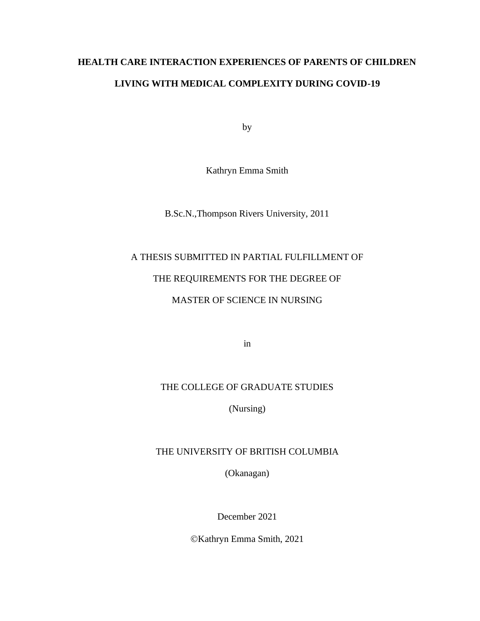# **HEALTH CARE INTERACTION EXPERIENCES OF PARENTS OF CHILDREN LIVING WITH MEDICAL COMPLEXITY DURING COVID-19**

by

Kathryn Emma Smith

B.Sc.N.,Thompson Rivers University, 2011

# A THESIS SUBMITTED IN PARTIAL FULFILLMENT OF

# THE REQUIREMENTS FOR THE DEGREE OF

# MASTER OF SCIENCE IN NURSING

in

# THE COLLEGE OF GRADUATE STUDIES

(Nursing)

# THE UNIVERSITY OF BRITISH COLUMBIA

(Okanagan)

December 2021

©Kathryn Emma Smith, 2021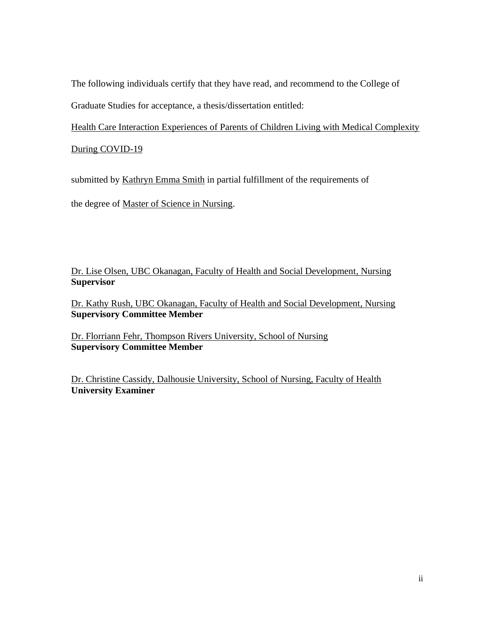The following individuals certify that they have read, and recommend to the College of Graduate Studies for acceptance, a thesis/dissertation entitled:

Health Care Interaction Experiences of Parents of Children Living with Medical Complexity

During COVID-19

submitted by Kathryn Emma Smith in partial fulfillment of the requirements of

the degree of Master of Science in Nursing.

Dr. Lise Olsen, UBC Okanagan, Faculty of Health and Social Development, Nursing **Supervisor**

Dr. Kathy Rush, UBC Okanagan, Faculty of Health and Social Development, Nursing **Supervisory Committee Member**

Dr. Florriann Fehr, Thompson Rivers University, School of Nursing **Supervisory Committee Member**

Dr. Christine Cassidy, Dalhousie University, School of Nursing, Faculty of Health **University Examiner**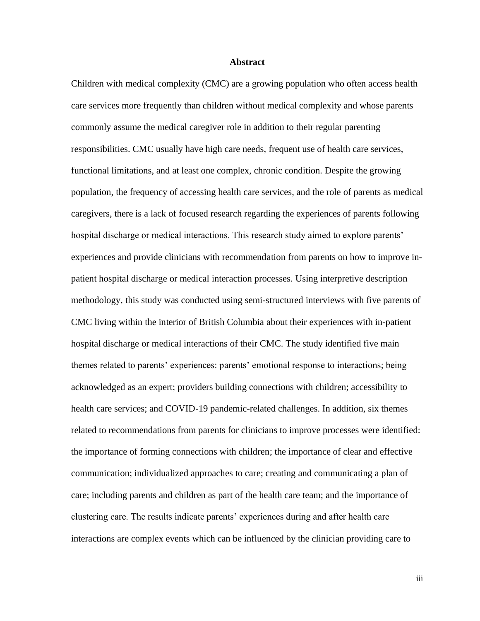### **Abstract**

<span id="page-2-0"></span>Children with medical complexity (CMC) are a growing population who often access health care services more frequently than children without medical complexity and whose parents commonly assume the medical caregiver role in addition to their regular parenting responsibilities. CMC usually have high care needs, frequent use of health care services, functional limitations, and at least one complex, chronic condition. Despite the growing population, the frequency of accessing health care services, and the role of parents as medical caregivers, there is a lack of focused research regarding the experiences of parents following hospital discharge or medical interactions. This research study aimed to explore parents' experiences and provide clinicians with recommendation from parents on how to improve inpatient hospital discharge or medical interaction processes. Using interpretive description methodology, this study was conducted using semi-structured interviews with five parents of CMC living within the interior of British Columbia about their experiences with in-patient hospital discharge or medical interactions of their CMC. The study identified five main themes related to parents' experiences: parents' emotional response to interactions; being acknowledged as an expert; providers building connections with children; accessibility to health care services; and COVID-19 pandemic-related challenges. In addition, six themes related to recommendations from parents for clinicians to improve processes were identified: the importance of forming connections with children; the importance of clear and effective communication; individualized approaches to care; creating and communicating a plan of care; including parents and children as part of the health care team; and the importance of clustering care. The results indicate parents' experiences during and after health care interactions are complex events which can be influenced by the clinician providing care to

iii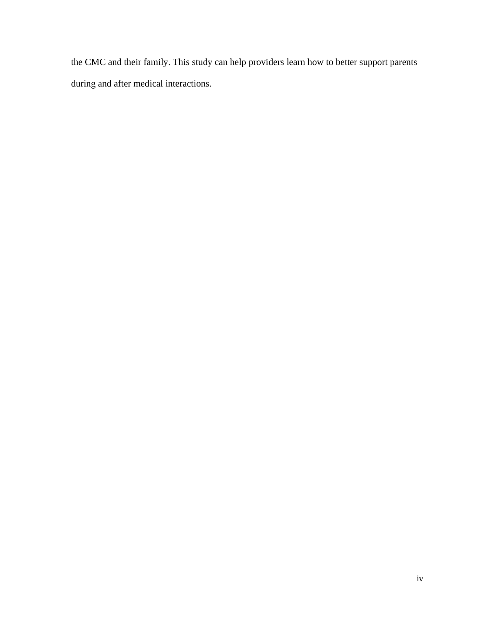the CMC and their family. This study can help providers learn how to better support parents during and after medical interactions.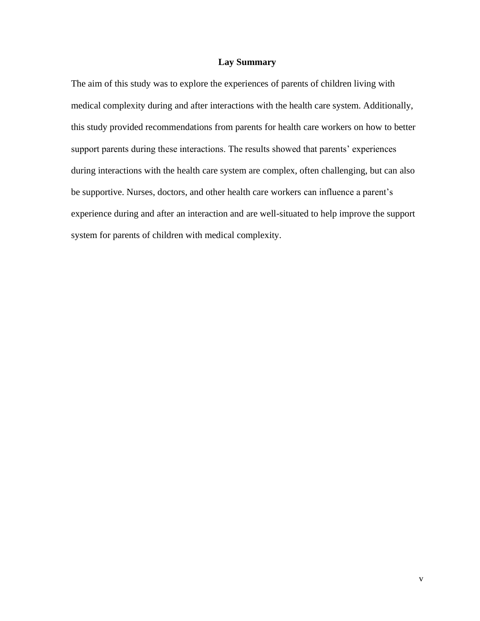## **Lay Summary**

<span id="page-4-0"></span>The aim of this study was to explore the experiences of parents of children living with medical complexity during and after interactions with the health care system. Additionally, this study provided recommendations from parents for health care workers on how to better support parents during these interactions. The results showed that parents' experiences during interactions with the health care system are complex, often challenging, but can also be supportive. Nurses, doctors, and other health care workers can influence a parent's experience during and after an interaction and are well-situated to help improve the support system for parents of children with medical complexity.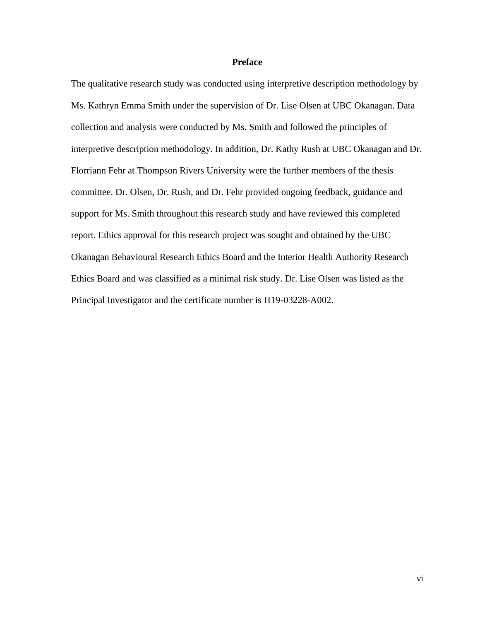# **Preface**

<span id="page-5-0"></span>The qualitative research study was conducted using interpretive description methodology by Ms. Kathryn Emma Smith under the supervision of Dr. Lise Olsen at UBC Okanagan. Data collection and analysis were conducted by Ms. Smith and followed the principles of interpretive description methodology. In addition, Dr. Kathy Rush at UBC Okanagan and Dr. Florriann Fehr at Thompson Rivers University were the further members of the thesis committee. Dr. Olsen, Dr. Rush, and Dr. Fehr provided ongoing feedback, guidance and support for Ms. Smith throughout this research study and have reviewed this completed report. Ethics approval for this research project was sought and obtained by the UBC Okanagan Behavioural Research Ethics Board and the Interior Health Authority Research Ethics Board and was classified as a minimal risk study. Dr. Lise Olsen was listed as the Principal Investigator and the certificate number is H19-03228-A002.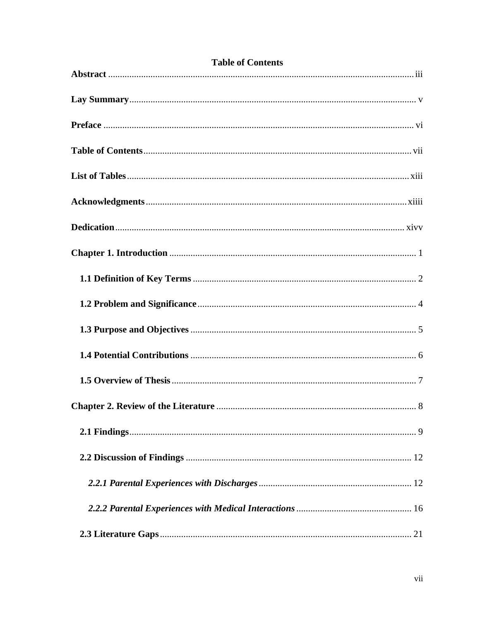<span id="page-6-0"></span>

| <b>Table of Contents</b> |
|--------------------------|
|                          |
|                          |
|                          |
|                          |
|                          |
|                          |
|                          |
|                          |
|                          |
|                          |
|                          |
|                          |
|                          |
|                          |
|                          |
|                          |
|                          |
|                          |
|                          |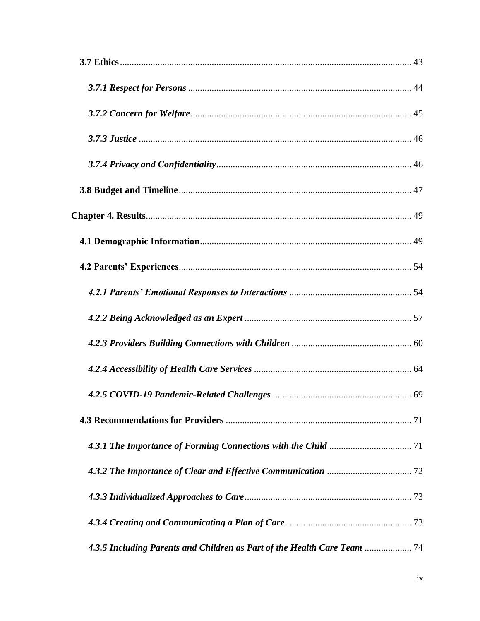| 4.3.5 Including Parents and Children as Part of the Health Care Team |  |
|----------------------------------------------------------------------|--|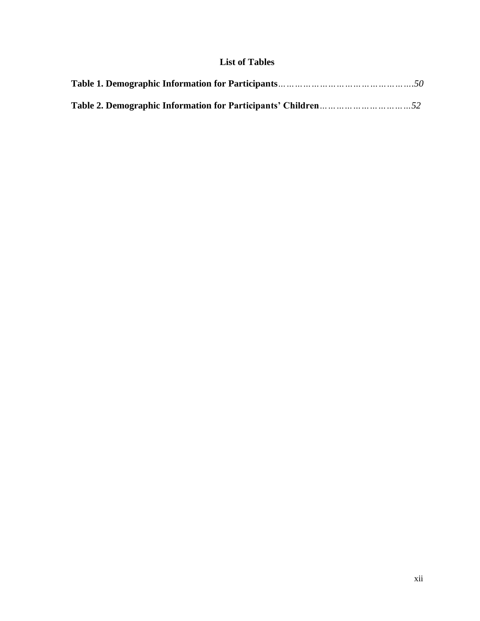# **List of Tables**

<span id="page-11-0"></span>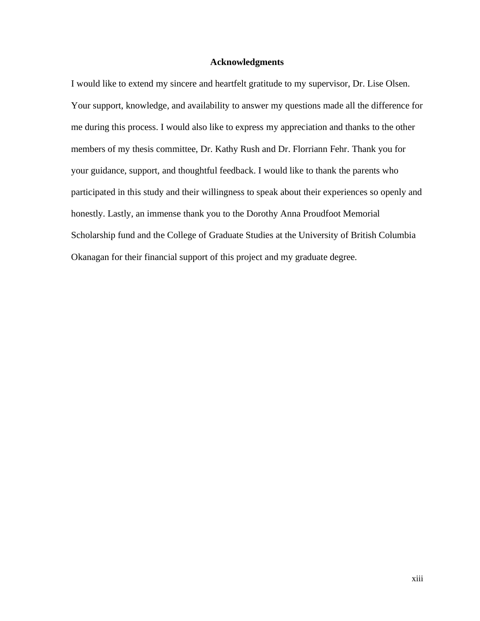### **Acknowledgments**

<span id="page-12-0"></span>I would like to extend my sincere and heartfelt gratitude to my supervisor, Dr. Lise Olsen. Your support, knowledge, and availability to answer my questions made all the difference for me during this process. I would also like to express my appreciation and thanks to the other members of my thesis committee, Dr. Kathy Rush and Dr. Florriann Fehr. Thank you for your guidance, support, and thoughtful feedback. I would like to thank the parents who participated in this study and their willingness to speak about their experiences so openly and honestly. Lastly, an immense thank you to the Dorothy Anna Proudfoot Memorial Scholarship fund and the College of Graduate Studies at the University of British Columbia Okanagan for their financial support of this project and my graduate degree.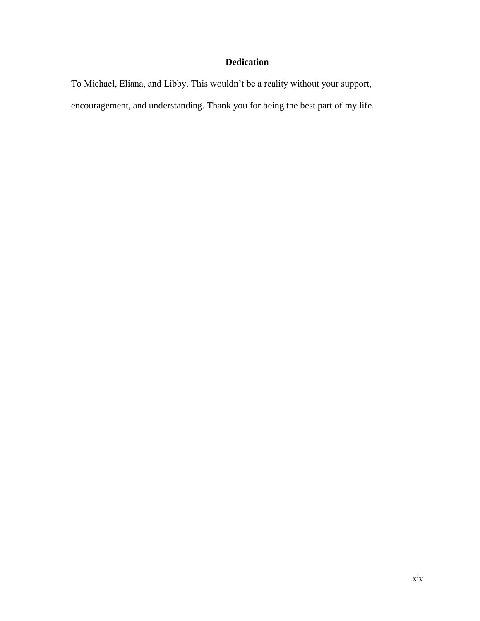# **Dedication**

<span id="page-13-0"></span>To Michael, Eliana, and Libby. This wouldn't be a reality without your support, encouragement, and understanding. Thank you for being the best part of my life.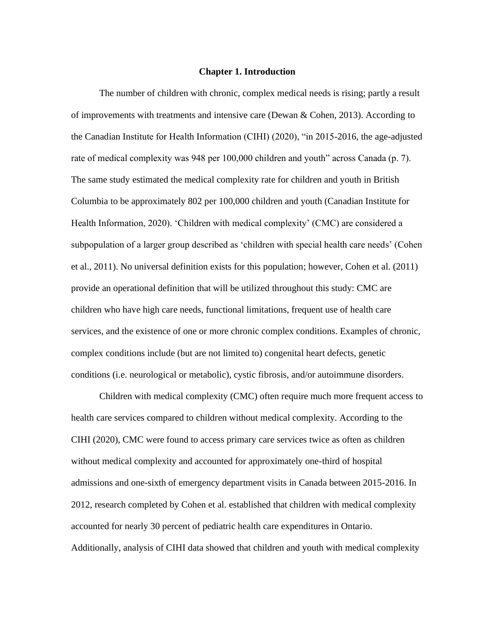#### **Chapter 1. Introduction**

<span id="page-14-0"></span>The number of children with chronic, complex medical needs is rising; partly a result of improvements with treatments and intensive care (Dewan & Cohen, 2013). According to the Canadian Institute for Health Information (CIHI) (2020), "in 2015-2016, the age-adjusted rate of medical complexity was 948 per 100,000 children and youth" across Canada (p. 7). The same study estimated the medical complexity rate for children and youth in British Columbia to be approximately 802 per 100,000 children and youth (Canadian Institute for Health Information, 2020). 'Children with medical complexity' (CMC) are considered a subpopulation of a larger group described as 'children with special health care needs' (Cohen et al., 2011). No universal definition exists for this population; however, Cohen et al. (2011) provide an operational definition that will be utilized throughout this study: CMC are children who have high care needs, functional limitations, frequent use of health care services, and the existence of one or more chronic complex conditions. Examples of chronic, complex conditions include (but are not limited to) congenital heart defects, genetic conditions (i.e. neurological or metabolic), cystic fibrosis, and/or autoimmune disorders.

Children with medical complexity (CMC) often require much more frequent access to health care services compared to children without medical complexity. According to the CIHI (2020), CMC were found to access primary care services twice as often as children without medical complexity and accounted for approximately one-third of hospital admissions and one-sixth of emergency department visits in Canada between 2015-2016. In 2012, research completed by Cohen et al. established that children with medical complexity accounted for nearly 30 percent of pediatric health care expenditures in Ontario. Additionally, analysis of CIHI data showed that children and youth with medical complexity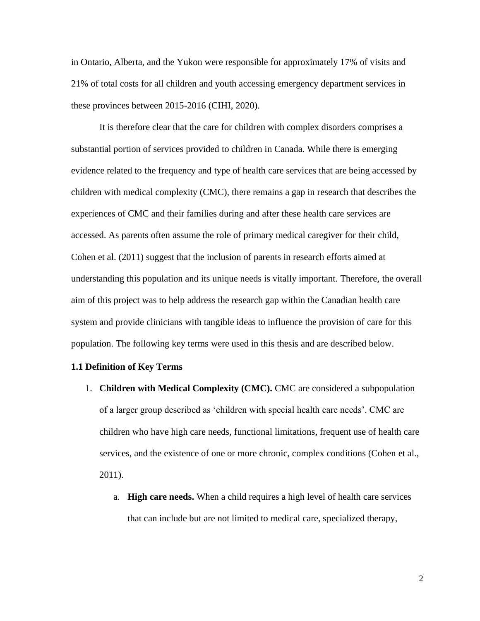in Ontario, Alberta, and the Yukon were responsible for approximately 17% of visits and 21% of total costs for all children and youth accessing emergency department services in these provinces between 2015-2016 (CIHI, 2020).

It is therefore clear that the care for children with complex disorders comprises a substantial portion of services provided to children in Canada. While there is emerging evidence related to the frequency and type of health care services that are being accessed by children with medical complexity (CMC), there remains a gap in research that describes the experiences of CMC and their families during and after these health care services are accessed. As parents often assume the role of primary medical caregiver for their child, Cohen et al. (2011) suggest that the inclusion of parents in research efforts aimed at understanding this population and its unique needs is vitally important. Therefore, the overall aim of this project was to help address the research gap within the Canadian health care system and provide clinicians with tangible ideas to influence the provision of care for this population. The following key terms were used in this thesis and are described below.

#### <span id="page-15-0"></span>**1.1 Definition of Key Terms**

- 1. **Children with Medical Complexity (CMC).** CMC are considered a subpopulation of a larger group described as 'children with special health care needs'. CMC are children who have high care needs, functional limitations, frequent use of health care services, and the existence of one or more chronic, complex conditions (Cohen et al., 2011).
	- a. **High care needs.** When a child requires a high level of health care services that can include but are not limited to medical care, specialized therapy,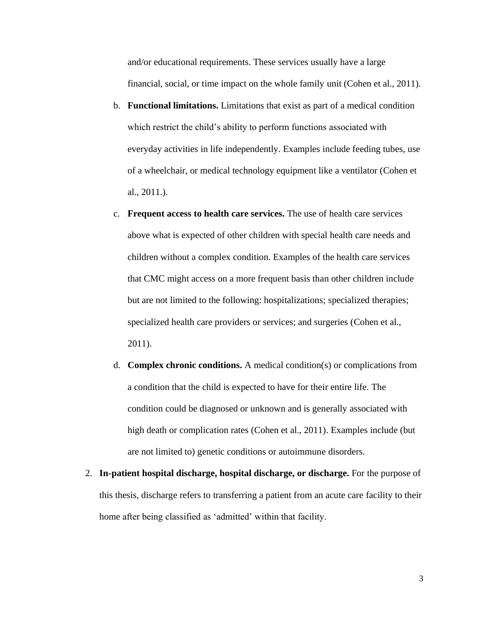and/or educational requirements. These services usually have a large financial, social, or time impact on the whole family unit (Cohen et al., 2011).

- b. **Functional limitations.** Limitations that exist as part of a medical condition which restrict the child's ability to perform functions associated with everyday activities in life independently. Examples include feeding tubes, use of a wheelchair, or medical technology equipment like a ventilator (Cohen et al., 2011.).
- c. **Frequent access to health care services.** The use of health care services above what is expected of other children with special health care needs and children without a complex condition. Examples of the health care services that CMC might access on a more frequent basis than other children include but are not limited to the following: hospitalizations; specialized therapies; specialized health care providers or services; and surgeries (Cohen et al., 2011).
- d. **Complex chronic conditions.** A medical condition(s) or complications from a condition that the child is expected to have for their entire life. The condition could be diagnosed or unknown and is generally associated with high death or complication rates (Cohen et al., 2011). Examples include (but are not limited to) genetic conditions or autoimmune disorders.
- 2. **In-patient hospital discharge, hospital discharge, or discharge.** For the purpose of this thesis, discharge refers to transferring a patient from an acute care facility to their home after being classified as 'admitted' within that facility.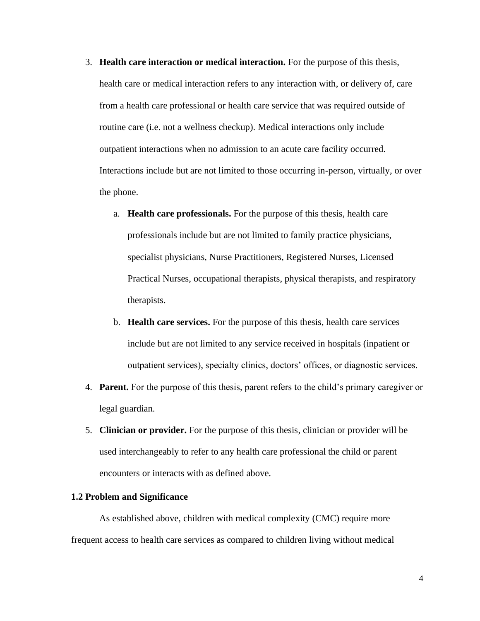- 3. **Health care interaction or medical interaction.** For the purpose of this thesis, health care or medical interaction refers to any interaction with, or delivery of, care from a health care professional or health care service that was required outside of routine care (i.e. not a wellness checkup). Medical interactions only include outpatient interactions when no admission to an acute care facility occurred. Interactions include but are not limited to those occurring in-person, virtually, or over the phone.
	- a. **Health care professionals.** For the purpose of this thesis, health care professionals include but are not limited to family practice physicians, specialist physicians, Nurse Practitioners, Registered Nurses, Licensed Practical Nurses, occupational therapists, physical therapists, and respiratory therapists.
	- b. **Health care services.** For the purpose of this thesis, health care services include but are not limited to any service received in hospitals (inpatient or outpatient services), specialty clinics, doctors' offices, or diagnostic services.
- 4. **Parent.** For the purpose of this thesis, parent refers to the child's primary caregiver or legal guardian.
- 5. **Clinician or provider.** For the purpose of this thesis, clinician or provider will be used interchangeably to refer to any health care professional the child or parent encounters or interacts with as defined above.

## <span id="page-17-0"></span>**1.2 Problem and Significance**

As established above, children with medical complexity (CMC) require more frequent access to health care services as compared to children living without medical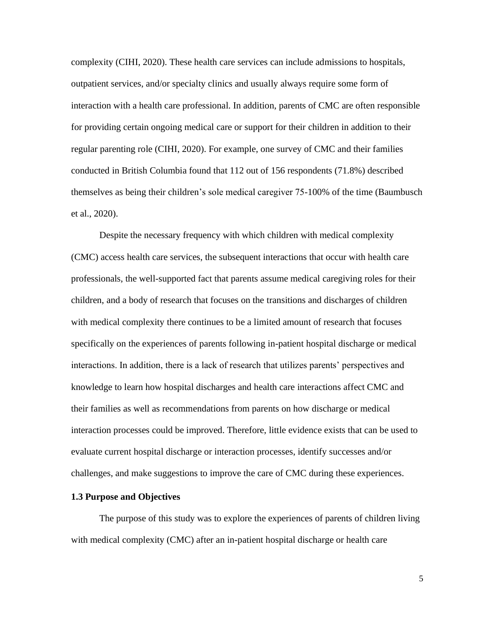complexity (CIHI, 2020). These health care services can include admissions to hospitals, outpatient services, and/or specialty clinics and usually always require some form of interaction with a health care professional. In addition, parents of CMC are often responsible for providing certain ongoing medical care or support for their children in addition to their regular parenting role (CIHI, 2020). For example, one survey of CMC and their families conducted in British Columbia found that 112 out of 156 respondents (71.8%) described themselves as being their children's sole medical caregiver 75-100% of the time (Baumbusch et al., 2020).

Despite the necessary frequency with which children with medical complexity (CMC) access health care services, the subsequent interactions that occur with health care professionals, the well-supported fact that parents assume medical caregiving roles for their children, and a body of research that focuses on the transitions and discharges of children with medical complexity there continues to be a limited amount of research that focuses specifically on the experiences of parents following in-patient hospital discharge or medical interactions. In addition, there is a lack of research that utilizes parents' perspectives and knowledge to learn how hospital discharges and health care interactions affect CMC and their families as well as recommendations from parents on how discharge or medical interaction processes could be improved. Therefore, little evidence exists that can be used to evaluate current hospital discharge or interaction processes, identify successes and/or challenges, and make suggestions to improve the care of CMC during these experiences.

## <span id="page-18-0"></span>**1.3 Purpose and Objectives**

The purpose of this study was to explore the experiences of parents of children living with medical complexity (CMC) after an in-patient hospital discharge or health care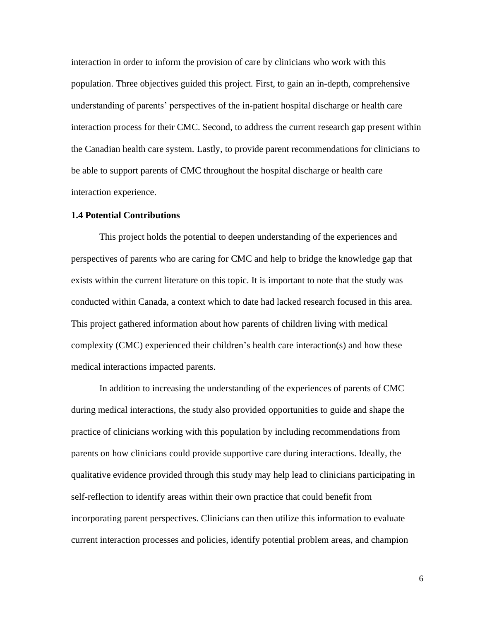interaction in order to inform the provision of care by clinicians who work with this population. Three objectives guided this project. First, to gain an in-depth, comprehensive understanding of parents' perspectives of the in-patient hospital discharge or health care interaction process for their CMC. Second, to address the current research gap present within the Canadian health care system. Lastly, to provide parent recommendations for clinicians to be able to support parents of CMC throughout the hospital discharge or health care interaction experience.

## <span id="page-19-0"></span>**1.4 Potential Contributions**

This project holds the potential to deepen understanding of the experiences and perspectives of parents who are caring for CMC and help to bridge the knowledge gap that exists within the current literature on this topic. It is important to note that the study was conducted within Canada, a context which to date had lacked research focused in this area. This project gathered information about how parents of children living with medical complexity (CMC) experienced their children's health care interaction(s) and how these medical interactions impacted parents.

In addition to increasing the understanding of the experiences of parents of CMC during medical interactions, the study also provided opportunities to guide and shape the practice of clinicians working with this population by including recommendations from parents on how clinicians could provide supportive care during interactions. Ideally, the qualitative evidence provided through this study may help lead to clinicians participating in self-reflection to identify areas within their own practice that could benefit from incorporating parent perspectives. Clinicians can then utilize this information to evaluate current interaction processes and policies, identify potential problem areas, and champion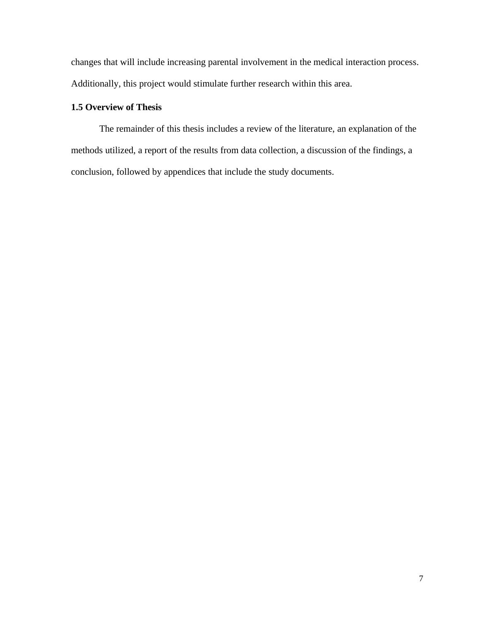changes that will include increasing parental involvement in the medical interaction process. Additionally, this project would stimulate further research within this area.

# <span id="page-20-0"></span>**1.5 Overview of Thesis**

The remainder of this thesis includes a review of the literature, an explanation of the methods utilized, a report of the results from data collection, a discussion of the findings, a conclusion, followed by appendices that include the study documents.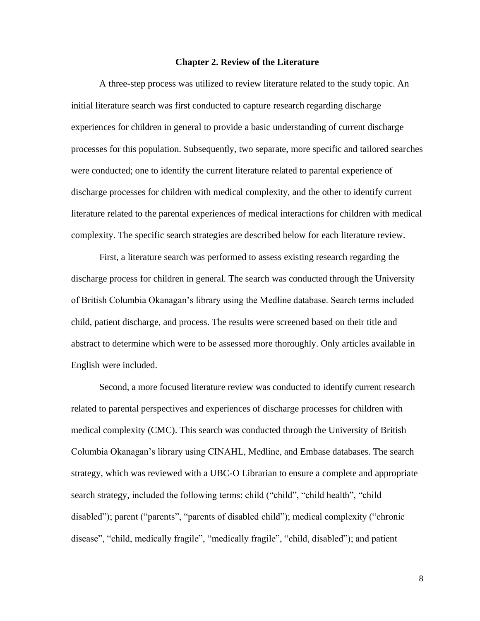#### **Chapter 2. Review of the Literature**

<span id="page-21-0"></span>A three-step process was utilized to review literature related to the study topic. An initial literature search was first conducted to capture research regarding discharge experiences for children in general to provide a basic understanding of current discharge processes for this population. Subsequently, two separate, more specific and tailored searches were conducted; one to identify the current literature related to parental experience of discharge processes for children with medical complexity, and the other to identify current literature related to the parental experiences of medical interactions for children with medical complexity. The specific search strategies are described below for each literature review.

First, a literature search was performed to assess existing research regarding the discharge process for children in general. The search was conducted through the University of British Columbia Okanagan's library using the Medline database. Search terms included child, patient discharge, and process. The results were screened based on their title and abstract to determine which were to be assessed more thoroughly. Only articles available in English were included.

Second, a more focused literature review was conducted to identify current research related to parental perspectives and experiences of discharge processes for children with medical complexity (CMC). This search was conducted through the University of British Columbia Okanagan's library using CINAHL, Medline, and Embase databases. The search strategy, which was reviewed with a UBC-O Librarian to ensure a complete and appropriate search strategy, included the following terms: child ("child", "child health", "child disabled"); parent ("parents", "parents of disabled child"); medical complexity ("chronic disease", "child, medically fragile", "medically fragile", "child, disabled"); and patient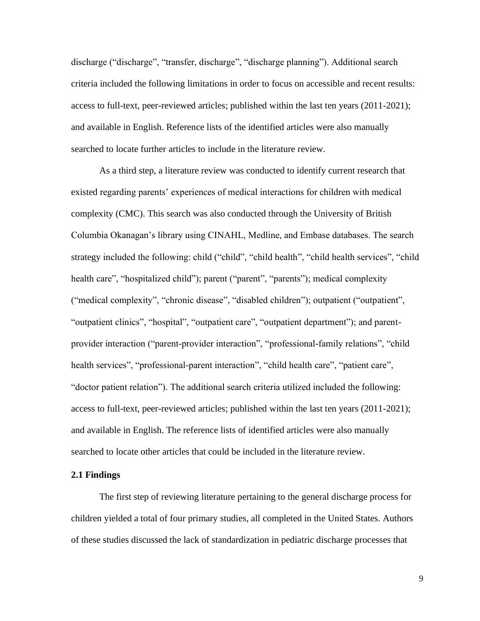discharge ("discharge", "transfer, discharge", "discharge planning"). Additional search criteria included the following limitations in order to focus on accessible and recent results: access to full-text, peer-reviewed articles; published within the last ten years (2011-2021); and available in English. Reference lists of the identified articles were also manually searched to locate further articles to include in the literature review.

As a third step, a literature review was conducted to identify current research that existed regarding parents' experiences of medical interactions for children with medical complexity (CMC). This search was also conducted through the University of British Columbia Okanagan's library using CINAHL, Medline, and Embase databases. The search strategy included the following: child ("child", "child health", "child health services", "child health care", "hospitalized child"); parent ("parent", "parents"); medical complexity ("medical complexity", "chronic disease", "disabled children"); outpatient ("outpatient", "outpatient clinics", "hospital", "outpatient care", "outpatient department"); and parentprovider interaction ("parent-provider interaction", "professional-family relations", "child health services", "professional-parent interaction", "child health care", "patient care", "doctor patient relation"). The additional search criteria utilized included the following: access to full-text, peer-reviewed articles; published within the last ten years (2011-2021); and available in English. The reference lists of identified articles were also manually searched to locate other articles that could be included in the literature review.

### <span id="page-22-0"></span>**2.1 Findings**

The first step of reviewing literature pertaining to the general discharge process for children yielded a total of four primary studies, all completed in the United States. Authors of these studies discussed the lack of standardization in pediatric discharge processes that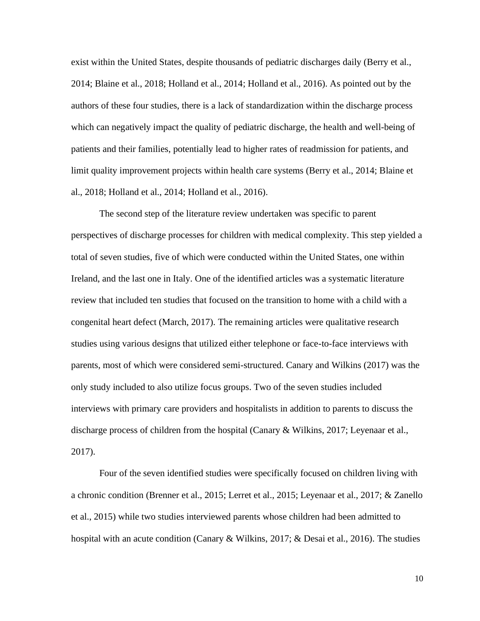exist within the United States, despite thousands of pediatric discharges daily (Berry et al., 2014; Blaine et al., 2018; Holland et al., 2014; Holland et al., 2016). As pointed out by the authors of these four studies, there is a lack of standardization within the discharge process which can negatively impact the quality of pediatric discharge, the health and well-being of patients and their families, potentially lead to higher rates of readmission for patients, and limit quality improvement projects within health care systems (Berry et al., 2014; Blaine et al., 2018; Holland et al., 2014; Holland et al., 2016).

The second step of the literature review undertaken was specific to parent perspectives of discharge processes for children with medical complexity. This step yielded a total of seven studies, five of which were conducted within the United States, one within Ireland, and the last one in Italy. One of the identified articles was a systematic literature review that included ten studies that focused on the transition to home with a child with a congenital heart defect (March, 2017). The remaining articles were qualitative research studies using various designs that utilized either telephone or face-to-face interviews with parents, most of which were considered semi-structured. Canary and Wilkins (2017) was the only study included to also utilize focus groups. Two of the seven studies included interviews with primary care providers and hospitalists in addition to parents to discuss the discharge process of children from the hospital (Canary & Wilkins, 2017; Leyenaar et al., 2017).

Four of the seven identified studies were specifically focused on children living with a chronic condition (Brenner et al., 2015; Lerret et al., 2015; Leyenaar et al., 2017; & Zanello et al., 2015) while two studies interviewed parents whose children had been admitted to hospital with an acute condition (Canary & Wilkins, 2017; & Desai et al., 2016). The studies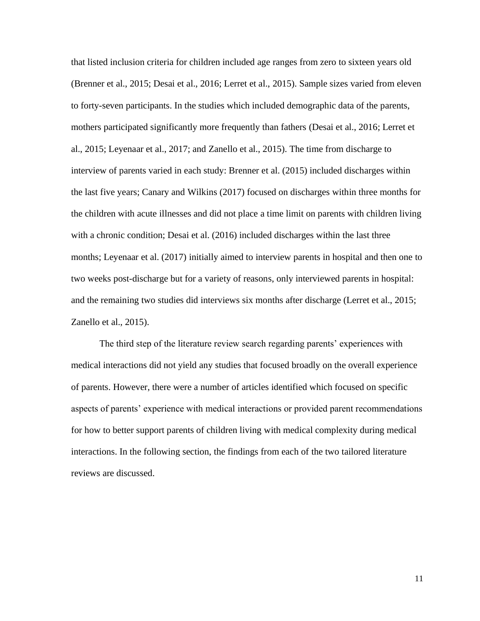that listed inclusion criteria for children included age ranges from zero to sixteen years old (Brenner et al., 2015; Desai et al., 2016; Lerret et al., 2015). Sample sizes varied from eleven to forty-seven participants. In the studies which included demographic data of the parents, mothers participated significantly more frequently than fathers (Desai et al., 2016; Lerret et al., 2015; Leyenaar et al., 2017; and Zanello et al., 2015). The time from discharge to interview of parents varied in each study: Brenner et al. (2015) included discharges within the last five years; Canary and Wilkins (2017) focused on discharges within three months for the children with acute illnesses and did not place a time limit on parents with children living with a chronic condition; Desai et al. (2016) included discharges within the last three months; Leyenaar et al. (2017) initially aimed to interview parents in hospital and then one to two weeks post-discharge but for a variety of reasons, only interviewed parents in hospital: and the remaining two studies did interviews six months after discharge (Lerret et al., 2015; Zanello et al., 2015).

The third step of the literature review search regarding parents' experiences with medical interactions did not yield any studies that focused broadly on the overall experience of parents. However, there were a number of articles identified which focused on specific aspects of parents' experience with medical interactions or provided parent recommendations for how to better support parents of children living with medical complexity during medical interactions. In the following section, the findings from each of the two tailored literature reviews are discussed.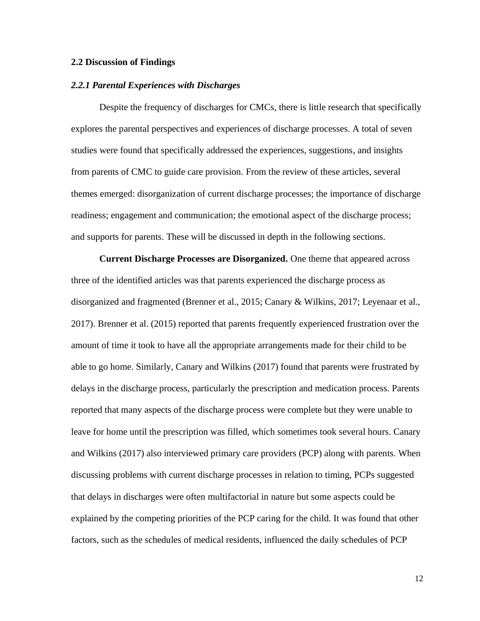### <span id="page-25-0"></span>**2.2 Discussion of Findings**

#### <span id="page-25-1"></span>*2.2.1 Parental Experiences with Discharges*

Despite the frequency of discharges for CMCs, there is little research that specifically explores the parental perspectives and experiences of discharge processes. A total of seven studies were found that specifically addressed the experiences, suggestions, and insights from parents of CMC to guide care provision. From the review of these articles, several themes emerged: disorganization of current discharge processes; the importance of discharge readiness; engagement and communication; the emotional aspect of the discharge process; and supports for parents. These will be discussed in depth in the following sections.

**Current Discharge Processes are Disorganized.** One theme that appeared across three of the identified articles was that parents experienced the discharge process as disorganized and fragmented (Brenner et al., 2015; Canary & Wilkins, 2017; Leyenaar et al., 2017). Brenner et al. (2015) reported that parents frequently experienced frustration over the amount of time it took to have all the appropriate arrangements made for their child to be able to go home. Similarly, Canary and Wilkins (2017) found that parents were frustrated by delays in the discharge process, particularly the prescription and medication process. Parents reported that many aspects of the discharge process were complete but they were unable to leave for home until the prescription was filled, which sometimes took several hours. Canary and Wilkins (2017) also interviewed primary care providers (PCP) along with parents. When discussing problems with current discharge processes in relation to timing, PCPs suggested that delays in discharges were often multifactorial in nature but some aspects could be explained by the competing priorities of the PCP caring for the child. It was found that other factors, such as the schedules of medical residents, influenced the daily schedules of PCP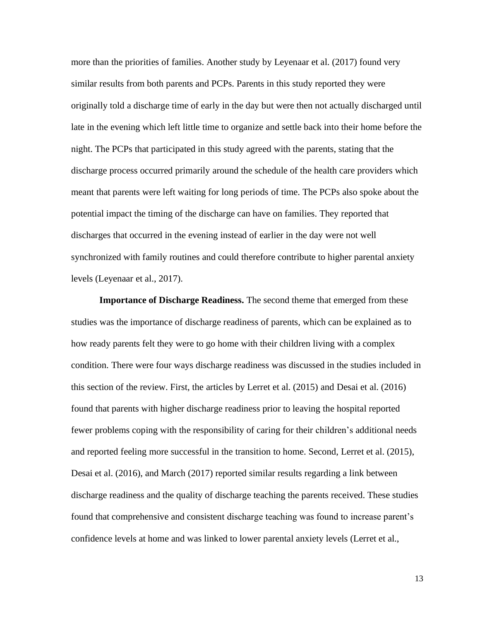more than the priorities of families. Another study by Leyenaar et al. (2017) found very similar results from both parents and PCPs. Parents in this study reported they were originally told a discharge time of early in the day but were then not actually discharged until late in the evening which left little time to organize and settle back into their home before the night. The PCPs that participated in this study agreed with the parents, stating that the discharge process occurred primarily around the schedule of the health care providers which meant that parents were left waiting for long periods of time. The PCPs also spoke about the potential impact the timing of the discharge can have on families. They reported that discharges that occurred in the evening instead of earlier in the day were not well synchronized with family routines and could therefore contribute to higher parental anxiety levels (Leyenaar et al., 2017).

**Importance of Discharge Readiness.** The second theme that emerged from these studies was the importance of discharge readiness of parents, which can be explained as to how ready parents felt they were to go home with their children living with a complex condition. There were four ways discharge readiness was discussed in the studies included in this section of the review. First, the articles by Lerret et al. (2015) and Desai et al. (2016) found that parents with higher discharge readiness prior to leaving the hospital reported fewer problems coping with the responsibility of caring for their children's additional needs and reported feeling more successful in the transition to home. Second, Lerret et al. (2015), Desai et al. (2016), and March (2017) reported similar results regarding a link between discharge readiness and the quality of discharge teaching the parents received. These studies found that comprehensive and consistent discharge teaching was found to increase parent's confidence levels at home and was linked to lower parental anxiety levels (Lerret et al.,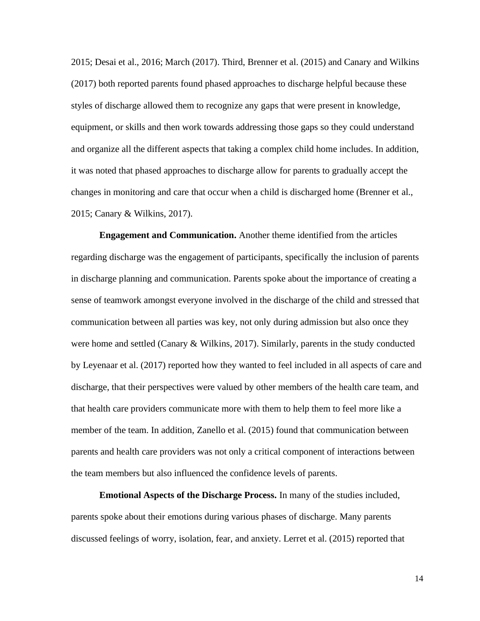2015; Desai et al., 2016; March (2017). Third, Brenner et al. (2015) and Canary and Wilkins (2017) both reported parents found phased approaches to discharge helpful because these styles of discharge allowed them to recognize any gaps that were present in knowledge, equipment, or skills and then work towards addressing those gaps so they could understand and organize all the different aspects that taking a complex child home includes. In addition, it was noted that phased approaches to discharge allow for parents to gradually accept the changes in monitoring and care that occur when a child is discharged home (Brenner et al., 2015; Canary & Wilkins, 2017).

**Engagement and Communication.** Another theme identified from the articles regarding discharge was the engagement of participants, specifically the inclusion of parents in discharge planning and communication. Parents spoke about the importance of creating a sense of teamwork amongst everyone involved in the discharge of the child and stressed that communication between all parties was key, not only during admission but also once they were home and settled (Canary & Wilkins, 2017). Similarly, parents in the study conducted by Leyenaar et al. (2017) reported how they wanted to feel included in all aspects of care and discharge, that their perspectives were valued by other members of the health care team, and that health care providers communicate more with them to help them to feel more like a member of the team. In addition, Zanello et al. (2015) found that communication between parents and health care providers was not only a critical component of interactions between the team members but also influenced the confidence levels of parents.

**Emotional Aspects of the Discharge Process.** In many of the studies included, parents spoke about their emotions during various phases of discharge. Many parents discussed feelings of worry, isolation, fear, and anxiety. Lerret et al. (2015) reported that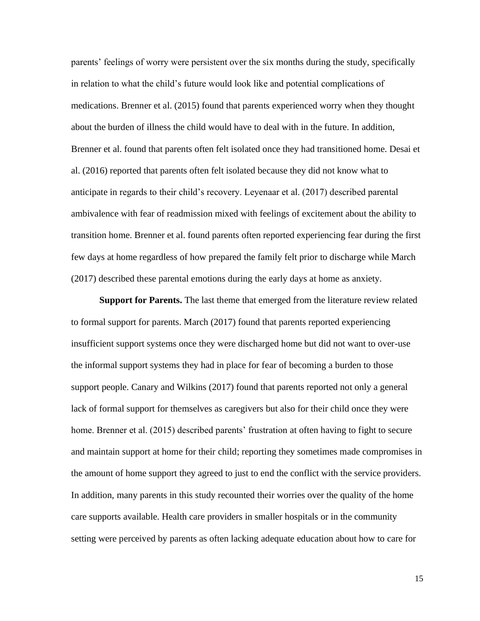parents' feelings of worry were persistent over the six months during the study, specifically in relation to what the child's future would look like and potential complications of medications. Brenner et al. (2015) found that parents experienced worry when they thought about the burden of illness the child would have to deal with in the future. In addition, Brenner et al. found that parents often felt isolated once they had transitioned home. Desai et al. (2016) reported that parents often felt isolated because they did not know what to anticipate in regards to their child's recovery. Leyenaar et al. (2017) described parental ambivalence with fear of readmission mixed with feelings of excitement about the ability to transition home. Brenner et al. found parents often reported experiencing fear during the first few days at home regardless of how prepared the family felt prior to discharge while March (2017) described these parental emotions during the early days at home as anxiety.

**Support for Parents.** The last theme that emerged from the literature review related to formal support for parents. March (2017) found that parents reported experiencing insufficient support systems once they were discharged home but did not want to over-use the informal support systems they had in place for fear of becoming a burden to those support people. Canary and Wilkins (2017) found that parents reported not only a general lack of formal support for themselves as caregivers but also for their child once they were home. Brenner et al. (2015) described parents' frustration at often having to fight to secure and maintain support at home for their child; reporting they sometimes made compromises in the amount of home support they agreed to just to end the conflict with the service providers. In addition, many parents in this study recounted their worries over the quality of the home care supports available. Health care providers in smaller hospitals or in the community setting were perceived by parents as often lacking adequate education about how to care for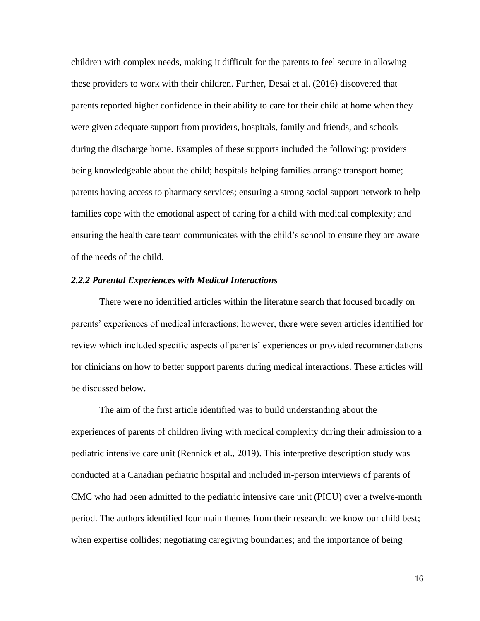children with complex needs, making it difficult for the parents to feel secure in allowing these providers to work with their children. Further, Desai et al. (2016) discovered that parents reported higher confidence in their ability to care for their child at home when they were given adequate support from providers, hospitals, family and friends, and schools during the discharge home. Examples of these supports included the following: providers being knowledgeable about the child; hospitals helping families arrange transport home; parents having access to pharmacy services; ensuring a strong social support network to help families cope with the emotional aspect of caring for a child with medical complexity; and ensuring the health care team communicates with the child's school to ensure they are aware of the needs of the child.

## <span id="page-29-0"></span>*2.2.2 Parental Experiences with Medical Interactions*

There were no identified articles within the literature search that focused broadly on parents' experiences of medical interactions; however, there were seven articles identified for review which included specific aspects of parents' experiences or provided recommendations for clinicians on how to better support parents during medical interactions. These articles will be discussed below.

The aim of the first article identified was to build understanding about the experiences of parents of children living with medical complexity during their admission to a pediatric intensive care unit (Rennick et al., 2019). This interpretive description study was conducted at a Canadian pediatric hospital and included in-person interviews of parents of CMC who had been admitted to the pediatric intensive care unit (PICU) over a twelve-month period. The authors identified four main themes from their research: we know our child best; when expertise collides; negotiating caregiving boundaries; and the importance of being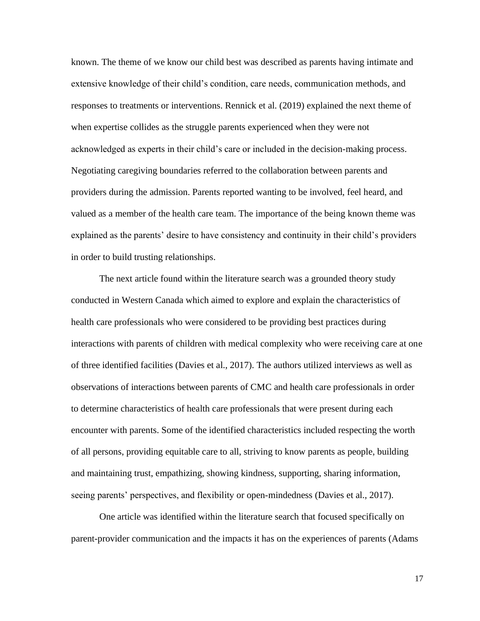known. The theme of we know our child best was described as parents having intimate and extensive knowledge of their child's condition, care needs, communication methods, and responses to treatments or interventions. Rennick et al. (2019) explained the next theme of when expertise collides as the struggle parents experienced when they were not acknowledged as experts in their child's care or included in the decision-making process. Negotiating caregiving boundaries referred to the collaboration between parents and providers during the admission. Parents reported wanting to be involved, feel heard, and valued as a member of the health care team. The importance of the being known theme was explained as the parents' desire to have consistency and continuity in their child's providers in order to build trusting relationships.

The next article found within the literature search was a grounded theory study conducted in Western Canada which aimed to explore and explain the characteristics of health care professionals who were considered to be providing best practices during interactions with parents of children with medical complexity who were receiving care at one of three identified facilities (Davies et al., 2017). The authors utilized interviews as well as observations of interactions between parents of CMC and health care professionals in order to determine characteristics of health care professionals that were present during each encounter with parents. Some of the identified characteristics included respecting the worth of all persons, providing equitable care to all, striving to know parents as people, building and maintaining trust, empathizing, showing kindness, supporting, sharing information, seeing parents' perspectives, and flexibility or open-mindedness (Davies et al., 2017).

One article was identified within the literature search that focused specifically on parent-provider communication and the impacts it has on the experiences of parents (Adams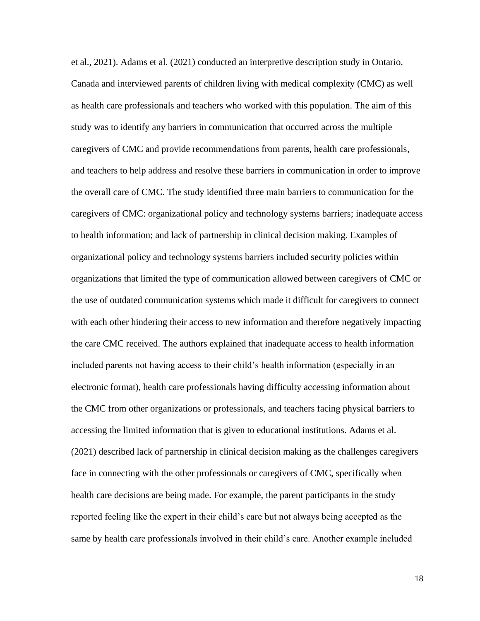et al., 2021). Adams et al. (2021) conducted an interpretive description study in Ontario, Canada and interviewed parents of children living with medical complexity (CMC) as well as health care professionals and teachers who worked with this population. The aim of this study was to identify any barriers in communication that occurred across the multiple caregivers of CMC and provide recommendations from parents, health care professionals, and teachers to help address and resolve these barriers in communication in order to improve the overall care of CMC. The study identified three main barriers to communication for the caregivers of CMC: organizational policy and technology systems barriers; inadequate access to health information; and lack of partnership in clinical decision making. Examples of organizational policy and technology systems barriers included security policies within organizations that limited the type of communication allowed between caregivers of CMC or the use of outdated communication systems which made it difficult for caregivers to connect with each other hindering their access to new information and therefore negatively impacting the care CMC received. The authors explained that inadequate access to health information included parents not having access to their child's health information (especially in an electronic format), health care professionals having difficulty accessing information about the CMC from other organizations or professionals, and teachers facing physical barriers to accessing the limited information that is given to educational institutions. Adams et al. (2021) described lack of partnership in clinical decision making as the challenges caregivers face in connecting with the other professionals or caregivers of CMC, specifically when health care decisions are being made. For example, the parent participants in the study reported feeling like the expert in their child's care but not always being accepted as the same by health care professionals involved in their child's care. Another example included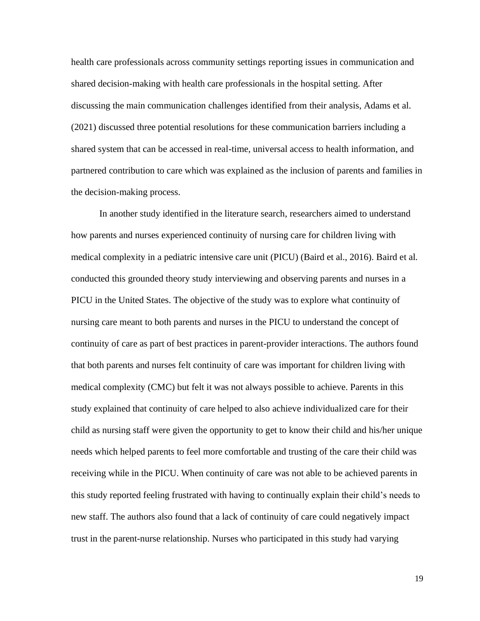health care professionals across community settings reporting issues in communication and shared decision-making with health care professionals in the hospital setting. After discussing the main communication challenges identified from their analysis, Adams et al. (2021) discussed three potential resolutions for these communication barriers including a shared system that can be accessed in real-time, universal access to health information, and partnered contribution to care which was explained as the inclusion of parents and families in the decision-making process.

In another study identified in the literature search, researchers aimed to understand how parents and nurses experienced continuity of nursing care for children living with medical complexity in a pediatric intensive care unit (PICU) (Baird et al., 2016). Baird et al. conducted this grounded theory study interviewing and observing parents and nurses in a PICU in the United States. The objective of the study was to explore what continuity of nursing care meant to both parents and nurses in the PICU to understand the concept of continuity of care as part of best practices in parent-provider interactions. The authors found that both parents and nurses felt continuity of care was important for children living with medical complexity (CMC) but felt it was not always possible to achieve. Parents in this study explained that continuity of care helped to also achieve individualized care for their child as nursing staff were given the opportunity to get to know their child and his/her unique needs which helped parents to feel more comfortable and trusting of the care their child was receiving while in the PICU. When continuity of care was not able to be achieved parents in this study reported feeling frustrated with having to continually explain their child's needs to new staff. The authors also found that a lack of continuity of care could negatively impact trust in the parent-nurse relationship. Nurses who participated in this study had varying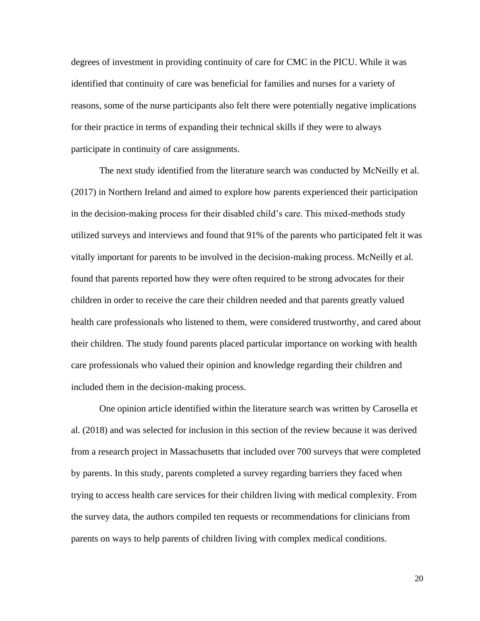degrees of investment in providing continuity of care for CMC in the PICU. While it was identified that continuity of care was beneficial for families and nurses for a variety of reasons, some of the nurse participants also felt there were potentially negative implications for their practice in terms of expanding their technical skills if they were to always participate in continuity of care assignments.

The next study identified from the literature search was conducted by McNeilly et al. (2017) in Northern Ireland and aimed to explore how parents experienced their participation in the decision-making process for their disabled child's care. This mixed-methods study utilized surveys and interviews and found that 91% of the parents who participated felt it was vitally important for parents to be involved in the decision-making process. McNeilly et al. found that parents reported how they were often required to be strong advocates for their children in order to receive the care their children needed and that parents greatly valued health care professionals who listened to them, were considered trustworthy, and cared about their children. The study found parents placed particular importance on working with health care professionals who valued their opinion and knowledge regarding their children and included them in the decision-making process.

One opinion article identified within the literature search was written by Carosella et al. (2018) and was selected for inclusion in this section of the review because it was derived from a research project in Massachusetts that included over 700 surveys that were completed by parents. In this study, parents completed a survey regarding barriers they faced when trying to access health care services for their children living with medical complexity. From the survey data, the authors compiled ten requests or recommendations for clinicians from parents on ways to help parents of children living with complex medical conditions.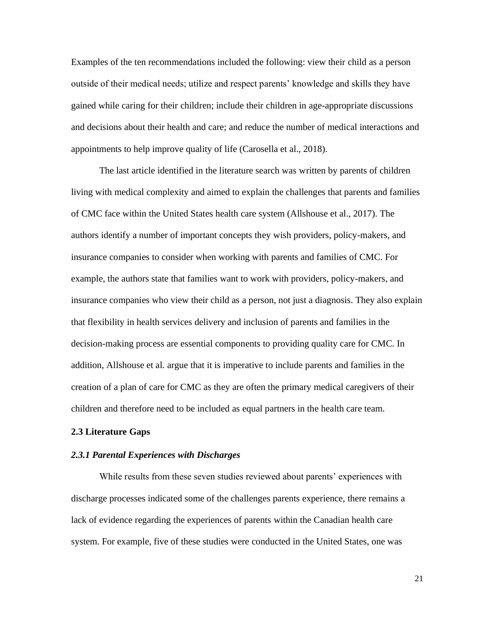Examples of the ten recommendations included the following: view their child as a person outside of their medical needs; utilize and respect parents' knowledge and skills they have gained while caring for their children; include their children in age-appropriate discussions and decisions about their health and care; and reduce the number of medical interactions and appointments to help improve quality of life (Carosella et al., 2018).

The last article identified in the literature search was written by parents of children living with medical complexity and aimed to explain the challenges that parents and families of CMC face within the United States health care system (Allshouse et al., 2017). The authors identify a number of important concepts they wish providers, policy-makers, and insurance companies to consider when working with parents and families of CMC. For example, the authors state that families want to work with providers, policy-makers, and insurance companies who view their child as a person, not just a diagnosis. They also explain that flexibility in health services delivery and inclusion of parents and families in the decision-making process are essential components to providing quality care for CMC. In addition, Allshouse et al. argue that it is imperative to include parents and families in the creation of a plan of care for CMC as they are often the primary medical caregivers of their children and therefore need to be included as equal partners in the health care team.

#### <span id="page-34-0"></span>**2.3 Literature Gaps**

#### <span id="page-34-1"></span>*2.3.1 Parental Experiences with Discharges*

While results from these seven studies reviewed about parents' experiences with discharge processes indicated some of the challenges parents experience, there remains a lack of evidence regarding the experiences of parents within the Canadian health care system. For example, five of these studies were conducted in the United States, one was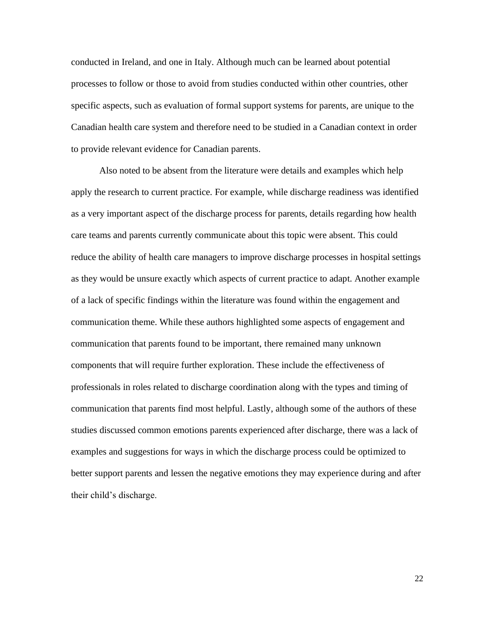conducted in Ireland, and one in Italy. Although much can be learned about potential processes to follow or those to avoid from studies conducted within other countries, other specific aspects, such as evaluation of formal support systems for parents, are unique to the Canadian health care system and therefore need to be studied in a Canadian context in order to provide relevant evidence for Canadian parents.

Also noted to be absent from the literature were details and examples which help apply the research to current practice. For example, while discharge readiness was identified as a very important aspect of the discharge process for parents, details regarding how health care teams and parents currently communicate about this topic were absent. This could reduce the ability of health care managers to improve discharge processes in hospital settings as they would be unsure exactly which aspects of current practice to adapt. Another example of a lack of specific findings within the literature was found within the engagement and communication theme. While these authors highlighted some aspects of engagement and communication that parents found to be important, there remained many unknown components that will require further exploration. These include the effectiveness of professionals in roles related to discharge coordination along with the types and timing of communication that parents find most helpful. Lastly, although some of the authors of these studies discussed common emotions parents experienced after discharge, there was a lack of examples and suggestions for ways in which the discharge process could be optimized to better support parents and lessen the negative emotions they may experience during and after their child's discharge.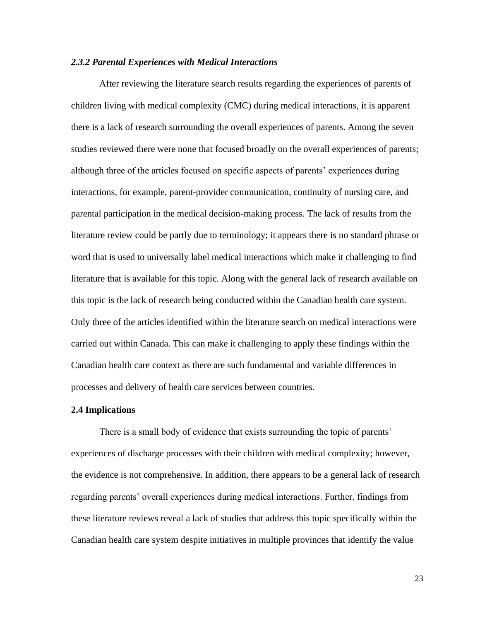#### *2.3.2 Parental Experiences with Medical Interactions*

After reviewing the literature search results regarding the experiences of parents of children living with medical complexity (CMC) during medical interactions, it is apparent there is a lack of research surrounding the overall experiences of parents. Among the seven studies reviewed there were none that focused broadly on the overall experiences of parents; although three of the articles focused on specific aspects of parents' experiences during interactions, for example, parent-provider communication, continuity of nursing care, and parental participation in the medical decision-making process. The lack of results from the literature review could be partly due to terminology; it appears there is no standard phrase or word that is used to universally label medical interactions which make it challenging to find literature that is available for this topic. Along with the general lack of research available on this topic is the lack of research being conducted within the Canadian health care system. Only three of the articles identified within the literature search on medical interactions were carried out within Canada. This can make it challenging to apply these findings within the Canadian health care context as there are such fundamental and variable differences in processes and delivery of health care services between countries.

#### **2.4 Implications**

There is a small body of evidence that exists surrounding the topic of parents' experiences of discharge processes with their children with medical complexity; however, the evidence is not comprehensive. In addition, there appears to be a general lack of research regarding parents' overall experiences during medical interactions. Further, findings from these literature reviews reveal a lack of studies that address this topic specifically within the Canadian health care system despite initiatives in multiple provinces that identify the value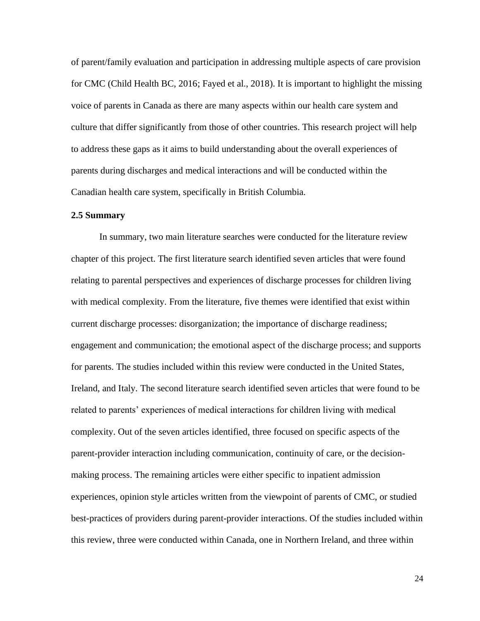of parent/family evaluation and participation in addressing multiple aspects of care provision for CMC (Child Health BC, 2016; Fayed et al., 2018). It is important to highlight the missing voice of parents in Canada as there are many aspects within our health care system and culture that differ significantly from those of other countries. This research project will help to address these gaps as it aims to build understanding about the overall experiences of parents during discharges and medical interactions and will be conducted within the Canadian health care system, specifically in British Columbia.

# **2.5 Summary**

In summary, two main literature searches were conducted for the literature review chapter of this project. The first literature search identified seven articles that were found relating to parental perspectives and experiences of discharge processes for children living with medical complexity. From the literature, five themes were identified that exist within current discharge processes: disorganization; the importance of discharge readiness; engagement and communication; the emotional aspect of the discharge process; and supports for parents. The studies included within this review were conducted in the United States, Ireland, and Italy. The second literature search identified seven articles that were found to be related to parents' experiences of medical interactions for children living with medical complexity. Out of the seven articles identified, three focused on specific aspects of the parent-provider interaction including communication, continuity of care, or the decisionmaking process. The remaining articles were either specific to inpatient admission experiences, opinion style articles written from the viewpoint of parents of CMC, or studied best-practices of providers during parent-provider interactions. Of the studies included within this review, three were conducted within Canada, one in Northern Ireland, and three within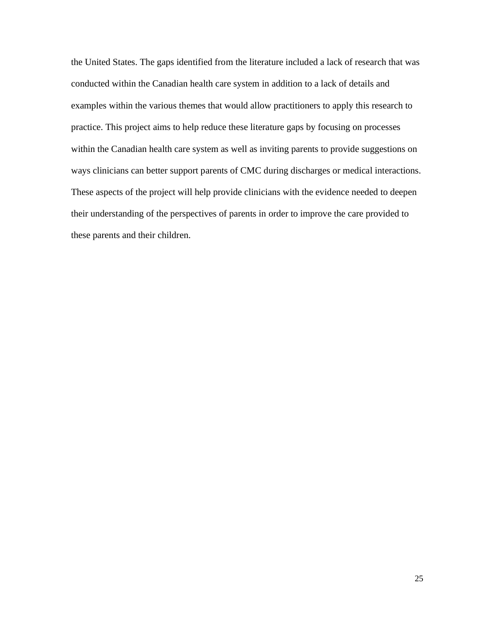the United States. The gaps identified from the literature included a lack of research that was conducted within the Canadian health care system in addition to a lack of details and examples within the various themes that would allow practitioners to apply this research to practice. This project aims to help reduce these literature gaps by focusing on processes within the Canadian health care system as well as inviting parents to provide suggestions on ways clinicians can better support parents of CMC during discharges or medical interactions. These aspects of the project will help provide clinicians with the evidence needed to deepen their understanding of the perspectives of parents in order to improve the care provided to these parents and their children.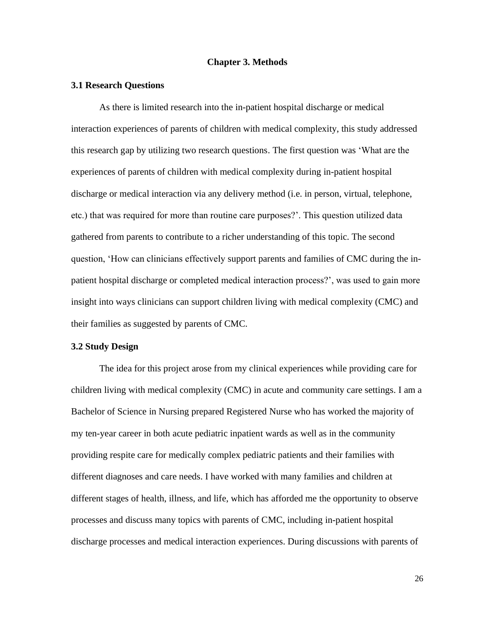# **Chapter 3. Methods**

#### **3.1 Research Questions**

As there is limited research into the in-patient hospital discharge or medical interaction experiences of parents of children with medical complexity, this study addressed this research gap by utilizing two research questions. The first question was 'What are the experiences of parents of children with medical complexity during in-patient hospital discharge or medical interaction via any delivery method (i.e. in person, virtual, telephone, etc.) that was required for more than routine care purposes?'. This question utilized data gathered from parents to contribute to a richer understanding of this topic. The second question, 'How can clinicians effectively support parents and families of CMC during the inpatient hospital discharge or completed medical interaction process?', was used to gain more insight into ways clinicians can support children living with medical complexity (CMC) and their families as suggested by parents of CMC.

# **3.2 Study Design**

The idea for this project arose from my clinical experiences while providing care for children living with medical complexity (CMC) in acute and community care settings. I am a Bachelor of Science in Nursing prepared Registered Nurse who has worked the majority of my ten-year career in both acute pediatric inpatient wards as well as in the community providing respite care for medically complex pediatric patients and their families with different diagnoses and care needs. I have worked with many families and children at different stages of health, illness, and life, which has afforded me the opportunity to observe processes and discuss many topics with parents of CMC, including in-patient hospital discharge processes and medical interaction experiences. During discussions with parents of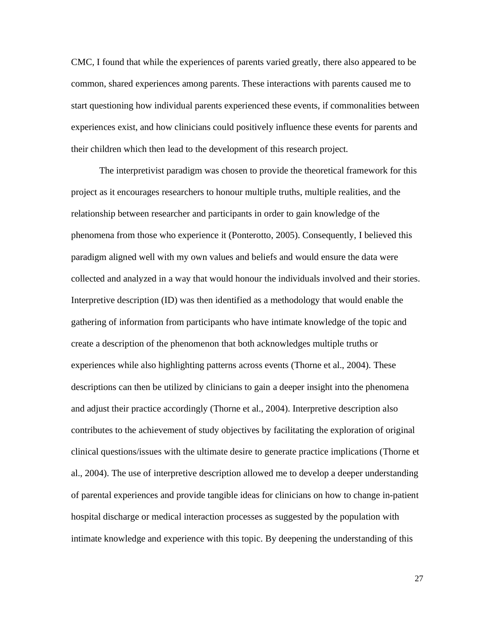CMC, I found that while the experiences of parents varied greatly, there also appeared to be common, shared experiences among parents. These interactions with parents caused me to start questioning how individual parents experienced these events, if commonalities between experiences exist, and how clinicians could positively influence these events for parents and their children which then lead to the development of this research project.

The interpretivist paradigm was chosen to provide the theoretical framework for this project as it encourages researchers to honour multiple truths, multiple realities, and the relationship between researcher and participants in order to gain knowledge of the phenomena from those who experience it (Ponterotto, 2005). Consequently, I believed this paradigm aligned well with my own values and beliefs and would ensure the data were collected and analyzed in a way that would honour the individuals involved and their stories. Interpretive description (ID) was then identified as a methodology that would enable the gathering of information from participants who have intimate knowledge of the topic and create a description of the phenomenon that both acknowledges multiple truths or experiences while also highlighting patterns across events (Thorne et al., 2004). These descriptions can then be utilized by clinicians to gain a deeper insight into the phenomena and adjust their practice accordingly (Thorne et al., 2004). Interpretive description also contributes to the achievement of study objectives by facilitating the exploration of original clinical questions/issues with the ultimate desire to generate practice implications (Thorne et al., 2004). The use of interpretive description allowed me to develop a deeper understanding of parental experiences and provide tangible ideas for clinicians on how to change in-patient hospital discharge or medical interaction processes as suggested by the population with intimate knowledge and experience with this topic. By deepening the understanding of this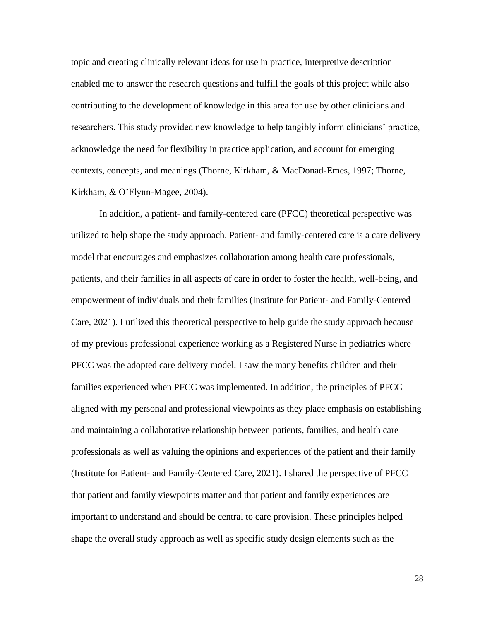topic and creating clinically relevant ideas for use in practice, interpretive description enabled me to answer the research questions and fulfill the goals of this project while also contributing to the development of knowledge in this area for use by other clinicians and researchers. This study provided new knowledge to help tangibly inform clinicians' practice, acknowledge the need for flexibility in practice application, and account for emerging contexts, concepts, and meanings (Thorne, Kirkham, & MacDonad-Emes, 1997; Thorne, Kirkham, & O'Flynn-Magee, 2004).

In addition, a patient- and family-centered care (PFCC) theoretical perspective was utilized to help shape the study approach. Patient- and family-centered care is a care delivery model that encourages and emphasizes collaboration among health care professionals, patients, and their families in all aspects of care in order to foster the health, well-being, and empowerment of individuals and their families (Institute for Patient- and Family-Centered Care, 2021). I utilized this theoretical perspective to help guide the study approach because of my previous professional experience working as a Registered Nurse in pediatrics where PFCC was the adopted care delivery model. I saw the many benefits children and their families experienced when PFCC was implemented. In addition, the principles of PFCC aligned with my personal and professional viewpoints as they place emphasis on establishing and maintaining a collaborative relationship between patients, families, and health care professionals as well as valuing the opinions and experiences of the patient and their family (Institute for Patient- and Family-Centered Care, 2021). I shared the perspective of PFCC that patient and family viewpoints matter and that patient and family experiences are important to understand and should be central to care provision. These principles helped shape the overall study approach as well as specific study design elements such as the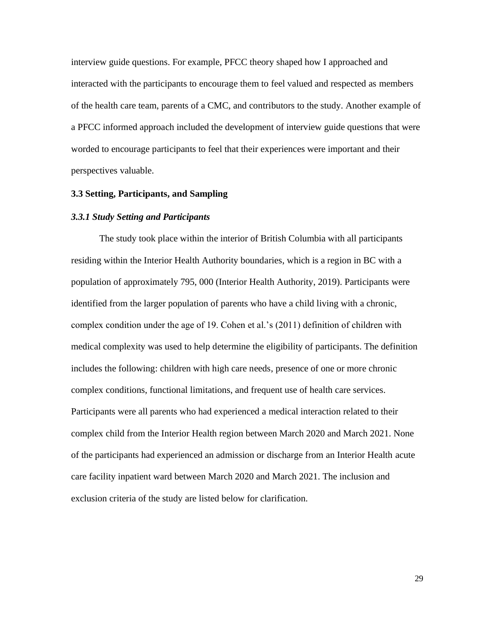interview guide questions. For example, PFCC theory shaped how I approached and interacted with the participants to encourage them to feel valued and respected as members of the health care team, parents of a CMC, and contributors to the study. Another example of a PFCC informed approach included the development of interview guide questions that were worded to encourage participants to feel that their experiences were important and their perspectives valuable.

# **3.3 Setting, Participants, and Sampling**

#### *3.3.1 Study Setting and Participants*

The study took place within the interior of British Columbia with all participants residing within the Interior Health Authority boundaries, which is a region in BC with a population of approximately 795, 000 (Interior Health Authority, 2019). Participants were identified from the larger population of parents who have a child living with a chronic, complex condition under the age of 19. Cohen et al.'s (2011) definition of children with medical complexity was used to help determine the eligibility of participants. The definition includes the following: children with high care needs, presence of one or more chronic complex conditions, functional limitations, and frequent use of health care services. Participants were all parents who had experienced a medical interaction related to their complex child from the Interior Health region between March 2020 and March 2021. None of the participants had experienced an admission or discharge from an Interior Health acute care facility inpatient ward between March 2020 and March 2021. The inclusion and exclusion criteria of the study are listed below for clarification.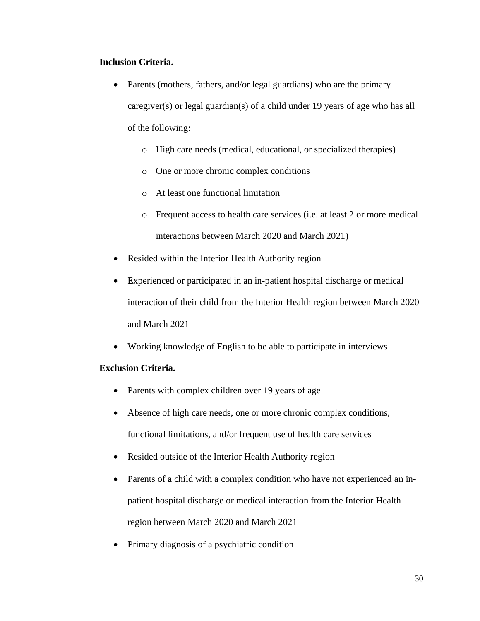# **Inclusion Criteria.**

- Parents (mothers, fathers, and/or legal guardians) who are the primary caregiver(s) or legal guardian(s) of a child under 19 years of age who has all of the following:
	- o High care needs (medical, educational, or specialized therapies)
	- o One or more chronic complex conditions
	- o At least one functional limitation
	- o Frequent access to health care services (i.e. at least 2 or more medical interactions between March 2020 and March 2021)
- Resided within the Interior Health Authority region
- Experienced or participated in an in-patient hospital discharge or medical interaction of their child from the Interior Health region between March 2020 and March 2021
- Working knowledge of English to be able to participate in interviews

# **Exclusion Criteria.**

- Parents with complex children over 19 years of age
- Absence of high care needs, one or more chronic complex conditions, functional limitations, and/or frequent use of health care services
- Resided outside of the Interior Health Authority region
- Parents of a child with a complex condition who have not experienced an inpatient hospital discharge or medical interaction from the Interior Health region between March 2020 and March 2021
- Primary diagnosis of a psychiatric condition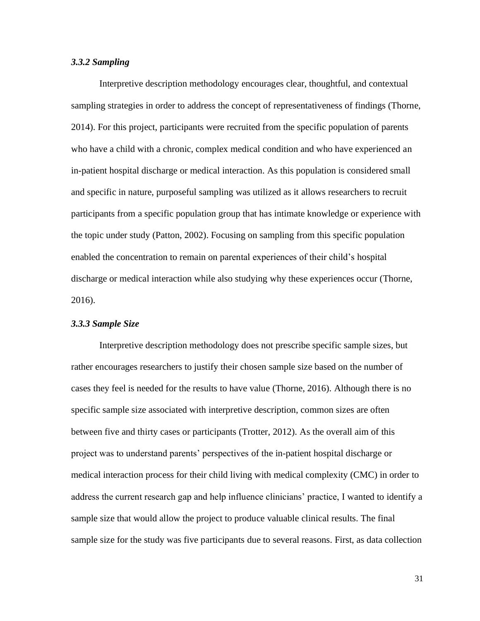# *3.3.2 Sampling*

Interpretive description methodology encourages clear, thoughtful, and contextual sampling strategies in order to address the concept of representativeness of findings (Thorne, 2014). For this project, participants were recruited from the specific population of parents who have a child with a chronic, complex medical condition and who have experienced an in-patient hospital discharge or medical interaction. As this population is considered small and specific in nature, purposeful sampling was utilized as it allows researchers to recruit participants from a specific population group that has intimate knowledge or experience with the topic under study (Patton, 2002). Focusing on sampling from this specific population enabled the concentration to remain on parental experiences of their child's hospital discharge or medical interaction while also studying why these experiences occur (Thorne, 2016).

#### *3.3.3 Sample Size*

Interpretive description methodology does not prescribe specific sample sizes, but rather encourages researchers to justify their chosen sample size based on the number of cases they feel is needed for the results to have value (Thorne, 2016). Although there is no specific sample size associated with interpretive description, common sizes are often between five and thirty cases or participants (Trotter, 2012). As the overall aim of this project was to understand parents' perspectives of the in-patient hospital discharge or medical interaction process for their child living with medical complexity (CMC) in order to address the current research gap and help influence clinicians' practice, I wanted to identify a sample size that would allow the project to produce valuable clinical results. The final sample size for the study was five participants due to several reasons. First, as data collection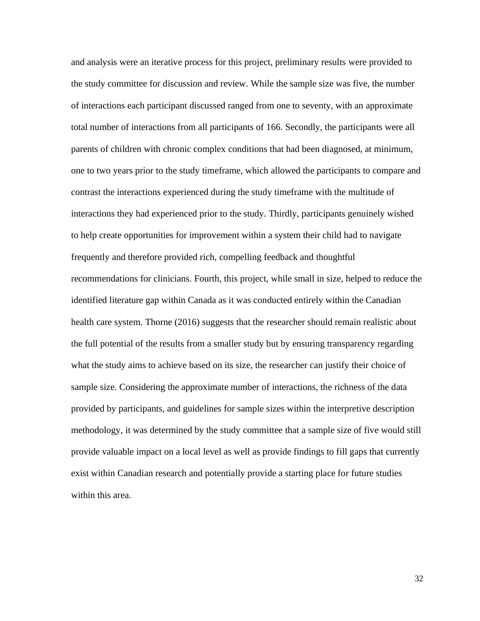and analysis were an iterative process for this project, preliminary results were provided to the study committee for discussion and review. While the sample size was five, the number of interactions each participant discussed ranged from one to seventy, with an approximate total number of interactions from all participants of 166. Secondly, the participants were all parents of children with chronic complex conditions that had been diagnosed, at minimum, one to two years prior to the study timeframe, which allowed the participants to compare and contrast the interactions experienced during the study timeframe with the multitude of interactions they had experienced prior to the study. Thirdly, participants genuinely wished to help create opportunities for improvement within a system their child had to navigate frequently and therefore provided rich, compelling feedback and thoughtful recommendations for clinicians. Fourth, this project, while small in size, helped to reduce the identified literature gap within Canada as it was conducted entirely within the Canadian health care system. Thorne (2016) suggests that the researcher should remain realistic about the full potential of the results from a smaller study but by ensuring transparency regarding what the study aims to achieve based on its size, the researcher can justify their choice of sample size. Considering the approximate number of interactions, the richness of the data provided by participants, and guidelines for sample sizes within the interpretive description methodology, it was determined by the study committee that a sample size of five would still provide valuable impact on a local level as well as provide findings to fill gaps that currently exist within Canadian research and potentially provide a starting place for future studies within this area.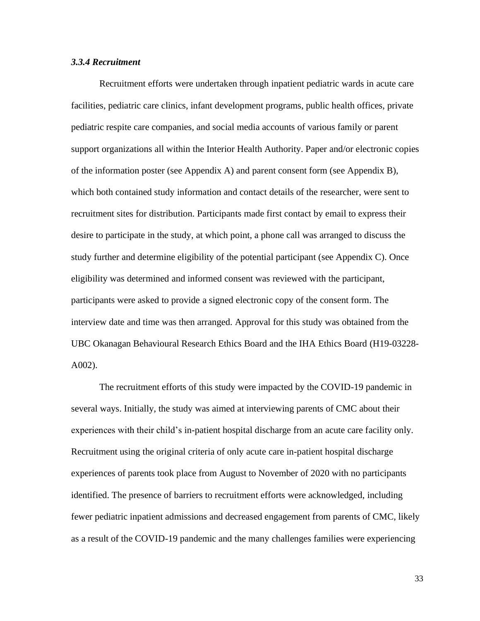# *3.3.4 Recruitment*

Recruitment efforts were undertaken through inpatient pediatric wards in acute care facilities, pediatric care clinics, infant development programs, public health offices, private pediatric respite care companies, and social media accounts of various family or parent support organizations all within the Interior Health Authority. Paper and/or electronic copies of the information poster (see Appendix A) and parent consent form (see Appendix B), which both contained study information and contact details of the researcher, were sent to recruitment sites for distribution. Participants made first contact by email to express their desire to participate in the study, at which point, a phone call was arranged to discuss the study further and determine eligibility of the potential participant (see Appendix C). Once eligibility was determined and informed consent was reviewed with the participant, participants were asked to provide a signed electronic copy of the consent form. The interview date and time was then arranged. Approval for this study was obtained from the UBC Okanagan Behavioural Research Ethics Board and the IHA Ethics Board (H19-03228- A002).

The recruitment efforts of this study were impacted by the COVID-19 pandemic in several ways. Initially, the study was aimed at interviewing parents of CMC about their experiences with their child's in-patient hospital discharge from an acute care facility only. Recruitment using the original criteria of only acute care in-patient hospital discharge experiences of parents took place from August to November of 2020 with no participants identified. The presence of barriers to recruitment efforts were acknowledged, including fewer pediatric inpatient admissions and decreased engagement from parents of CMC, likely as a result of the COVID-19 pandemic and the many challenges families were experiencing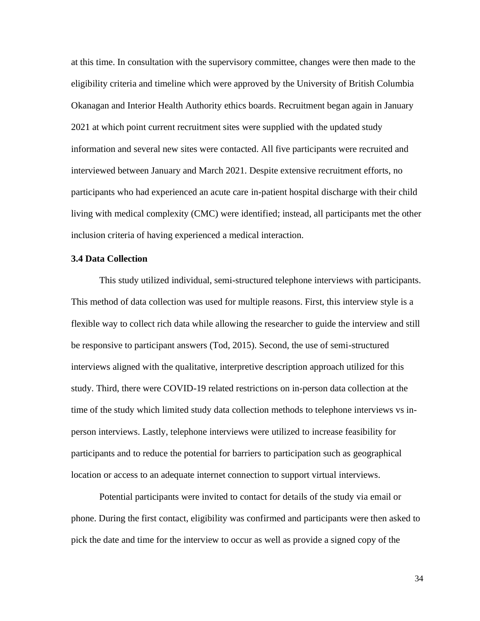at this time. In consultation with the supervisory committee, changes were then made to the eligibility criteria and timeline which were approved by the University of British Columbia Okanagan and Interior Health Authority ethics boards. Recruitment began again in January 2021 at which point current recruitment sites were supplied with the updated study information and several new sites were contacted. All five participants were recruited and interviewed between January and March 2021. Despite extensive recruitment efforts, no participants who had experienced an acute care in-patient hospital discharge with their child living with medical complexity (CMC) were identified; instead, all participants met the other inclusion criteria of having experienced a medical interaction.

# **3.4 Data Collection**

This study utilized individual, semi-structured telephone interviews with participants. This method of data collection was used for multiple reasons. First, this interview style is a flexible way to collect rich data while allowing the researcher to guide the interview and still be responsive to participant answers (Tod, 2015). Second, the use of semi-structured interviews aligned with the qualitative, interpretive description approach utilized for this study. Third, there were COVID-19 related restrictions on in-person data collection at the time of the study which limited study data collection methods to telephone interviews vs inperson interviews. Lastly, telephone interviews were utilized to increase feasibility for participants and to reduce the potential for barriers to participation such as geographical location or access to an adequate internet connection to support virtual interviews.

Potential participants were invited to contact for details of the study via email or phone. During the first contact, eligibility was confirmed and participants were then asked to pick the date and time for the interview to occur as well as provide a signed copy of the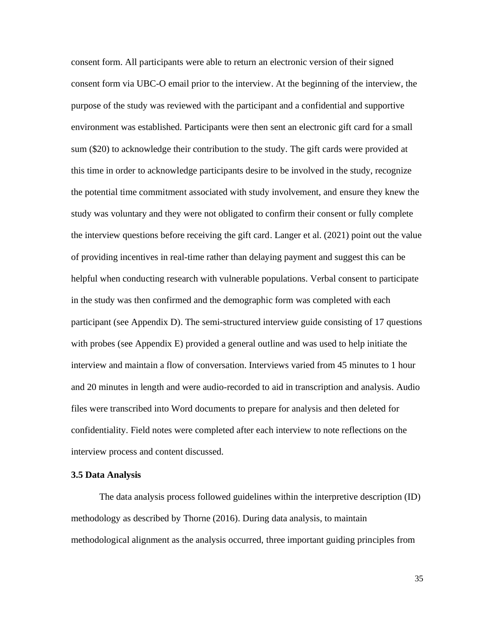consent form. All participants were able to return an electronic version of their signed consent form via UBC-O email prior to the interview. At the beginning of the interview, the purpose of the study was reviewed with the participant and a confidential and supportive environment was established. Participants were then sent an electronic gift card for a small sum (\$20) to acknowledge their contribution to the study. The gift cards were provided at this time in order to acknowledge participants desire to be involved in the study, recognize the potential time commitment associated with study involvement, and ensure they knew the study was voluntary and they were not obligated to confirm their consent or fully complete the interview questions before receiving the gift card. Langer et al. (2021) point out the value of providing incentives in real-time rather than delaying payment and suggest this can be helpful when conducting research with vulnerable populations. Verbal consent to participate in the study was then confirmed and the demographic form was completed with each participant (see Appendix D). The semi-structured interview guide consisting of 17 questions with probes (see Appendix E) provided a general outline and was used to help initiate the interview and maintain a flow of conversation. Interviews varied from 45 minutes to 1 hour and 20 minutes in length and were audio-recorded to aid in transcription and analysis. Audio files were transcribed into Word documents to prepare for analysis and then deleted for confidentiality. Field notes were completed after each interview to note reflections on the interview process and content discussed.

# **3.5 Data Analysis**

The data analysis process followed guidelines within the interpretive description (ID) methodology as described by Thorne (2016). During data analysis, to maintain methodological alignment as the analysis occurred, three important guiding principles from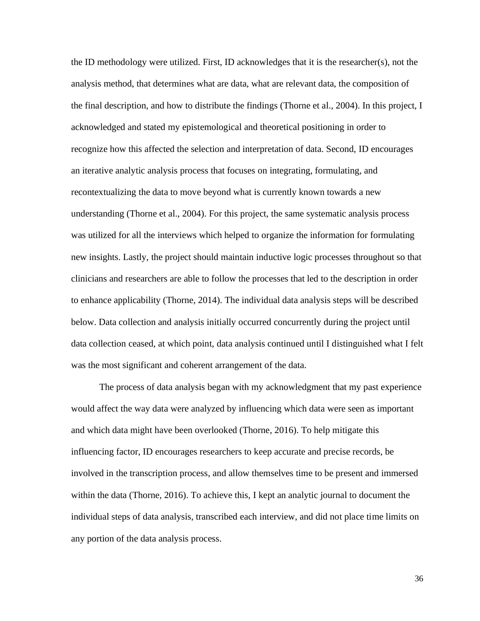the ID methodology were utilized. First, ID acknowledges that it is the researcher(s), not the analysis method, that determines what are data, what are relevant data, the composition of the final description, and how to distribute the findings (Thorne et al., 2004). In this project, I acknowledged and stated my epistemological and theoretical positioning in order to recognize how this affected the selection and interpretation of data. Second, ID encourages an iterative analytic analysis process that focuses on integrating, formulating, and recontextualizing the data to move beyond what is currently known towards a new understanding (Thorne et al., 2004). For this project, the same systematic analysis process was utilized for all the interviews which helped to organize the information for formulating new insights. Lastly, the project should maintain inductive logic processes throughout so that clinicians and researchers are able to follow the processes that led to the description in order to enhance applicability (Thorne, 2014). The individual data analysis steps will be described below. Data collection and analysis initially occurred concurrently during the project until data collection ceased, at which point, data analysis continued until I distinguished what I felt was the most significant and coherent arrangement of the data.

The process of data analysis began with my acknowledgment that my past experience would affect the way data were analyzed by influencing which data were seen as important and which data might have been overlooked (Thorne, 2016). To help mitigate this influencing factor, ID encourages researchers to keep accurate and precise records, be involved in the transcription process, and allow themselves time to be present and immersed within the data (Thorne, 2016). To achieve this, I kept an analytic journal to document the individual steps of data analysis, transcribed each interview, and did not place time limits on any portion of the data analysis process.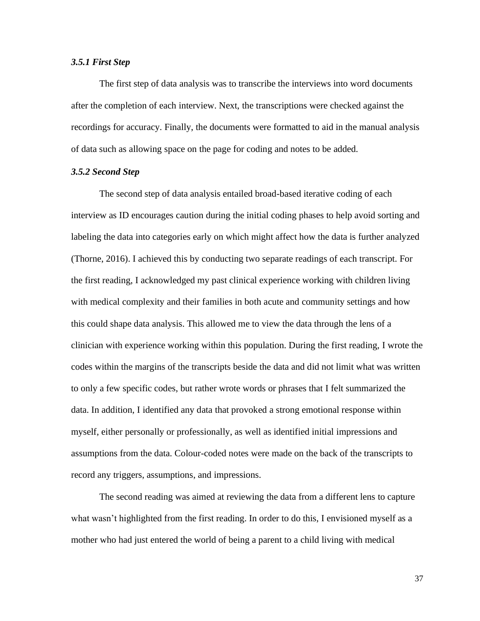#### *3.5.1 First Step*

The first step of data analysis was to transcribe the interviews into word documents after the completion of each interview. Next, the transcriptions were checked against the recordings for accuracy. Finally, the documents were formatted to aid in the manual analysis of data such as allowing space on the page for coding and notes to be added.

# *3.5.2 Second Step*

The second step of data analysis entailed broad-based iterative coding of each interview as ID encourages caution during the initial coding phases to help avoid sorting and labeling the data into categories early on which might affect how the data is further analyzed (Thorne, 2016). I achieved this by conducting two separate readings of each transcript. For the first reading, I acknowledged my past clinical experience working with children living with medical complexity and their families in both acute and community settings and how this could shape data analysis. This allowed me to view the data through the lens of a clinician with experience working within this population. During the first reading, I wrote the codes within the margins of the transcripts beside the data and did not limit what was written to only a few specific codes, but rather wrote words or phrases that I felt summarized the data. In addition, I identified any data that provoked a strong emotional response within myself, either personally or professionally, as well as identified initial impressions and assumptions from the data. Colour-coded notes were made on the back of the transcripts to record any triggers, assumptions, and impressions.

The second reading was aimed at reviewing the data from a different lens to capture what wasn't highlighted from the first reading. In order to do this, I envisioned myself as a mother who had just entered the world of being a parent to a child living with medical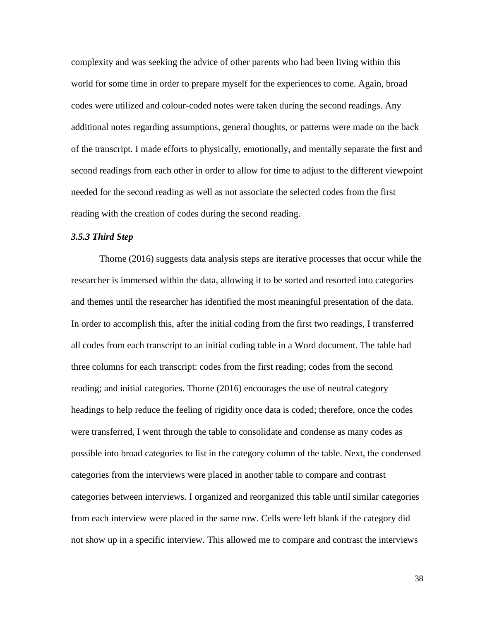complexity and was seeking the advice of other parents who had been living within this world for some time in order to prepare myself for the experiences to come. Again, broad codes were utilized and colour-coded notes were taken during the second readings. Any additional notes regarding assumptions, general thoughts, or patterns were made on the back of the transcript. I made efforts to physically, emotionally, and mentally separate the first and second readings from each other in order to allow for time to adjust to the different viewpoint needed for the second reading as well as not associate the selected codes from the first reading with the creation of codes during the second reading.

# *3.5.3 Third Step*

Thorne (2016) suggests data analysis steps are iterative processes that occur while the researcher is immersed within the data, allowing it to be sorted and resorted into categories and themes until the researcher has identified the most meaningful presentation of the data. In order to accomplish this, after the initial coding from the first two readings, I transferred all codes from each transcript to an initial coding table in a Word document. The table had three columns for each transcript: codes from the first reading; codes from the second reading; and initial categories. Thorne (2016) encourages the use of neutral category headings to help reduce the feeling of rigidity once data is coded; therefore, once the codes were transferred, I went through the table to consolidate and condense as many codes as possible into broad categories to list in the category column of the table. Next, the condensed categories from the interviews were placed in another table to compare and contrast categories between interviews. I organized and reorganized this table until similar categories from each interview were placed in the same row. Cells were left blank if the category did not show up in a specific interview. This allowed me to compare and contrast the interviews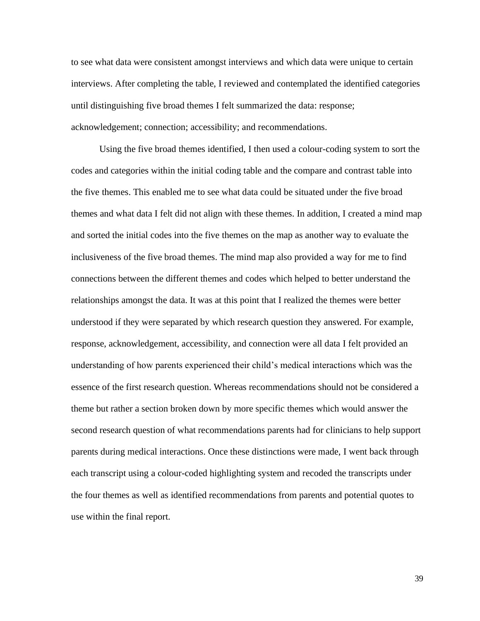to see what data were consistent amongst interviews and which data were unique to certain interviews. After completing the table, I reviewed and contemplated the identified categories until distinguishing five broad themes I felt summarized the data: response; acknowledgement; connection; accessibility; and recommendations.

Using the five broad themes identified, I then used a colour-coding system to sort the codes and categories within the initial coding table and the compare and contrast table into the five themes. This enabled me to see what data could be situated under the five broad themes and what data I felt did not align with these themes. In addition, I created a mind map and sorted the initial codes into the five themes on the map as another way to evaluate the inclusiveness of the five broad themes. The mind map also provided a way for me to find connections between the different themes and codes which helped to better understand the relationships amongst the data. It was at this point that I realized the themes were better understood if they were separated by which research question they answered. For example, response, acknowledgement, accessibility, and connection were all data I felt provided an understanding of how parents experienced their child's medical interactions which was the essence of the first research question. Whereas recommendations should not be considered a theme but rather a section broken down by more specific themes which would answer the second research question of what recommendations parents had for clinicians to help support parents during medical interactions. Once these distinctions were made, I went back through each transcript using a colour-coded highlighting system and recoded the transcripts under the four themes as well as identified recommendations from parents and potential quotes to use within the final report.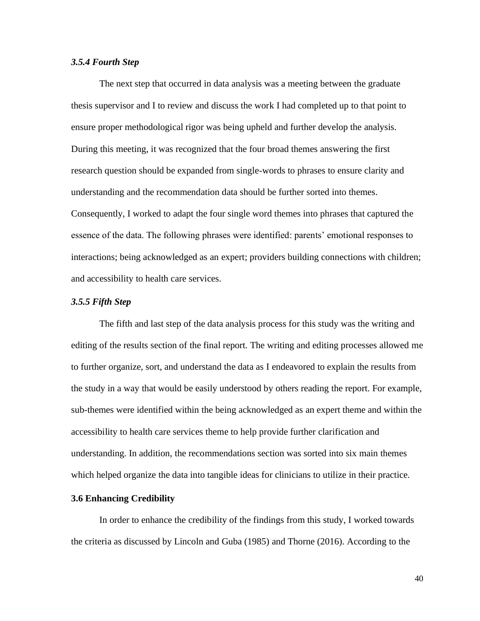#### *3.5.4 Fourth Step*

The next step that occurred in data analysis was a meeting between the graduate thesis supervisor and I to review and discuss the work I had completed up to that point to ensure proper methodological rigor was being upheld and further develop the analysis. During this meeting, it was recognized that the four broad themes answering the first research question should be expanded from single-words to phrases to ensure clarity and understanding and the recommendation data should be further sorted into themes. Consequently, I worked to adapt the four single word themes into phrases that captured the essence of the data. The following phrases were identified: parents' emotional responses to interactions; being acknowledged as an expert; providers building connections with children; and accessibility to health care services.

# *3.5.5 Fifth Step*

The fifth and last step of the data analysis process for this study was the writing and editing of the results section of the final report. The writing and editing processes allowed me to further organize, sort, and understand the data as I endeavored to explain the results from the study in a way that would be easily understood by others reading the report. For example, sub-themes were identified within the being acknowledged as an expert theme and within the accessibility to health care services theme to help provide further clarification and understanding. In addition, the recommendations section was sorted into six main themes which helped organize the data into tangible ideas for clinicians to utilize in their practice.

# **3.6 Enhancing Credibility**

In order to enhance the credibility of the findings from this study, I worked towards the criteria as discussed by Lincoln and Guba (1985) and Thorne (2016). According to the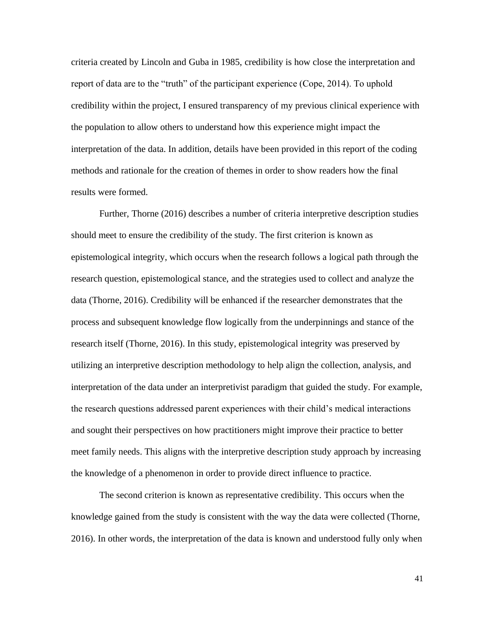criteria created by Lincoln and Guba in 1985, credibility is how close the interpretation and report of data are to the "truth" of the participant experience (Cope, 2014). To uphold credibility within the project, I ensured transparency of my previous clinical experience with the population to allow others to understand how this experience might impact the interpretation of the data. In addition, details have been provided in this report of the coding methods and rationale for the creation of themes in order to show readers how the final results were formed.

Further, Thorne (2016) describes a number of criteria interpretive description studies should meet to ensure the credibility of the study. The first criterion is known as epistemological integrity, which occurs when the research follows a logical path through the research question, epistemological stance, and the strategies used to collect and analyze the data (Thorne, 2016). Credibility will be enhanced if the researcher demonstrates that the process and subsequent knowledge flow logically from the underpinnings and stance of the research itself (Thorne, 2016). In this study, epistemological integrity was preserved by utilizing an interpretive description methodology to help align the collection, analysis, and interpretation of the data under an interpretivist paradigm that guided the study. For example, the research questions addressed parent experiences with their child's medical interactions and sought their perspectives on how practitioners might improve their practice to better meet family needs. This aligns with the interpretive description study approach by increasing the knowledge of a phenomenon in order to provide direct influence to practice.

The second criterion is known as representative credibility. This occurs when the knowledge gained from the study is consistent with the way the data were collected (Thorne, 2016). In other words, the interpretation of the data is known and understood fully only when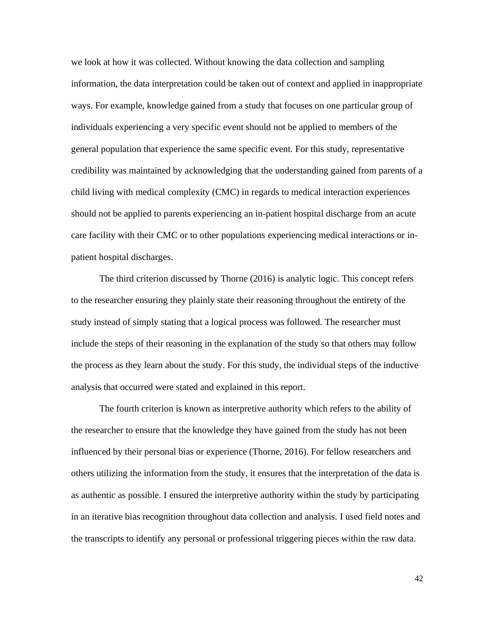we look at how it was collected. Without knowing the data collection and sampling information, the data interpretation could be taken out of context and applied in inappropriate ways. For example, knowledge gained from a study that focuses on one particular group of individuals experiencing a very specific event should not be applied to members of the general population that experience the same specific event. For this study, representative credibility was maintained by acknowledging that the understanding gained from parents of a child living with medical complexity (CMC) in regards to medical interaction experiences should not be applied to parents experiencing an in-patient hospital discharge from an acute care facility with their CMC or to other populations experiencing medical interactions or inpatient hospital discharges.

The third criterion discussed by Thorne (2016) is analytic logic. This concept refers to the researcher ensuring they plainly state their reasoning throughout the entirety of the study instead of simply stating that a logical process was followed. The researcher must include the steps of their reasoning in the explanation of the study so that others may follow the process as they learn about the study. For this study, the individual steps of the inductive analysis that occurred were stated and explained in this report.

The fourth criterion is known as interpretive authority which refers to the ability of the researcher to ensure that the knowledge they have gained from the study has not been influenced by their personal bias or experience (Thorne, 2016). For fellow researchers and others utilizing the information from the study, it ensures that the interpretation of the data is as authentic as possible. I ensured the interpretive authority within the study by participating in an iterative bias recognition throughout data collection and analysis. I used field notes and the transcripts to identify any personal or professional triggering pieces within the raw data.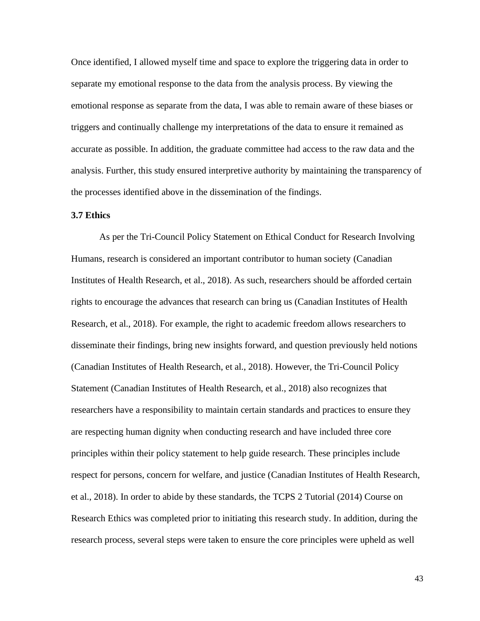Once identified, I allowed myself time and space to explore the triggering data in order to separate my emotional response to the data from the analysis process. By viewing the emotional response as separate from the data, I was able to remain aware of these biases or triggers and continually challenge my interpretations of the data to ensure it remained as accurate as possible. In addition, the graduate committee had access to the raw data and the analysis. Further, this study ensured interpretive authority by maintaining the transparency of the processes identified above in the dissemination of the findings.

# **3.7 Ethics**

As per the Tri-Council Policy Statement on Ethical Conduct for Research Involving Humans, research is considered an important contributor to human society (Canadian Institutes of Health Research, et al., 2018). As such, researchers should be afforded certain rights to encourage the advances that research can bring us (Canadian Institutes of Health Research, et al., 2018). For example, the right to academic freedom allows researchers to disseminate their findings, bring new insights forward, and question previously held notions (Canadian Institutes of Health Research, et al., 2018). However, the Tri-Council Policy Statement (Canadian Institutes of Health Research, et al., 2018) also recognizes that researchers have a responsibility to maintain certain standards and practices to ensure they are respecting human dignity when conducting research and have included three core principles within their policy statement to help guide research. These principles include respect for persons, concern for welfare, and justice (Canadian Institutes of Health Research, et al., 2018). In order to abide by these standards, the TCPS 2 Tutorial (2014) Course on Research Ethics was completed prior to initiating this research study. In addition, during the research process, several steps were taken to ensure the core principles were upheld as well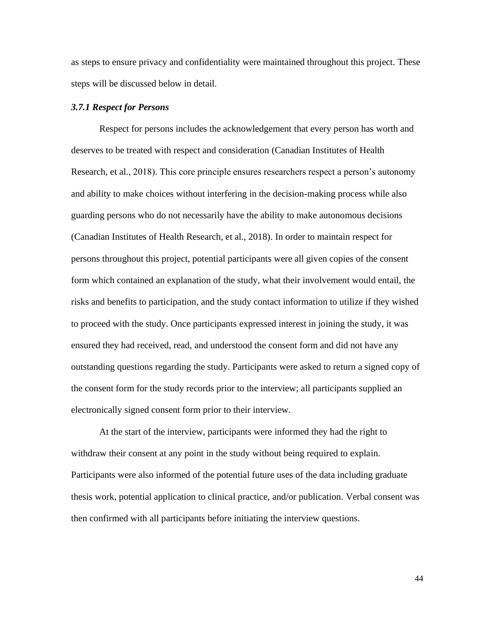as steps to ensure privacy and confidentiality were maintained throughout this project. These steps will be discussed below in detail.

#### *3.7.1 Respect for Persons*

Respect for persons includes the acknowledgement that every person has worth and deserves to be treated with respect and consideration (Canadian Institutes of Health Research, et al., 2018). This core principle ensures researchers respect a person's autonomy and ability to make choices without interfering in the decision-making process while also guarding persons who do not necessarily have the ability to make autonomous decisions (Canadian Institutes of Health Research, et al., 2018). In order to maintain respect for persons throughout this project, potential participants were all given copies of the consent form which contained an explanation of the study, what their involvement would entail, the risks and benefits to participation, and the study contact information to utilize if they wished to proceed with the study. Once participants expressed interest in joining the study, it was ensured they had received, read, and understood the consent form and did not have any outstanding questions regarding the study. Participants were asked to return a signed copy of the consent form for the study records prior to the interview; all participants supplied an electronically signed consent form prior to their interview.

At the start of the interview, participants were informed they had the right to withdraw their consent at any point in the study without being required to explain. Participants were also informed of the potential future uses of the data including graduate thesis work, potential application to clinical practice, and/or publication. Verbal consent was then confirmed with all participants before initiating the interview questions.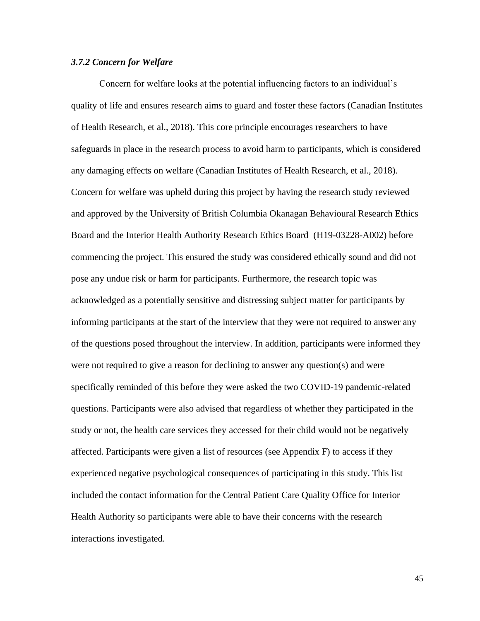# *3.7.2 Concern for Welfare*

Concern for welfare looks at the potential influencing factors to an individual's quality of life and ensures research aims to guard and foster these factors (Canadian Institutes of Health Research, et al., 2018). This core principle encourages researchers to have safeguards in place in the research process to avoid harm to participants, which is considered any damaging effects on welfare (Canadian Institutes of Health Research, et al., 2018). Concern for welfare was upheld during this project by having the research study reviewed and approved by the University of British Columbia Okanagan Behavioural Research Ethics Board and the Interior Health Authority Research Ethics Board (H19-03228-A002) before commencing the project. This ensured the study was considered ethically sound and did not pose any undue risk or harm for participants. Furthermore, the research topic was acknowledged as a potentially sensitive and distressing subject matter for participants by informing participants at the start of the interview that they were not required to answer any of the questions posed throughout the interview. In addition, participants were informed they were not required to give a reason for declining to answer any question(s) and were specifically reminded of this before they were asked the two COVID-19 pandemic-related questions. Participants were also advised that regardless of whether they participated in the study or not, the health care services they accessed for their child would not be negatively affected. Participants were given a list of resources (see Appendix F) to access if they experienced negative psychological consequences of participating in this study. This list included the contact information for the Central Patient Care Quality Office for Interior Health Authority so participants were able to have their concerns with the research interactions investigated.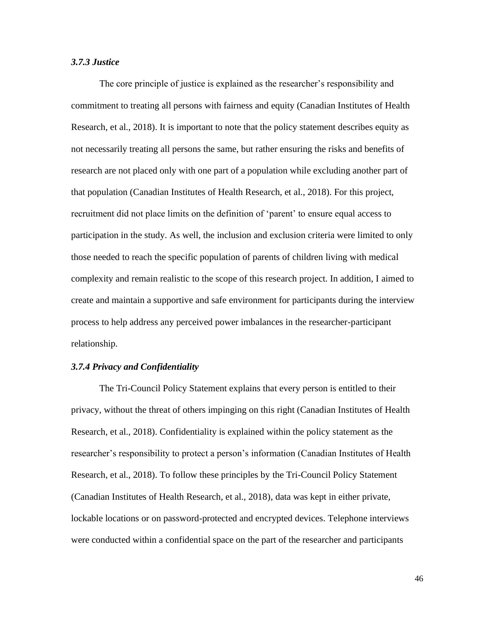# *3.7.3 Justice*

The core principle of justice is explained as the researcher's responsibility and commitment to treating all persons with fairness and equity (Canadian Institutes of Health Research, et al., 2018). It is important to note that the policy statement describes equity as not necessarily treating all persons the same, but rather ensuring the risks and benefits of research are not placed only with one part of a population while excluding another part of that population (Canadian Institutes of Health Research, et al., 2018). For this project, recruitment did not place limits on the definition of 'parent' to ensure equal access to participation in the study. As well, the inclusion and exclusion criteria were limited to only those needed to reach the specific population of parents of children living with medical complexity and remain realistic to the scope of this research project. In addition, I aimed to create and maintain a supportive and safe environment for participants during the interview process to help address any perceived power imbalances in the researcher-participant relationship.

# *3.7.4 Privacy and Confidentiality*

The Tri-Council Policy Statement explains that every person is entitled to their privacy, without the threat of others impinging on this right (Canadian Institutes of Health Research, et al., 2018). Confidentiality is explained within the policy statement as the researcher's responsibility to protect a person's information (Canadian Institutes of Health Research, et al., 2018). To follow these principles by the Tri-Council Policy Statement (Canadian Institutes of Health Research, et al., 2018), data was kept in either private, lockable locations or on password-protected and encrypted devices. Telephone interviews were conducted within a confidential space on the part of the researcher and participants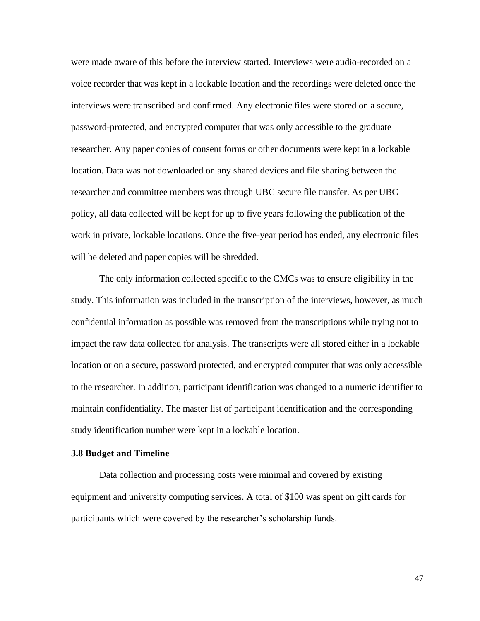were made aware of this before the interview started. Interviews were audio-recorded on a voice recorder that was kept in a lockable location and the recordings were deleted once the interviews were transcribed and confirmed. Any electronic files were stored on a secure, password-protected, and encrypted computer that was only accessible to the graduate researcher. Any paper copies of consent forms or other documents were kept in a lockable location. Data was not downloaded on any shared devices and file sharing between the researcher and committee members was through UBC secure file transfer. As per UBC policy, all data collected will be kept for up to five years following the publication of the work in private, lockable locations. Once the five-year period has ended, any electronic files will be deleted and paper copies will be shredded.

The only information collected specific to the CMCs was to ensure eligibility in the study. This information was included in the transcription of the interviews, however, as much confidential information as possible was removed from the transcriptions while trying not to impact the raw data collected for analysis. The transcripts were all stored either in a lockable location or on a secure, password protected, and encrypted computer that was only accessible to the researcher. In addition, participant identification was changed to a numeric identifier to maintain confidentiality. The master list of participant identification and the corresponding study identification number were kept in a lockable location.

#### **3.8 Budget and Timeline**

Data collection and processing costs were minimal and covered by existing equipment and university computing services. A total of \$100 was spent on gift cards for participants which were covered by the researcher's scholarship funds.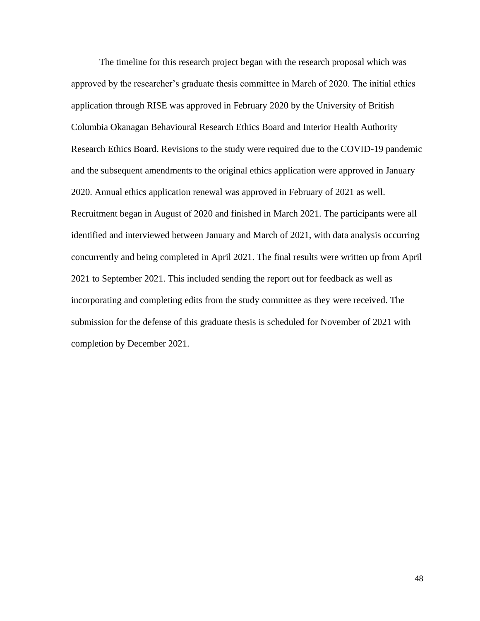The timeline for this research project began with the research proposal which was approved by the researcher's graduate thesis committee in March of 2020. The initial ethics application through RISE was approved in February 2020 by the University of British Columbia Okanagan Behavioural Research Ethics Board and Interior Health Authority Research Ethics Board. Revisions to the study were required due to the COVID-19 pandemic and the subsequent amendments to the original ethics application were approved in January 2020. Annual ethics application renewal was approved in February of 2021 as well. Recruitment began in August of 2020 and finished in March 2021. The participants were all identified and interviewed between January and March of 2021, with data analysis occurring concurrently and being completed in April 2021. The final results were written up from April 2021 to September 2021. This included sending the report out for feedback as well as incorporating and completing edits from the study committee as they were received. The submission for the defense of this graduate thesis is scheduled for November of 2021 with completion by December 2021.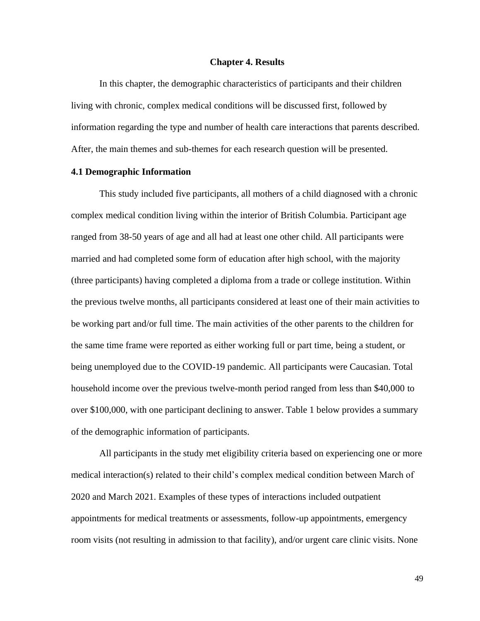#### **Chapter 4. Results**

In this chapter, the demographic characteristics of participants and their children living with chronic, complex medical conditions will be discussed first, followed by information regarding the type and number of health care interactions that parents described. After, the main themes and sub-themes for each research question will be presented.

# **4.1 Demographic Information**

This study included five participants, all mothers of a child diagnosed with a chronic complex medical condition living within the interior of British Columbia. Participant age ranged from 38-50 years of age and all had at least one other child. All participants were married and had completed some form of education after high school, with the majority (three participants) having completed a diploma from a trade or college institution. Within the previous twelve months, all participants considered at least one of their main activities to be working part and/or full time. The main activities of the other parents to the children for the same time frame were reported as either working full or part time, being a student, or being unemployed due to the COVID-19 pandemic. All participants were Caucasian. Total household income over the previous twelve-month period ranged from less than \$40,000 to over \$100,000, with one participant declining to answer. Table 1 below provides a summary of the demographic information of participants.

All participants in the study met eligibility criteria based on experiencing one or more medical interaction(s) related to their child's complex medical condition between March of 2020 and March 2021. Examples of these types of interactions included outpatient appointments for medical treatments or assessments, follow-up appointments, emergency room visits (not resulting in admission to that facility), and/or urgent care clinic visits. None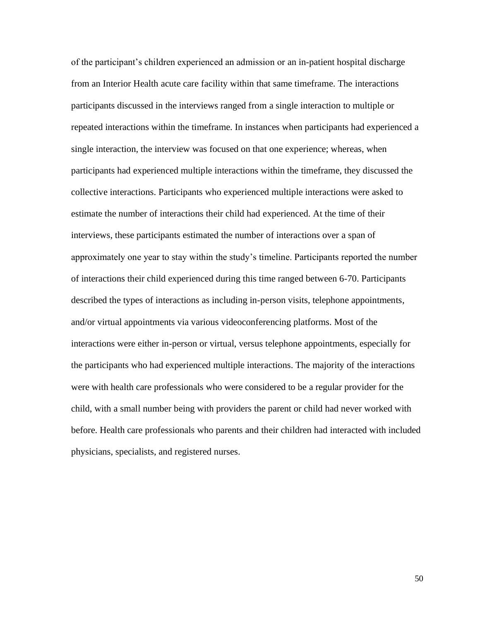of the participant's children experienced an admission or an in-patient hospital discharge from an Interior Health acute care facility within that same timeframe. The interactions participants discussed in the interviews ranged from a single interaction to multiple or repeated interactions within the timeframe. In instances when participants had experienced a single interaction, the interview was focused on that one experience; whereas, when participants had experienced multiple interactions within the timeframe, they discussed the collective interactions. Participants who experienced multiple interactions were asked to estimate the number of interactions their child had experienced. At the time of their interviews, these participants estimated the number of interactions over a span of approximately one year to stay within the study's timeline. Participants reported the number of interactions their child experienced during this time ranged between 6-70. Participants described the types of interactions as including in-person visits, telephone appointments, and/or virtual appointments via various videoconferencing platforms. Most of the interactions were either in-person or virtual, versus telephone appointments, especially for the participants who had experienced multiple interactions. The majority of the interactions were with health care professionals who were considered to be a regular provider for the child, with a small number being with providers the parent or child had never worked with before. Health care professionals who parents and their children had interacted with included physicians, specialists, and registered nurses.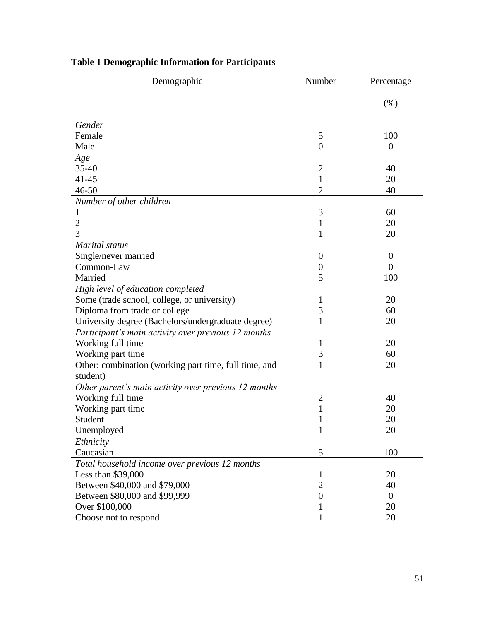| Demographic                                           | Number         | Percentage       |
|-------------------------------------------------------|----------------|------------------|
|                                                       |                | (% )             |
| Gender                                                |                |                  |
| Female                                                | 5              | 100              |
| Male                                                  | $\overline{0}$ | $\boldsymbol{0}$ |
| Age                                                   |                |                  |
| $35 - 40$                                             | $\mathbf{2}$   | 40               |
| $41 - 45$                                             | 1              | 20               |
| $46 - 50$                                             | $\overline{2}$ | 40               |
| Number of other children                              |                |                  |
| 1                                                     | 3              | 60               |
| $\overline{c}$                                        | 1              | 20               |
| 3                                                     |                | 20               |
| <b>Marital</b> status                                 |                |                  |
| Single/never married                                  | $\overline{0}$ | $\boldsymbol{0}$ |
| Common-Law                                            | $\overline{0}$ | $\theta$         |
| Married                                               | 5              | 100              |
| High level of education completed                     |                |                  |
| Some (trade school, college, or university)           | 1              | 20               |
| Diploma from trade or college                         | 3              | 60               |
| University degree (Bachelors/undergraduate degree)    |                | 20               |
| Participant's main activity over previous 12 months   |                |                  |
| Working full time                                     | 1              | 20               |
| Working part time                                     | 3              | 60               |
| Other: combination (working part time, full time, and | 1              | 20               |
| student)                                              |                |                  |
| Other parent's main activity over previous 12 months  |                |                  |
| Working full time                                     | $\overline{2}$ | 40               |
| Working part time                                     | 1              | 20               |
| Student                                               | 1              | 20               |
| Unemployed                                            | 1              | 20               |
| Ethnicity                                             |                |                  |
| Caucasian                                             | 5              | 100              |
| Total household income over previous 12 months        |                |                  |
| Less than $$39,000$                                   | 1              | 20               |
| Between \$40,000 and \$79,000                         | $\overline{2}$ | 40               |
| Between \$80,000 and \$99,999                         | $\overline{0}$ | $\theta$         |
| Over \$100,000                                        |                | 20               |
| Choose not to respond                                 |                | 20               |

# **Table 1 Demographic Information for Participants**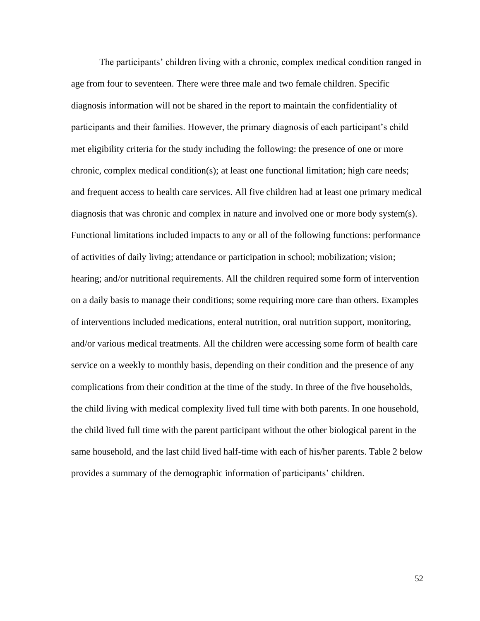The participants' children living with a chronic, complex medical condition ranged in age from four to seventeen. There were three male and two female children. Specific diagnosis information will not be shared in the report to maintain the confidentiality of participants and their families. However, the primary diagnosis of each participant's child met eligibility criteria for the study including the following: the presence of one or more chronic, complex medical condition(s); at least one functional limitation; high care needs; and frequent access to health care services. All five children had at least one primary medical diagnosis that was chronic and complex in nature and involved one or more body system(s). Functional limitations included impacts to any or all of the following functions: performance of activities of daily living; attendance or participation in school; mobilization; vision; hearing; and/or nutritional requirements. All the children required some form of intervention on a daily basis to manage their conditions; some requiring more care than others. Examples of interventions included medications, enteral nutrition, oral nutrition support, monitoring, and/or various medical treatments. All the children were accessing some form of health care service on a weekly to monthly basis, depending on their condition and the presence of any complications from their condition at the time of the study. In three of the five households, the child living with medical complexity lived full time with both parents. In one household, the child lived full time with the parent participant without the other biological parent in the same household, and the last child lived half-time with each of his/her parents. Table 2 below provides a summary of the demographic information of participants' children.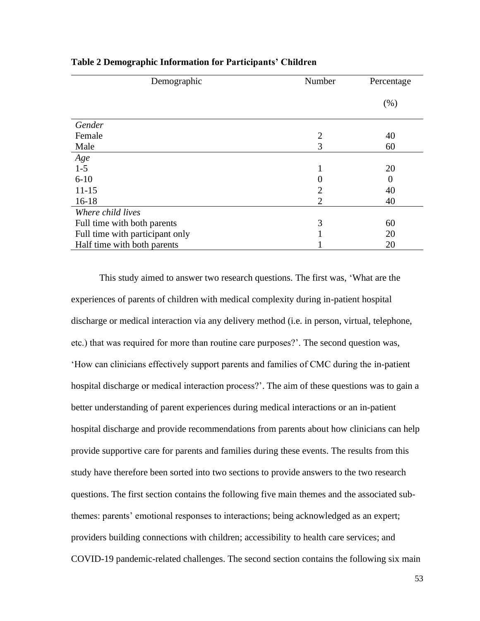| Demographic                     | Number         | Percentage |
|---------------------------------|----------------|------------|
|                                 |                | $(\%)$     |
| Gender                          |                |            |
| Female                          | $\overline{2}$ | 40         |
| Male                            | 3              | 60         |
| Age                             |                |            |
| $1 - 5$                         | 1              | 20         |
| $6 - 10$                        |                | $\Omega$   |
| $11 - 15$                       | $\overline{2}$ | 40         |
| $16-18$                         | $\overline{2}$ | 40         |
| Where child lives               |                |            |
| Full time with both parents     | 3              | 60         |
| Full time with participant only |                | 20         |
| Half time with both parents     |                | 20         |

# **Table 2 Demographic Information for Participants' Children**

This study aimed to answer two research questions. The first was, 'What are the experiences of parents of children with medical complexity during in-patient hospital discharge or medical interaction via any delivery method (i.e. in person, virtual, telephone, etc.) that was required for more than routine care purposes?'. The second question was, 'How can clinicians effectively support parents and families of CMC during the in-patient hospital discharge or medical interaction process?'. The aim of these questions was to gain a better understanding of parent experiences during medical interactions or an in-patient hospital discharge and provide recommendations from parents about how clinicians can help provide supportive care for parents and families during these events. The results from this study have therefore been sorted into two sections to provide answers to the two research questions. The first section contains the following five main themes and the associated subthemes: parents' emotional responses to interactions; being acknowledged as an expert; providers building connections with children; accessibility to health care services; and COVID-19 pandemic-related challenges. The second section contains the following six main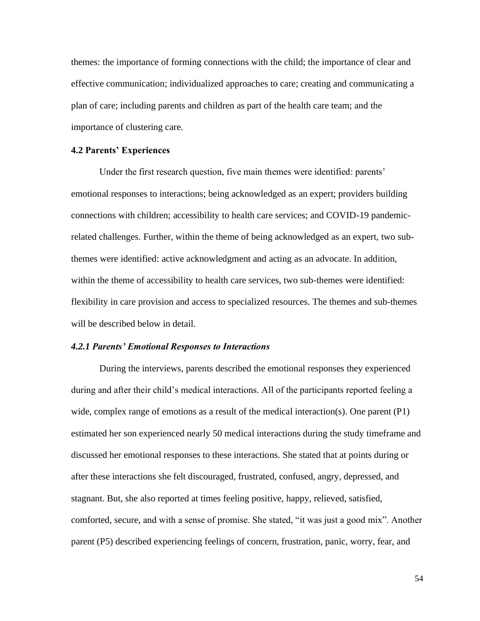themes: the importance of forming connections with the child; the importance of clear and effective communication; individualized approaches to care; creating and communicating a plan of care; including parents and children as part of the health care team; and the importance of clustering care.

# **4.2 Parents' Experiences**

Under the first research question, five main themes were identified: parents' emotional responses to interactions; being acknowledged as an expert; providers building connections with children; accessibility to health care services; and COVID-19 pandemicrelated challenges. Further, within the theme of being acknowledged as an expert, two subthemes were identified: active acknowledgment and acting as an advocate. In addition, within the theme of accessibility to health care services, two sub-themes were identified: flexibility in care provision and access to specialized resources. The themes and sub-themes will be described below in detail.

# *4.2.1 Parents' Emotional Responses to Interactions*

During the interviews, parents described the emotional responses they experienced during and after their child's medical interactions. All of the participants reported feeling a wide, complex range of emotions as a result of the medical interaction(s). One parent (P1) estimated her son experienced nearly 50 medical interactions during the study timeframe and discussed her emotional responses to these interactions. She stated that at points during or after these interactions she felt discouraged, frustrated, confused, angry, depressed, and stagnant. But, she also reported at times feeling positive, happy, relieved, satisfied, comforted, secure, and with a sense of promise. She stated, "it was just a good mix". Another parent (P5) described experiencing feelings of concern, frustration, panic, worry, fear, and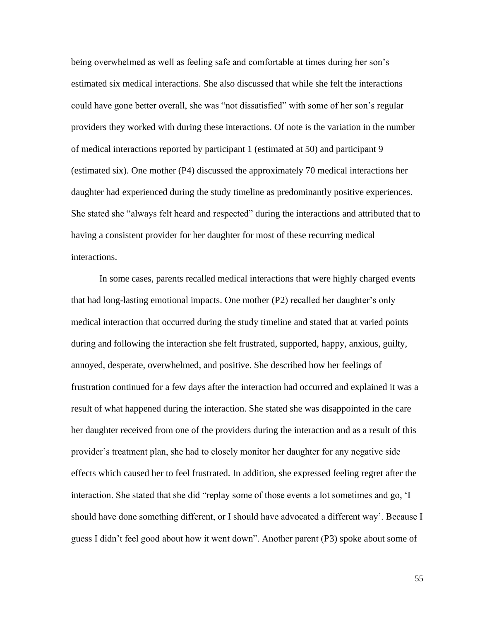being overwhelmed as well as feeling safe and comfortable at times during her son's estimated six medical interactions. She also discussed that while she felt the interactions could have gone better overall, she was "not dissatisfied" with some of her son's regular providers they worked with during these interactions. Of note is the variation in the number of medical interactions reported by participant 1 (estimated at 50) and participant 9 (estimated six). One mother (P4) discussed the approximately 70 medical interactions her daughter had experienced during the study timeline as predominantly positive experiences. She stated she "always felt heard and respected" during the interactions and attributed that to having a consistent provider for her daughter for most of these recurring medical interactions.

In some cases, parents recalled medical interactions that were highly charged events that had long-lasting emotional impacts. One mother (P2) recalled her daughter's only medical interaction that occurred during the study timeline and stated that at varied points during and following the interaction she felt frustrated, supported, happy, anxious, guilty, annoyed, desperate, overwhelmed, and positive. She described how her feelings of frustration continued for a few days after the interaction had occurred and explained it was a result of what happened during the interaction. She stated she was disappointed in the care her daughter received from one of the providers during the interaction and as a result of this provider's treatment plan, she had to closely monitor her daughter for any negative side effects which caused her to feel frustrated. In addition, she expressed feeling regret after the interaction. She stated that she did "replay some of those events a lot sometimes and go, 'I should have done something different, or I should have advocated a different way'. Because I guess I didn't feel good about how it went down". Another parent (P3) spoke about some of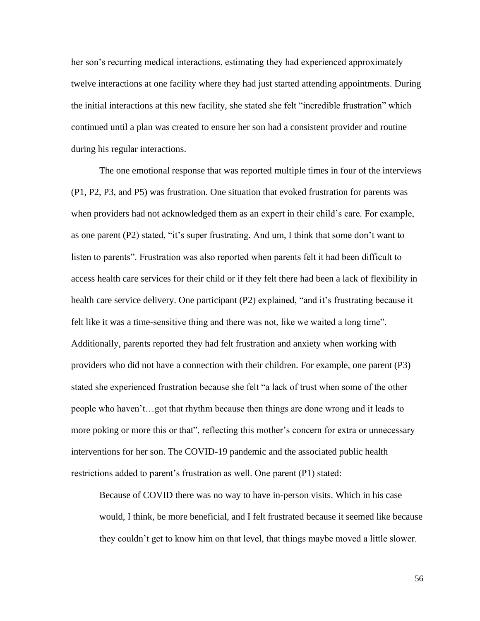her son's recurring medical interactions, estimating they had experienced approximately twelve interactions at one facility where they had just started attending appointments. During the initial interactions at this new facility, she stated she felt "incredible frustration" which continued until a plan was created to ensure her son had a consistent provider and routine during his regular interactions.

The one emotional response that was reported multiple times in four of the interviews (P1, P2, P3, and P5) was frustration. One situation that evoked frustration for parents was when providers had not acknowledged them as an expert in their child's care. For example, as one parent (P2) stated, "it's super frustrating. And um, I think that some don't want to listen to parents". Frustration was also reported when parents felt it had been difficult to access health care services for their child or if they felt there had been a lack of flexibility in health care service delivery. One participant (P2) explained, "and it's frustrating because it felt like it was a time-sensitive thing and there was not, like we waited a long time". Additionally, parents reported they had felt frustration and anxiety when working with providers who did not have a connection with their children. For example, one parent (P3) stated she experienced frustration because she felt "a lack of trust when some of the other people who haven't…got that rhythm because then things are done wrong and it leads to more poking or more this or that", reflecting this mother's concern for extra or unnecessary interventions for her son. The COVID-19 pandemic and the associated public health restrictions added to parent's frustration as well. One parent (P1) stated:

Because of COVID there was no way to have in-person visits. Which in his case would, I think, be more beneficial, and I felt frustrated because it seemed like because they couldn't get to know him on that level, that things maybe moved a little slower.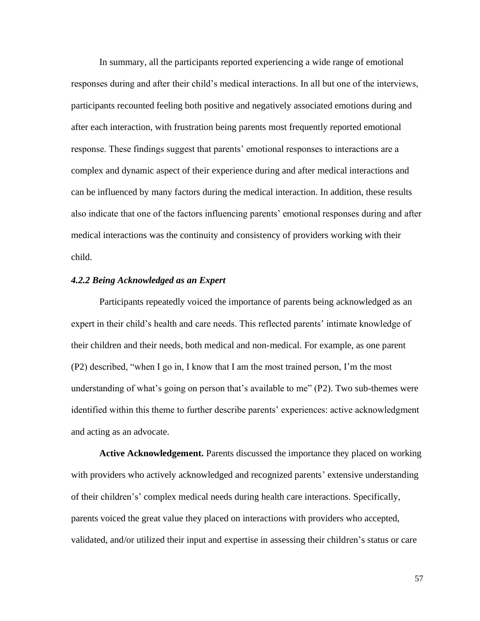In summary, all the participants reported experiencing a wide range of emotional responses during and after their child's medical interactions. In all but one of the interviews, participants recounted feeling both positive and negatively associated emotions during and after each interaction, with frustration being parents most frequently reported emotional response. These findings suggest that parents' emotional responses to interactions are a complex and dynamic aspect of their experience during and after medical interactions and can be influenced by many factors during the medical interaction. In addition, these results also indicate that one of the factors influencing parents' emotional responses during and after medical interactions was the continuity and consistency of providers working with their child.

# *4.2.2 Being Acknowledged as an Expert*

Participants repeatedly voiced the importance of parents being acknowledged as an expert in their child's health and care needs. This reflected parents' intimate knowledge of their children and their needs, both medical and non-medical. For example, as one parent (P2) described, "when I go in, I know that I am the most trained person, I'm the most understanding of what's going on person that's available to me" (P2). Two sub-themes were identified within this theme to further describe parents' experiences: active acknowledgment and acting as an advocate.

**Active Acknowledgement.** Parents discussed the importance they placed on working with providers who actively acknowledged and recognized parents' extensive understanding of their children's' complex medical needs during health care interactions. Specifically, parents voiced the great value they placed on interactions with providers who accepted, validated, and/or utilized their input and expertise in assessing their children's status or care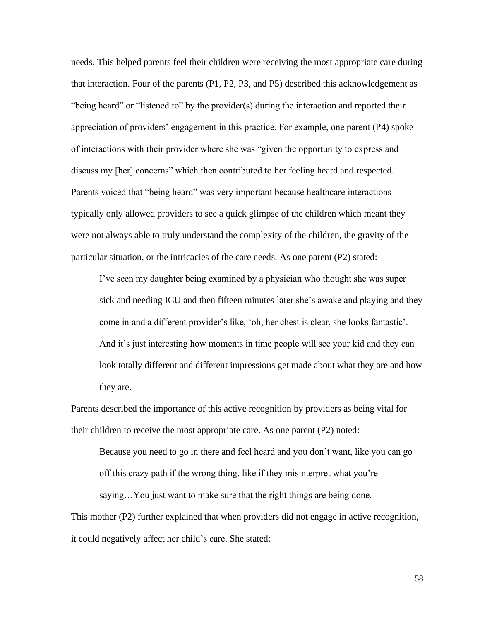needs. This helped parents feel their children were receiving the most appropriate care during that interaction. Four of the parents (P1, P2, P3, and P5) described this acknowledgement as "being heard" or "listened to" by the provider(s) during the interaction and reported their appreciation of providers' engagement in this practice. For example, one parent (P4) spoke of interactions with their provider where she was "given the opportunity to express and discuss my [her] concerns" which then contributed to her feeling heard and respected. Parents voiced that "being heard" was very important because healthcare interactions typically only allowed providers to see a quick glimpse of the children which meant they were not always able to truly understand the complexity of the children, the gravity of the particular situation, or the intricacies of the care needs. As one parent (P2) stated:

I've seen my daughter being examined by a physician who thought she was super sick and needing ICU and then fifteen minutes later she's awake and playing and they come in and a different provider's like, 'oh, her chest is clear, she looks fantastic'. And it's just interesting how moments in time people will see your kid and they can look totally different and different impressions get made about what they are and how they are.

Parents described the importance of this active recognition by providers as being vital for their children to receive the most appropriate care. As one parent (P2) noted:

Because you need to go in there and feel heard and you don't want, like you can go off this crazy path if the wrong thing, like if they misinterpret what you're

saying…You just want to make sure that the right things are being done.

This mother (P2) further explained that when providers did not engage in active recognition, it could negatively affect her child's care. She stated: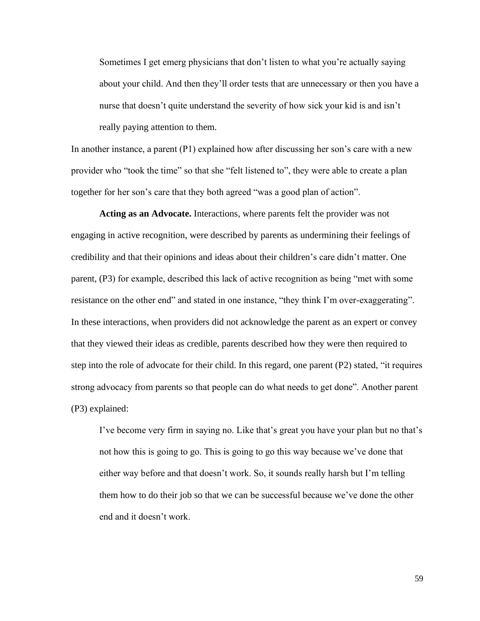Sometimes I get emerg physicians that don't listen to what you're actually saying about your child. And then they'll order tests that are unnecessary or then you have a nurse that doesn't quite understand the severity of how sick your kid is and isn't really paying attention to them.

In another instance, a parent  $(P1)$  explained how after discussing her son's care with a new provider who "took the time" so that she "felt listened to", they were able to create a plan together for her son's care that they both agreed "was a good plan of action".

**Acting as an Advocate.** Interactions, where parents felt the provider was not engaging in active recognition, were described by parents as undermining their feelings of credibility and that their opinions and ideas about their children's care didn't matter. One parent, (P3) for example, described this lack of active recognition as being "met with some resistance on the other end" and stated in one instance, "they think I'm over-exaggerating". In these interactions, when providers did not acknowledge the parent as an expert or convey that they viewed their ideas as credible, parents described how they were then required to step into the role of advocate for their child. In this regard, one parent (P2) stated, "it requires strong advocacy from parents so that people can do what needs to get done". Another parent (P3) explained:

I've become very firm in saying no. Like that's great you have your plan but no that's not how this is going to go. This is going to go this way because we've done that either way before and that doesn't work. So, it sounds really harsh but I'm telling them how to do their job so that we can be successful because we've done the other end and it doesn't work.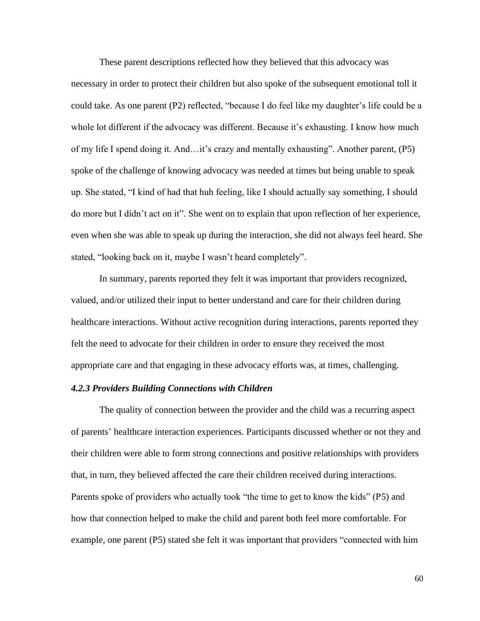These parent descriptions reflected how they believed that this advocacy was necessary in order to protect their children but also spoke of the subsequent emotional toll it could take. As one parent (P2) reflected, "because I do feel like my daughter's life could be a whole lot different if the advocacy was different. Because it's exhausting. I know how much of my life I spend doing it. And…it's crazy and mentally exhausting". Another parent, (P5) spoke of the challenge of knowing advocacy was needed at times but being unable to speak up. She stated, "I kind of had that huh feeling, like I should actually say something, I should do more but I didn't act on it". She went on to explain that upon reflection of her experience, even when she was able to speak up during the interaction, she did not always feel heard. She stated, "looking back on it, maybe I wasn't heard completely".

In summary, parents reported they felt it was important that providers recognized, valued, and/or utilized their input to better understand and care for their children during healthcare interactions. Without active recognition during interactions, parents reported they felt the need to advocate for their children in order to ensure they received the most appropriate care and that engaging in these advocacy efforts was, at times, challenging.

#### *4.2.3 Providers Building Connections with Children*

The quality of connection between the provider and the child was a recurring aspect of parents' healthcare interaction experiences. Participants discussed whether or not they and their children were able to form strong connections and positive relationships with providers that, in turn, they believed affected the care their children received during interactions. Parents spoke of providers who actually took "the time to get to know the kids" (P5) and how that connection helped to make the child and parent both feel more comfortable. For example, one parent (P5) stated she felt it was important that providers "connected with him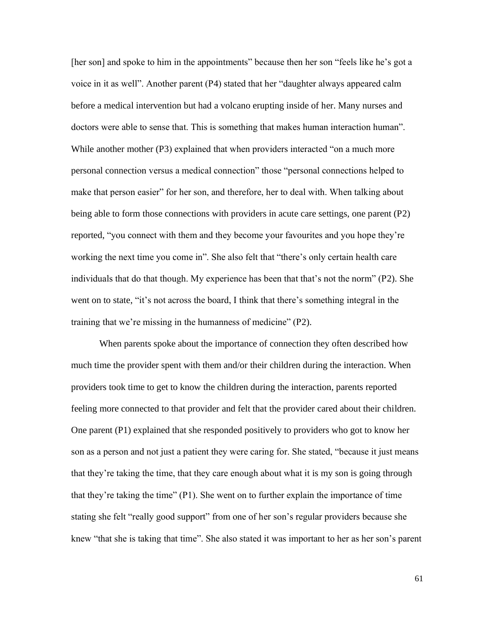[her son] and spoke to him in the appointments" because then her son "feels like he's got a voice in it as well". Another parent (P4) stated that her "daughter always appeared calm before a medical intervention but had a volcano erupting inside of her. Many nurses and doctors were able to sense that. This is something that makes human interaction human". While another mother (P3) explained that when providers interacted "on a much more personal connection versus a medical connection" those "personal connections helped to make that person easier" for her son, and therefore, her to deal with. When talking about being able to form those connections with providers in acute care settings, one parent (P2) reported, "you connect with them and they become your favourites and you hope they're working the next time you come in". She also felt that "there's only certain health care individuals that do that though. My experience has been that that's not the norm" (P2). She went on to state, "it's not across the board, I think that there's something integral in the training that we're missing in the humanness of medicine" (P2).

When parents spoke about the importance of connection they often described how much time the provider spent with them and/or their children during the interaction. When providers took time to get to know the children during the interaction, parents reported feeling more connected to that provider and felt that the provider cared about their children. One parent (P1) explained that she responded positively to providers who got to know her son as a person and not just a patient they were caring for. She stated, "because it just means that they're taking the time, that they care enough about what it is my son is going through that they're taking the time" (P1). She went on to further explain the importance of time stating she felt "really good support" from one of her son's regular providers because she knew "that she is taking that time". She also stated it was important to her as her son's parent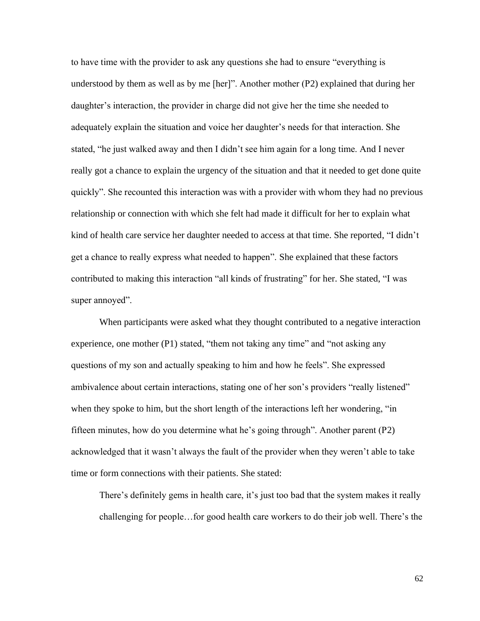to have time with the provider to ask any questions she had to ensure "everything is understood by them as well as by me [her]". Another mother (P2) explained that during her daughter's interaction, the provider in charge did not give her the time she needed to adequately explain the situation and voice her daughter's needs for that interaction. She stated, "he just walked away and then I didn't see him again for a long time. And I never really got a chance to explain the urgency of the situation and that it needed to get done quite quickly". She recounted this interaction was with a provider with whom they had no previous relationship or connection with which she felt had made it difficult for her to explain what kind of health care service her daughter needed to access at that time. She reported, "I didn't get a chance to really express what needed to happen". She explained that these factors contributed to making this interaction "all kinds of frustrating" for her. She stated, "I was super annoyed".

When participants were asked what they thought contributed to a negative interaction experience, one mother (P1) stated, "them not taking any time" and "not asking any questions of my son and actually speaking to him and how he feels". She expressed ambivalence about certain interactions, stating one of her son's providers "really listened" when they spoke to him, but the short length of the interactions left her wondering, "in fifteen minutes, how do you determine what he's going through". Another parent (P2) acknowledged that it wasn't always the fault of the provider when they weren't able to take time or form connections with their patients. She stated:

There's definitely gems in health care, it's just too bad that the system makes it really challenging for people…for good health care workers to do their job well. There's the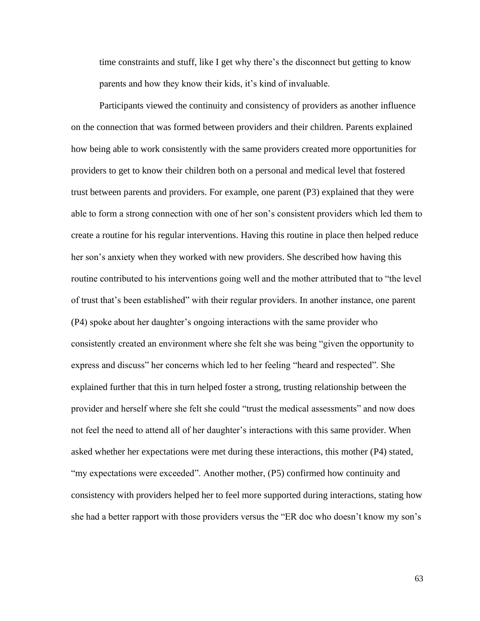time constraints and stuff, like I get why there's the disconnect but getting to know parents and how they know their kids, it's kind of invaluable.

Participants viewed the continuity and consistency of providers as another influence on the connection that was formed between providers and their children. Parents explained how being able to work consistently with the same providers created more opportunities for providers to get to know their children both on a personal and medical level that fostered trust between parents and providers. For example, one parent (P3) explained that they were able to form a strong connection with one of her son's consistent providers which led them to create a routine for his regular interventions. Having this routine in place then helped reduce her son's anxiety when they worked with new providers. She described how having this routine contributed to his interventions going well and the mother attributed that to "the level of trust that's been established" with their regular providers. In another instance, one parent (P4) spoke about her daughter's ongoing interactions with the same provider who consistently created an environment where she felt she was being "given the opportunity to express and discuss" her concerns which led to her feeling "heard and respected". She explained further that this in turn helped foster a strong, trusting relationship between the provider and herself where she felt she could "trust the medical assessments" and now does not feel the need to attend all of her daughter's interactions with this same provider. When asked whether her expectations were met during these interactions, this mother (P4) stated, "my expectations were exceeded". Another mother, (P5) confirmed how continuity and consistency with providers helped her to feel more supported during interactions, stating how she had a better rapport with those providers versus the "ER doc who doesn't know my son's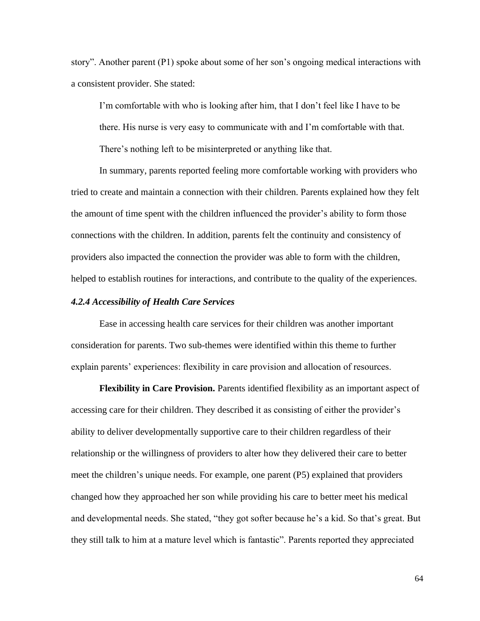story". Another parent (P1) spoke about some of her son's ongoing medical interactions with a consistent provider. She stated:

I'm comfortable with who is looking after him, that I don't feel like I have to be there. His nurse is very easy to communicate with and I'm comfortable with that. There's nothing left to be misinterpreted or anything like that.

In summary, parents reported feeling more comfortable working with providers who tried to create and maintain a connection with their children. Parents explained how they felt the amount of time spent with the children influenced the provider's ability to form those connections with the children. In addition, parents felt the continuity and consistency of providers also impacted the connection the provider was able to form with the children, helped to establish routines for interactions, and contribute to the quality of the experiences.

## *4.2.4 Accessibility of Health Care Services*

Ease in accessing health care services for their children was another important consideration for parents. Two sub-themes were identified within this theme to further explain parents' experiences: flexibility in care provision and allocation of resources.

**Flexibility in Care Provision.** Parents identified flexibility as an important aspect of accessing care for their children. They described it as consisting of either the provider's ability to deliver developmentally supportive care to their children regardless of their relationship or the willingness of providers to alter how they delivered their care to better meet the children's unique needs. For example, one parent (P5) explained that providers changed how they approached her son while providing his care to better meet his medical and developmental needs. She stated, "they got softer because he's a kid. So that's great. But they still talk to him at a mature level which is fantastic". Parents reported they appreciated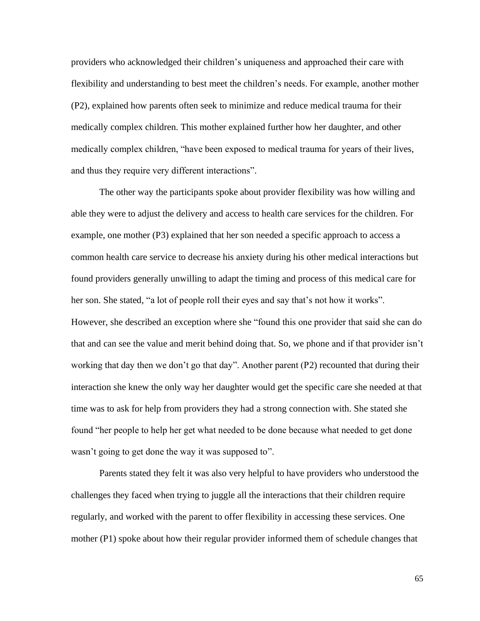providers who acknowledged their children's uniqueness and approached their care with flexibility and understanding to best meet the children's needs. For example, another mother (P2), explained how parents often seek to minimize and reduce medical trauma for their medically complex children. This mother explained further how her daughter, and other medically complex children, "have been exposed to medical trauma for years of their lives, and thus they require very different interactions".

The other way the participants spoke about provider flexibility was how willing and able they were to adjust the delivery and access to health care services for the children. For example, one mother (P3) explained that her son needed a specific approach to access a common health care service to decrease his anxiety during his other medical interactions but found providers generally unwilling to adapt the timing and process of this medical care for her son. She stated, "a lot of people roll their eyes and say that's not how it works". However, she described an exception where she "found this one provider that said she can do that and can see the value and merit behind doing that. So, we phone and if that provider isn't working that day then we don't go that day". Another parent (P2) recounted that during their interaction she knew the only way her daughter would get the specific care she needed at that time was to ask for help from providers they had a strong connection with. She stated she found "her people to help her get what needed to be done because what needed to get done wasn't going to get done the way it was supposed to".

Parents stated they felt it was also very helpful to have providers who understood the challenges they faced when trying to juggle all the interactions that their children require regularly, and worked with the parent to offer flexibility in accessing these services. One mother (P1) spoke about how their regular provider informed them of schedule changes that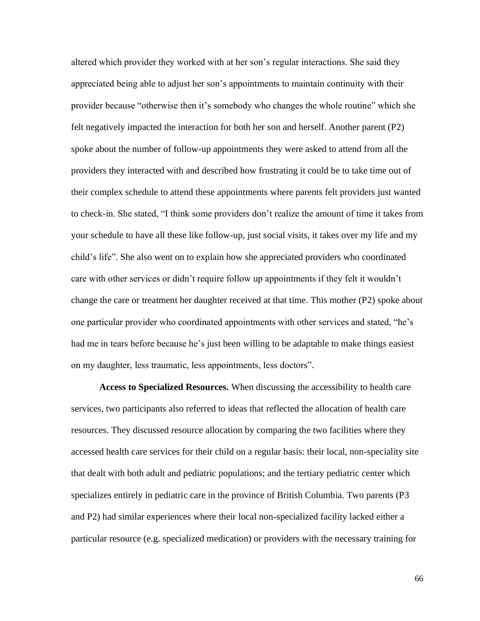altered which provider they worked with at her son's regular interactions. She said they appreciated being able to adjust her son's appointments to maintain continuity with their provider because "otherwise then it's somebody who changes the whole routine" which she felt negatively impacted the interaction for both her son and herself. Another parent (P2) spoke about the number of follow-up appointments they were asked to attend from all the providers they interacted with and described how frustrating it could be to take time out of their complex schedule to attend these appointments where parents felt providers just wanted to check-in. She stated, "I think some providers don't realize the amount of time it takes from your schedule to have all these like follow-up, just social visits, it takes over my life and my child's life". She also went on to explain how she appreciated providers who coordinated care with other services or didn't require follow up appointments if they felt it wouldn't change the care or treatment her daughter received at that time. This mother (P2) spoke about one particular provider who coordinated appointments with other services and stated, "he's had me in tears before because he's just been willing to be adaptable to make things easiest on my daughter, less traumatic, less appointments, less doctors".

**Access to Specialized Resources.** When discussing the accessibility to health care services, two participants also referred to ideas that reflected the allocation of health care resources. They discussed resource allocation by comparing the two facilities where they accessed health care services for their child on a regular basis: their local, non-speciality site that dealt with both adult and pediatric populations; and the tertiary pediatric center which specializes entirely in pediatric care in the province of British Columbia. Two parents (P3 and P2) had similar experiences where their local non-specialized facility lacked either a particular resource (e.g. specialized medication) or providers with the necessary training for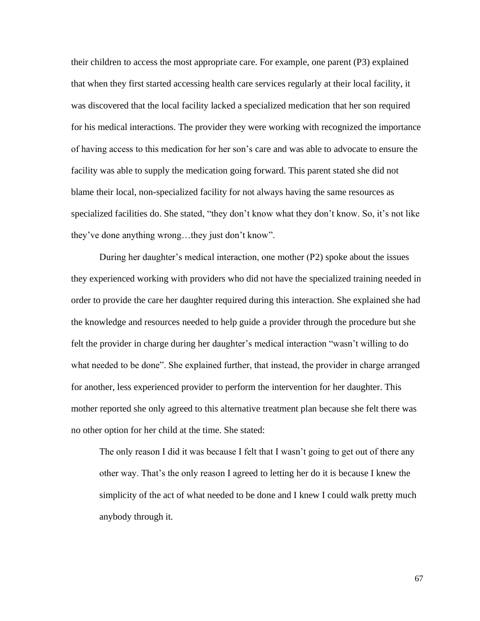their children to access the most appropriate care. For example, one parent (P3) explained that when they first started accessing health care services regularly at their local facility, it was discovered that the local facility lacked a specialized medication that her son required for his medical interactions. The provider they were working with recognized the importance of having access to this medication for her son's care and was able to advocate to ensure the facility was able to supply the medication going forward. This parent stated she did not blame their local, non-specialized facility for not always having the same resources as specialized facilities do. She stated, "they don't know what they don't know. So, it's not like they've done anything wrong…they just don't know".

During her daughter's medical interaction, one mother (P2) spoke about the issues they experienced working with providers who did not have the specialized training needed in order to provide the care her daughter required during this interaction. She explained she had the knowledge and resources needed to help guide a provider through the procedure but she felt the provider in charge during her daughter's medical interaction "wasn't willing to do what needed to be done". She explained further, that instead, the provider in charge arranged for another, less experienced provider to perform the intervention for her daughter. This mother reported she only agreed to this alternative treatment plan because she felt there was no other option for her child at the time. She stated:

The only reason I did it was because I felt that I wasn't going to get out of there any other way. That's the only reason I agreed to letting her do it is because I knew the simplicity of the act of what needed to be done and I knew I could walk pretty much anybody through it.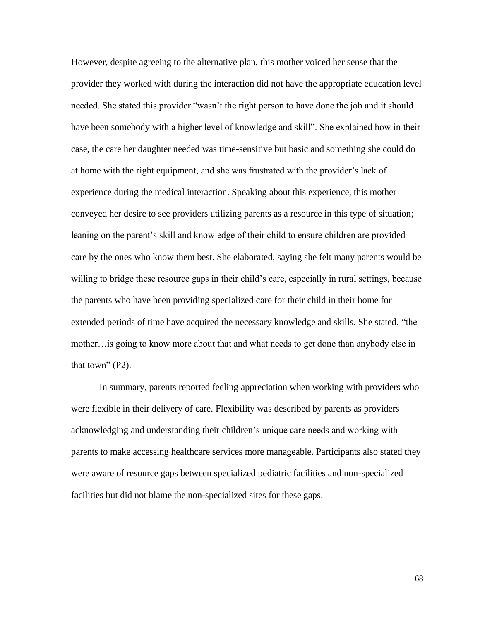However, despite agreeing to the alternative plan, this mother voiced her sense that the provider they worked with during the interaction did not have the appropriate education level needed. She stated this provider "wasn't the right person to have done the job and it should have been somebody with a higher level of knowledge and skill". She explained how in their case, the care her daughter needed was time-sensitive but basic and something she could do at home with the right equipment, and she was frustrated with the provider's lack of experience during the medical interaction. Speaking about this experience, this mother conveyed her desire to see providers utilizing parents as a resource in this type of situation; leaning on the parent's skill and knowledge of their child to ensure children are provided care by the ones who know them best. She elaborated, saying she felt many parents would be willing to bridge these resource gaps in their child's care, especially in rural settings, because the parents who have been providing specialized care for their child in their home for extended periods of time have acquired the necessary knowledge and skills. She stated, "the mother…is going to know more about that and what needs to get done than anybody else in that town"  $(P2)$ .

In summary, parents reported feeling appreciation when working with providers who were flexible in their delivery of care. Flexibility was described by parents as providers acknowledging and understanding their children's unique care needs and working with parents to make accessing healthcare services more manageable. Participants also stated they were aware of resource gaps between specialized pediatric facilities and non-specialized facilities but did not blame the non-specialized sites for these gaps.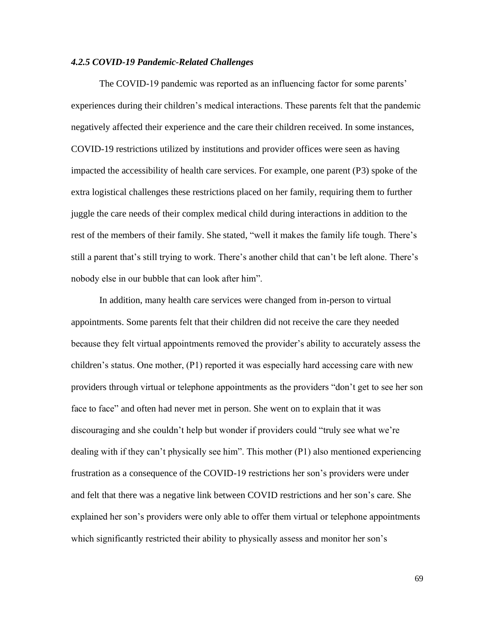## *4.2.5 COVID-19 Pandemic-Related Challenges*

The COVID-19 pandemic was reported as an influencing factor for some parents' experiences during their children's medical interactions. These parents felt that the pandemic negatively affected their experience and the care their children received. In some instances, COVID-19 restrictions utilized by institutions and provider offices were seen as having impacted the accessibility of health care services. For example, one parent (P3) spoke of the extra logistical challenges these restrictions placed on her family, requiring them to further juggle the care needs of their complex medical child during interactions in addition to the rest of the members of their family. She stated, "well it makes the family life tough. There's still a parent that's still trying to work. There's another child that can't be left alone. There's nobody else in our bubble that can look after him".

In addition, many health care services were changed from in-person to virtual appointments. Some parents felt that their children did not receive the care they needed because they felt virtual appointments removed the provider's ability to accurately assess the children's status. One mother, (P1) reported it was especially hard accessing care with new providers through virtual or telephone appointments as the providers "don't get to see her son face to face" and often had never met in person. She went on to explain that it was discouraging and she couldn't help but wonder if providers could "truly see what we're dealing with if they can't physically see him". This mother (P1) also mentioned experiencing frustration as a consequence of the COVID-19 restrictions her son's providers were under and felt that there was a negative link between COVID restrictions and her son's care. She explained her son's providers were only able to offer them virtual or telephone appointments which significantly restricted their ability to physically assess and monitor her son's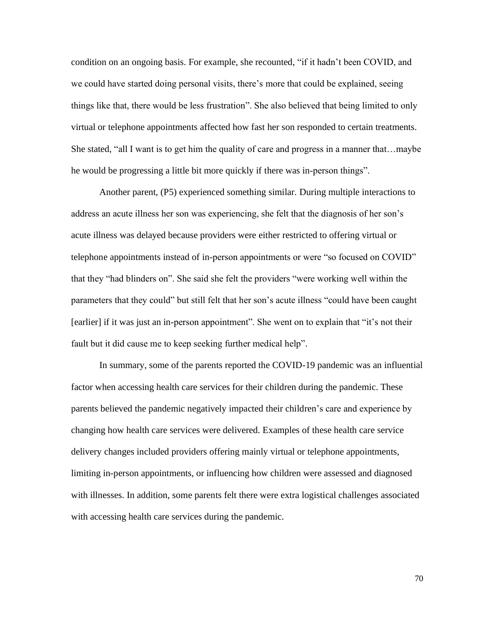condition on an ongoing basis. For example, she recounted, "if it hadn't been COVID, and we could have started doing personal visits, there's more that could be explained, seeing things like that, there would be less frustration". She also believed that being limited to only virtual or telephone appointments affected how fast her son responded to certain treatments. She stated, "all I want is to get him the quality of care and progress in a manner that…maybe he would be progressing a little bit more quickly if there was in-person things".

Another parent, (P5) experienced something similar. During multiple interactions to address an acute illness her son was experiencing, she felt that the diagnosis of her son's acute illness was delayed because providers were either restricted to offering virtual or telephone appointments instead of in-person appointments or were "so focused on COVID" that they "had blinders on". She said she felt the providers "were working well within the parameters that they could" but still felt that her son's acute illness "could have been caught [earlier] if it was just an in-person appointment". She went on to explain that "it's not their fault but it did cause me to keep seeking further medical help".

In summary, some of the parents reported the COVID-19 pandemic was an influential factor when accessing health care services for their children during the pandemic. These parents believed the pandemic negatively impacted their children's care and experience by changing how health care services were delivered. Examples of these health care service delivery changes included providers offering mainly virtual or telephone appointments, limiting in-person appointments, or influencing how children were assessed and diagnosed with illnesses. In addition, some parents felt there were extra logistical challenges associated with accessing health care services during the pandemic.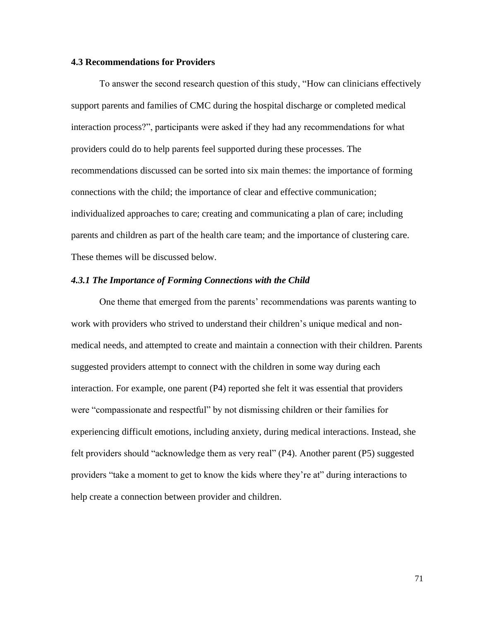#### **4.3 Recommendations for Providers**

To answer the second research question of this study, "How can clinicians effectively support parents and families of CMC during the hospital discharge or completed medical interaction process?", participants were asked if they had any recommendations for what providers could do to help parents feel supported during these processes. The recommendations discussed can be sorted into six main themes: the importance of forming connections with the child; the importance of clear and effective communication; individualized approaches to care; creating and communicating a plan of care; including parents and children as part of the health care team; and the importance of clustering care. These themes will be discussed below.

# *4.3.1 The Importance of Forming Connections with the Child*

One theme that emerged from the parents' recommendations was parents wanting to work with providers who strived to understand their children's unique medical and nonmedical needs, and attempted to create and maintain a connection with their children. Parents suggested providers attempt to connect with the children in some way during each interaction. For example, one parent (P4) reported she felt it was essential that providers were "compassionate and respectful" by not dismissing children or their families for experiencing difficult emotions, including anxiety, during medical interactions. Instead, she felt providers should "acknowledge them as very real" (P4). Another parent (P5) suggested providers "take a moment to get to know the kids where they're at" during interactions to help create a connection between provider and children.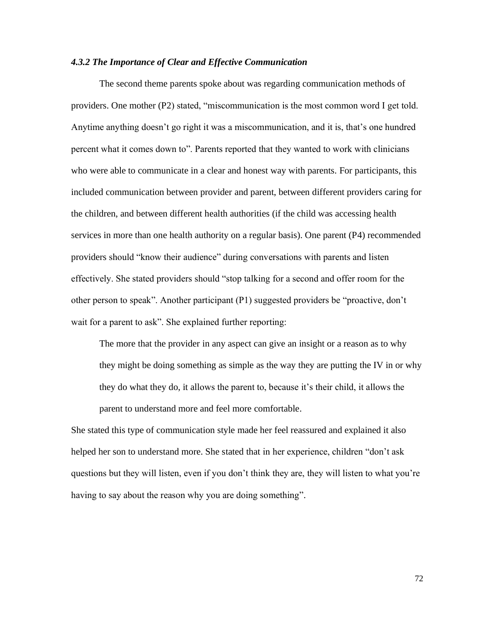#### *4.3.2 The Importance of Clear and Effective Communication*

The second theme parents spoke about was regarding communication methods of providers. One mother (P2) stated, "miscommunication is the most common word I get told. Anytime anything doesn't go right it was a miscommunication, and it is, that's one hundred percent what it comes down to". Parents reported that they wanted to work with clinicians who were able to communicate in a clear and honest way with parents. For participants, this included communication between provider and parent, between different providers caring for the children, and between different health authorities (if the child was accessing health services in more than one health authority on a regular basis). One parent (P4) recommended providers should "know their audience" during conversations with parents and listen effectively. She stated providers should "stop talking for a second and offer room for the other person to speak". Another participant (P1) suggested providers be "proactive, don't wait for a parent to ask". She explained further reporting:

The more that the provider in any aspect can give an insight or a reason as to why they might be doing something as simple as the way they are putting the IV in or why they do what they do, it allows the parent to, because it's their child, it allows the parent to understand more and feel more comfortable.

She stated this type of communication style made her feel reassured and explained it also helped her son to understand more. She stated that in her experience, children "don't ask questions but they will listen, even if you don't think they are, they will listen to what you're having to say about the reason why you are doing something".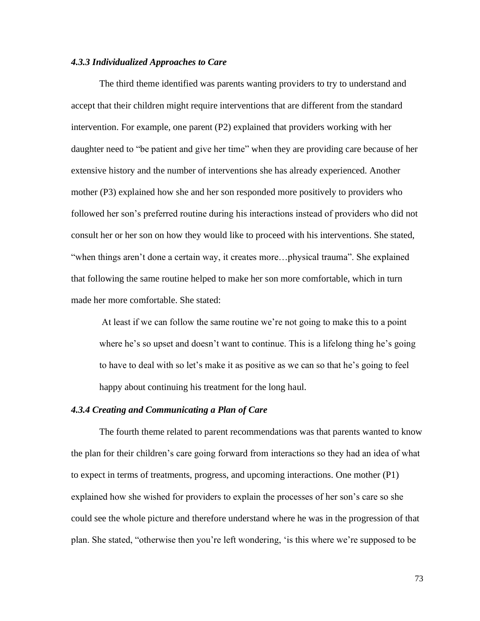#### *4.3.3 Individualized Approaches to Care*

The third theme identified was parents wanting providers to try to understand and accept that their children might require interventions that are different from the standard intervention. For example, one parent (P2) explained that providers working with her daughter need to "be patient and give her time" when they are providing care because of her extensive history and the number of interventions she has already experienced. Another mother (P3) explained how she and her son responded more positively to providers who followed her son's preferred routine during his interactions instead of providers who did not consult her or her son on how they would like to proceed with his interventions. She stated, "when things aren't done a certain way, it creates more…physical trauma". She explained that following the same routine helped to make her son more comfortable, which in turn made her more comfortable. She stated:

At least if we can follow the same routine we're not going to make this to a point where he's so upset and doesn't want to continue. This is a lifelong thing he's going to have to deal with so let's make it as positive as we can so that he's going to feel happy about continuing his treatment for the long haul.

# *4.3.4 Creating and Communicating a Plan of Care*

The fourth theme related to parent recommendations was that parents wanted to know the plan for their children's care going forward from interactions so they had an idea of what to expect in terms of treatments, progress, and upcoming interactions. One mother (P1) explained how she wished for providers to explain the processes of her son's care so she could see the whole picture and therefore understand where he was in the progression of that plan. She stated, "otherwise then you're left wondering, 'is this where we're supposed to be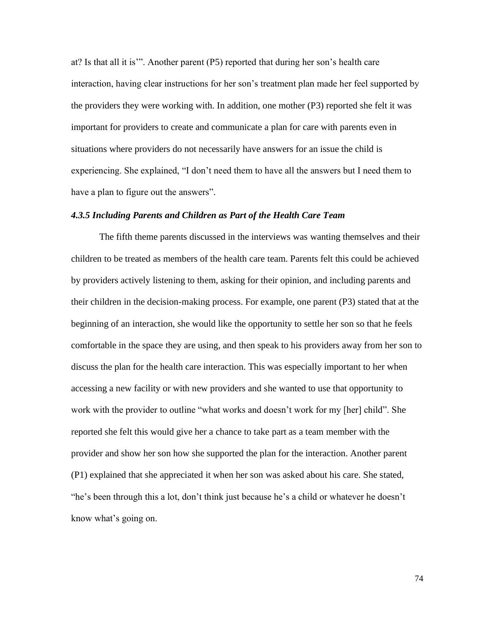at? Is that all it is'". Another parent (P5) reported that during her son's health care interaction, having clear instructions for her son's treatment plan made her feel supported by the providers they were working with. In addition, one mother (P3) reported she felt it was important for providers to create and communicate a plan for care with parents even in situations where providers do not necessarily have answers for an issue the child is experiencing. She explained, "I don't need them to have all the answers but I need them to have a plan to figure out the answers".

## *4.3.5 Including Parents and Children as Part of the Health Care Team*

The fifth theme parents discussed in the interviews was wanting themselves and their children to be treated as members of the health care team. Parents felt this could be achieved by providers actively listening to them, asking for their opinion, and including parents and their children in the decision-making process. For example, one parent (P3) stated that at the beginning of an interaction, she would like the opportunity to settle her son so that he feels comfortable in the space they are using, and then speak to his providers away from her son to discuss the plan for the health care interaction. This was especially important to her when accessing a new facility or with new providers and she wanted to use that opportunity to work with the provider to outline "what works and doesn't work for my [her] child". She reported she felt this would give her a chance to take part as a team member with the provider and show her son how she supported the plan for the interaction. Another parent (P1) explained that she appreciated it when her son was asked about his care. She stated, "he's been through this a lot, don't think just because he's a child or whatever he doesn't know what's going on.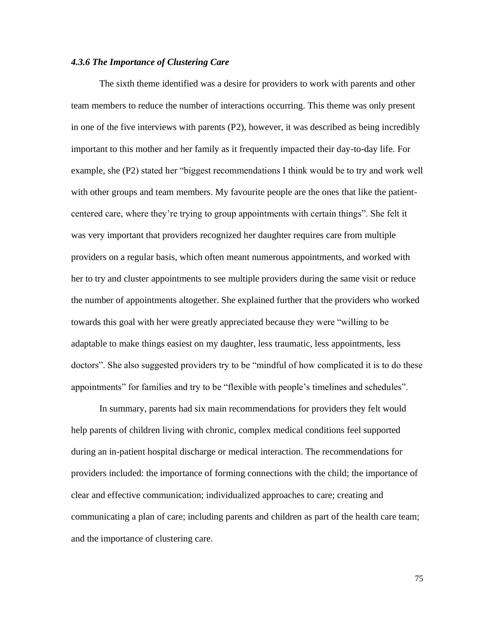## *4.3.6 The Importance of Clustering Care*

The sixth theme identified was a desire for providers to work with parents and other team members to reduce the number of interactions occurring. This theme was only present in one of the five interviews with parents (P2), however, it was described as being incredibly important to this mother and her family as it frequently impacted their day-to-day life. For example, she (P2) stated her "biggest recommendations I think would be to try and work well with other groups and team members. My favourite people are the ones that like the patientcentered care, where they're trying to group appointments with certain things". She felt it was very important that providers recognized her daughter requires care from multiple providers on a regular basis, which often meant numerous appointments, and worked with her to try and cluster appointments to see multiple providers during the same visit or reduce the number of appointments altogether. She explained further that the providers who worked towards this goal with her were greatly appreciated because they were "willing to be adaptable to make things easiest on my daughter, less traumatic, less appointments, less doctors". She also suggested providers try to be "mindful of how complicated it is to do these appointments" for families and try to be "flexible with people's timelines and schedules".

In summary, parents had six main recommendations for providers they felt would help parents of children living with chronic, complex medical conditions feel supported during an in-patient hospital discharge or medical interaction. The recommendations for providers included: the importance of forming connections with the child; the importance of clear and effective communication; individualized approaches to care; creating and communicating a plan of care; including parents and children as part of the health care team; and the importance of clustering care.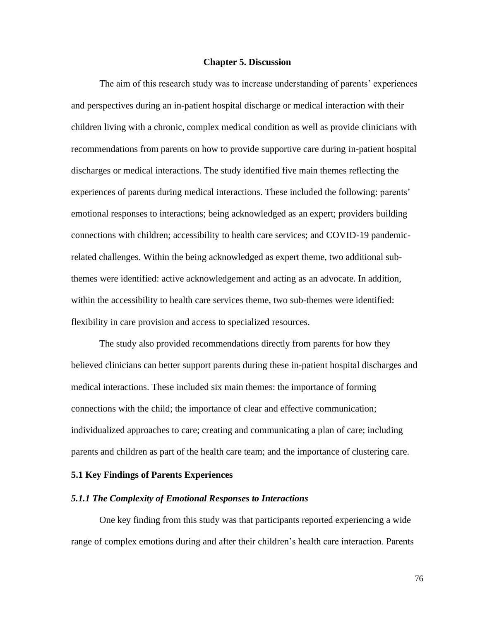#### **Chapter 5. Discussion**

The aim of this research study was to increase understanding of parents' experiences and perspectives during an in-patient hospital discharge or medical interaction with their children living with a chronic, complex medical condition as well as provide clinicians with recommendations from parents on how to provide supportive care during in-patient hospital discharges or medical interactions. The study identified five main themes reflecting the experiences of parents during medical interactions. These included the following: parents' emotional responses to interactions; being acknowledged as an expert; providers building connections with children; accessibility to health care services; and COVID-19 pandemicrelated challenges. Within the being acknowledged as expert theme, two additional subthemes were identified: active acknowledgement and acting as an advocate. In addition, within the accessibility to health care services theme, two sub-themes were identified: flexibility in care provision and access to specialized resources.

The study also provided recommendations directly from parents for how they believed clinicians can better support parents during these in-patient hospital discharges and medical interactions. These included six main themes: the importance of forming connections with the child; the importance of clear and effective communication; individualized approaches to care; creating and communicating a plan of care; including parents and children as part of the health care team; and the importance of clustering care.

#### **5.1 Key Findings of Parents Experiences**

## *5.1.1 The Complexity of Emotional Responses to Interactions*

One key finding from this study was that participants reported experiencing a wide range of complex emotions during and after their children's health care interaction. Parents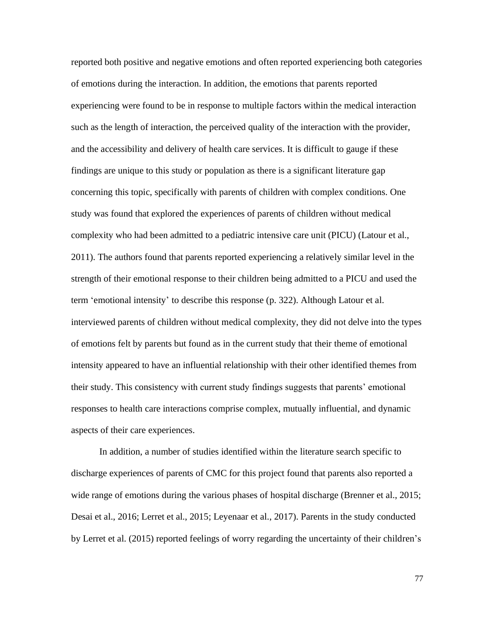reported both positive and negative emotions and often reported experiencing both categories of emotions during the interaction. In addition, the emotions that parents reported experiencing were found to be in response to multiple factors within the medical interaction such as the length of interaction, the perceived quality of the interaction with the provider, and the accessibility and delivery of health care services. It is difficult to gauge if these findings are unique to this study or population as there is a significant literature gap concerning this topic, specifically with parents of children with complex conditions. One study was found that explored the experiences of parents of children without medical complexity who had been admitted to a pediatric intensive care unit (PICU) (Latour et al., 2011). The authors found that parents reported experiencing a relatively similar level in the strength of their emotional response to their children being admitted to a PICU and used the term 'emotional intensity' to describe this response (p. 322). Although Latour et al. interviewed parents of children without medical complexity, they did not delve into the types of emotions felt by parents but found as in the current study that their theme of emotional intensity appeared to have an influential relationship with their other identified themes from their study. This consistency with current study findings suggests that parents' emotional responses to health care interactions comprise complex, mutually influential, and dynamic aspects of their care experiences.

In addition, a number of studies identified within the literature search specific to discharge experiences of parents of CMC for this project found that parents also reported a wide range of emotions during the various phases of hospital discharge (Brenner et al., 2015; Desai et al., 2016; Lerret et al., 2015; Leyenaar et al., 2017). Parents in the study conducted by Lerret et al. (2015) reported feelings of worry regarding the uncertainty of their children's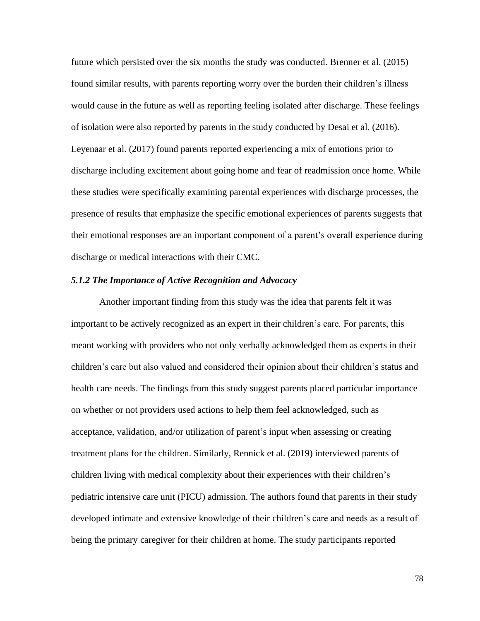future which persisted over the six months the study was conducted. Brenner et al. (2015) found similar results, with parents reporting worry over the burden their children's illness would cause in the future as well as reporting feeling isolated after discharge. These feelings of isolation were also reported by parents in the study conducted by Desai et al. (2016). Leyenaar et al. (2017) found parents reported experiencing a mix of emotions prior to discharge including excitement about going home and fear of readmission once home. While these studies were specifically examining parental experiences with discharge processes, the presence of results that emphasize the specific emotional experiences of parents suggests that their emotional responses are an important component of a parent's overall experience during discharge or medical interactions with their CMC.

## *5.1.2 The Importance of Active Recognition and Advocacy*

Another important finding from this study was the idea that parents felt it was important to be actively recognized as an expert in their children's care. For parents, this meant working with providers who not only verbally acknowledged them as experts in their children's care but also valued and considered their opinion about their children's status and health care needs. The findings from this study suggest parents placed particular importance on whether or not providers used actions to help them feel acknowledged, such as acceptance, validation, and/or utilization of parent's input when assessing or creating treatment plans for the children. Similarly, Rennick et al. (2019) interviewed parents of children living with medical complexity about their experiences with their children's pediatric intensive care unit (PICU) admission. The authors found that parents in their study developed intimate and extensive knowledge of their children's care and needs as a result of being the primary caregiver for their children at home. The study participants reported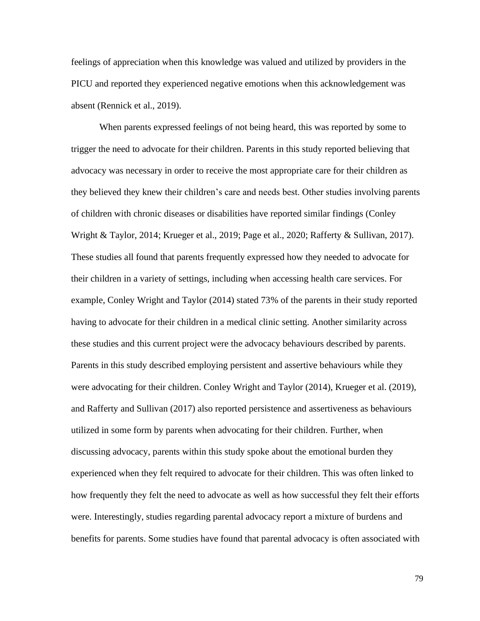feelings of appreciation when this knowledge was valued and utilized by providers in the PICU and reported they experienced negative emotions when this acknowledgement was absent (Rennick et al., 2019).

When parents expressed feelings of not being heard, this was reported by some to trigger the need to advocate for their children. Parents in this study reported believing that advocacy was necessary in order to receive the most appropriate care for their children as they believed they knew their children's care and needs best. Other studies involving parents of children with chronic diseases or disabilities have reported similar findings (Conley Wright & Taylor, 2014; Krueger et al., 2019; Page et al., 2020; Rafferty & Sullivan, 2017). These studies all found that parents frequently expressed how they needed to advocate for their children in a variety of settings, including when accessing health care services. For example, Conley Wright and Taylor (2014) stated 73% of the parents in their study reported having to advocate for their children in a medical clinic setting. Another similarity across these studies and this current project were the advocacy behaviours described by parents. Parents in this study described employing persistent and assertive behaviours while they were advocating for their children. Conley Wright and Taylor (2014), Krueger et al. (2019), and Rafferty and Sullivan (2017) also reported persistence and assertiveness as behaviours utilized in some form by parents when advocating for their children. Further, when discussing advocacy, parents within this study spoke about the emotional burden they experienced when they felt required to advocate for their children. This was often linked to how frequently they felt the need to advocate as well as how successful they felt their efforts were. Interestingly, studies regarding parental advocacy report a mixture of burdens and benefits for parents. Some studies have found that parental advocacy is often associated with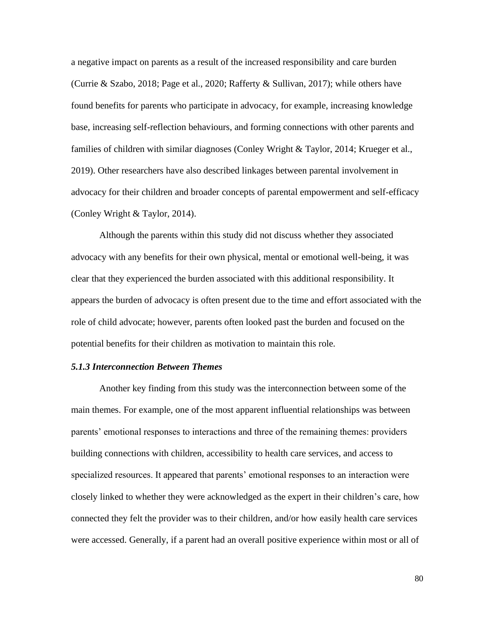a negative impact on parents as a result of the increased responsibility and care burden (Currie & Szabo, 2018; Page et al., 2020; Rafferty & Sullivan, 2017); while others have found benefits for parents who participate in advocacy, for example, increasing knowledge base, increasing self-reflection behaviours, and forming connections with other parents and families of children with similar diagnoses (Conley Wright & Taylor, 2014; Krueger et al., 2019). Other researchers have also described linkages between parental involvement in advocacy for their children and broader concepts of parental empowerment and self-efficacy (Conley Wright & Taylor, 2014).

Although the parents within this study did not discuss whether they associated advocacy with any benefits for their own physical, mental or emotional well-being, it was clear that they experienced the burden associated with this additional responsibility. It appears the burden of advocacy is often present due to the time and effort associated with the role of child advocate; however, parents often looked past the burden and focused on the potential benefits for their children as motivation to maintain this role.

## *5.1.3 Interconnection Between Themes*

Another key finding from this study was the interconnection between some of the main themes. For example, one of the most apparent influential relationships was between parents' emotional responses to interactions and three of the remaining themes: providers building connections with children, accessibility to health care services, and access to specialized resources. It appeared that parents' emotional responses to an interaction were closely linked to whether they were acknowledged as the expert in their children's care, how connected they felt the provider was to their children, and/or how easily health care services were accessed. Generally, if a parent had an overall positive experience within most or all of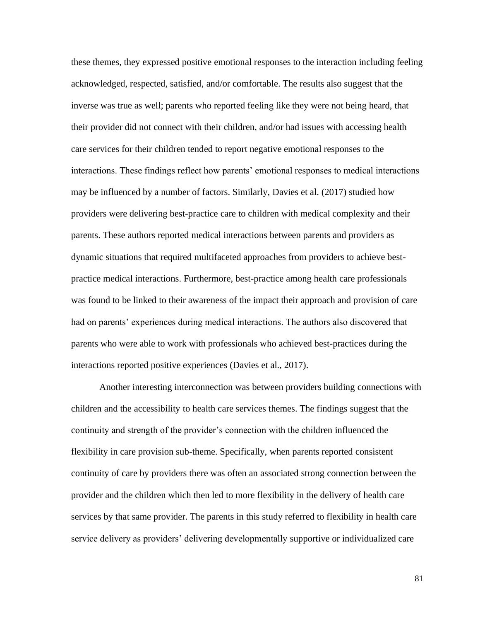these themes, they expressed positive emotional responses to the interaction including feeling acknowledged, respected, satisfied, and/or comfortable. The results also suggest that the inverse was true as well; parents who reported feeling like they were not being heard, that their provider did not connect with their children, and/or had issues with accessing health care services for their children tended to report negative emotional responses to the interactions. These findings reflect how parents' emotional responses to medical interactions may be influenced by a number of factors. Similarly, Davies et al. (2017) studied how providers were delivering best-practice care to children with medical complexity and their parents. These authors reported medical interactions between parents and providers as dynamic situations that required multifaceted approaches from providers to achieve bestpractice medical interactions. Furthermore, best-practice among health care professionals was found to be linked to their awareness of the impact their approach and provision of care had on parents' experiences during medical interactions. The authors also discovered that parents who were able to work with professionals who achieved best-practices during the interactions reported positive experiences (Davies et al., 2017).

Another interesting interconnection was between providers building connections with children and the accessibility to health care services themes. The findings suggest that the continuity and strength of the provider's connection with the children influenced the flexibility in care provision sub-theme. Specifically, when parents reported consistent continuity of care by providers there was often an associated strong connection between the provider and the children which then led to more flexibility in the delivery of health care services by that same provider. The parents in this study referred to flexibility in health care service delivery as providers' delivering developmentally supportive or individualized care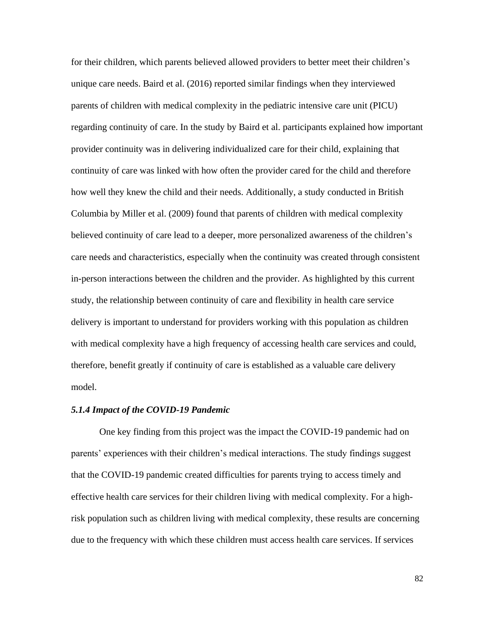for their children, which parents believed allowed providers to better meet their children's unique care needs. Baird et al. (2016) reported similar findings when they interviewed parents of children with medical complexity in the pediatric intensive care unit (PICU) regarding continuity of care. In the study by Baird et al. participants explained how important provider continuity was in delivering individualized care for their child, explaining that continuity of care was linked with how often the provider cared for the child and therefore how well they knew the child and their needs. Additionally, a study conducted in British Columbia by Miller et al. (2009) found that parents of children with medical complexity believed continuity of care lead to a deeper, more personalized awareness of the children's care needs and characteristics, especially when the continuity was created through consistent in-person interactions between the children and the provider. As highlighted by this current study, the relationship between continuity of care and flexibility in health care service delivery is important to understand for providers working with this population as children with medical complexity have a high frequency of accessing health care services and could, therefore, benefit greatly if continuity of care is established as a valuable care delivery model.

## *5.1.4 Impact of the COVID-19 Pandemic*

One key finding from this project was the impact the COVID-19 pandemic had on parents' experiences with their children's medical interactions. The study findings suggest that the COVID-19 pandemic created difficulties for parents trying to access timely and effective health care services for their children living with medical complexity. For a highrisk population such as children living with medical complexity, these results are concerning due to the frequency with which these children must access health care services. If services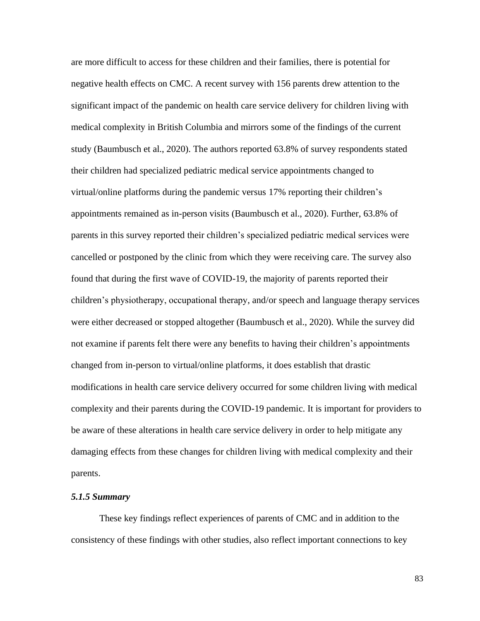are more difficult to access for these children and their families, there is potential for negative health effects on CMC. A recent survey with 156 parents drew attention to the significant impact of the pandemic on health care service delivery for children living with medical complexity in British Columbia and mirrors some of the findings of the current study (Baumbusch et al., 2020). The authors reported 63.8% of survey respondents stated their children had specialized pediatric medical service appointments changed to virtual/online platforms during the pandemic versus 17% reporting their children's appointments remained as in-person visits (Baumbusch et al., 2020). Further, 63.8% of parents in this survey reported their children's specialized pediatric medical services were cancelled or postponed by the clinic from which they were receiving care. The survey also found that during the first wave of COVID-19, the majority of parents reported their children's physiotherapy, occupational therapy, and/or speech and language therapy services were either decreased or stopped altogether (Baumbusch et al., 2020). While the survey did not examine if parents felt there were any benefits to having their children's appointments changed from in-person to virtual/online platforms, it does establish that drastic modifications in health care service delivery occurred for some children living with medical complexity and their parents during the COVID-19 pandemic. It is important for providers to be aware of these alterations in health care service delivery in order to help mitigate any damaging effects from these changes for children living with medical complexity and their parents.

## *5.1.5 Summary*

These key findings reflect experiences of parents of CMC and in addition to the consistency of these findings with other studies, also reflect important connections to key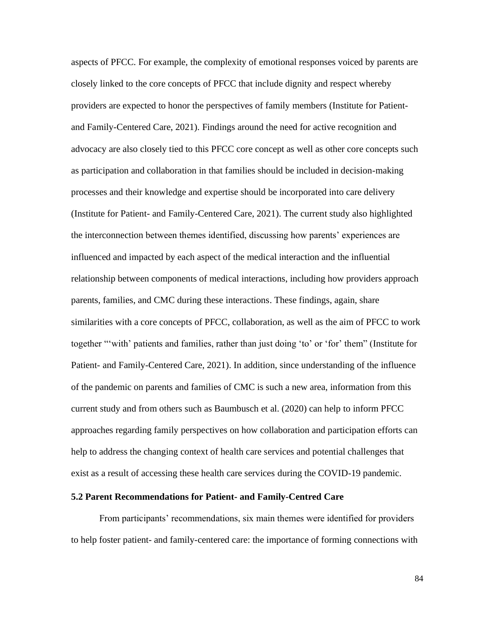aspects of PFCC. For example, the complexity of emotional responses voiced by parents are closely linked to the core concepts of PFCC that include dignity and respect whereby providers are expected to honor the perspectives of family members (Institute for Patientand Family-Centered Care, 2021). Findings around the need for active recognition and advocacy are also closely tied to this PFCC core concept as well as other core concepts such as participation and collaboration in that families should be included in decision-making processes and their knowledge and expertise should be incorporated into care delivery (Institute for Patient- and Family-Centered Care, 2021). The current study also highlighted the interconnection between themes identified, discussing how parents' experiences are influenced and impacted by each aspect of the medical interaction and the influential relationship between components of medical interactions, including how providers approach parents, families, and CMC during these interactions. These findings, again, share similarities with a core concepts of PFCC, collaboration, as well as the aim of PFCC to work together "'with' patients and families, rather than just doing 'to' or 'for' them" (Institute for Patient- and Family-Centered Care, 2021). In addition, since understanding of the influence of the pandemic on parents and families of CMC is such a new area, information from this current study and from others such as Baumbusch et al. (2020) can help to inform PFCC approaches regarding family perspectives on how collaboration and participation efforts can help to address the changing context of health care services and potential challenges that exist as a result of accessing these health care services during the COVID-19 pandemic.

## **5.2 Parent Recommendations for Patient- and Family-Centred Care**

From participants' recommendations, six main themes were identified for providers to help foster patient- and family-centered care: the importance of forming connections with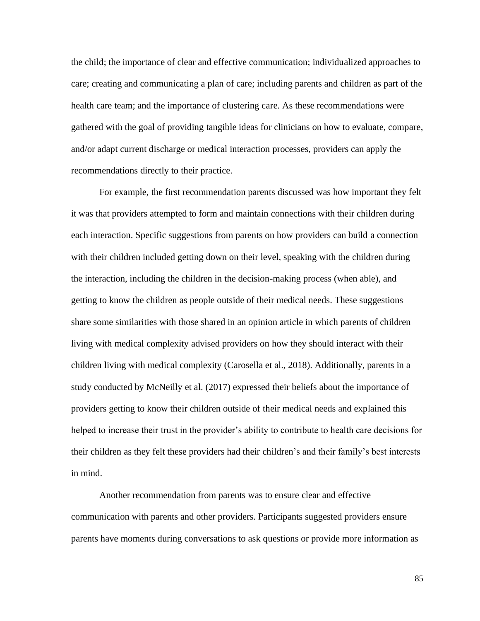the child; the importance of clear and effective communication; individualized approaches to care; creating and communicating a plan of care; including parents and children as part of the health care team; and the importance of clustering care. As these recommendations were gathered with the goal of providing tangible ideas for clinicians on how to evaluate, compare, and/or adapt current discharge or medical interaction processes, providers can apply the recommendations directly to their practice.

For example, the first recommendation parents discussed was how important they felt it was that providers attempted to form and maintain connections with their children during each interaction. Specific suggestions from parents on how providers can build a connection with their children included getting down on their level, speaking with the children during the interaction, including the children in the decision-making process (when able), and getting to know the children as people outside of their medical needs. These suggestions share some similarities with those shared in an opinion article in which parents of children living with medical complexity advised providers on how they should interact with their children living with medical complexity (Carosella et al., 2018). Additionally, parents in a study conducted by McNeilly et al. (2017) expressed their beliefs about the importance of providers getting to know their children outside of their medical needs and explained this helped to increase their trust in the provider's ability to contribute to health care decisions for their children as they felt these providers had their children's and their family's best interests in mind.

Another recommendation from parents was to ensure clear and effective communication with parents and other providers. Participants suggested providers ensure parents have moments during conversations to ask questions or provide more information as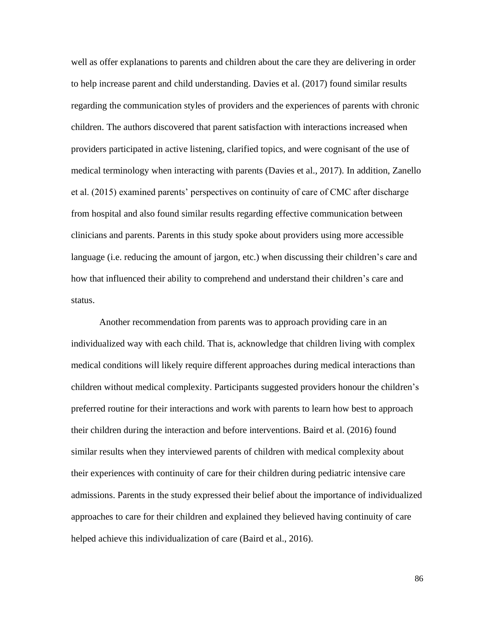well as offer explanations to parents and children about the care they are delivering in order to help increase parent and child understanding. Davies et al. (2017) found similar results regarding the communication styles of providers and the experiences of parents with chronic children. The authors discovered that parent satisfaction with interactions increased when providers participated in active listening, clarified topics, and were cognisant of the use of medical terminology when interacting with parents (Davies et al., 2017). In addition, Zanello et al. (2015) examined parents' perspectives on continuity of care of CMC after discharge from hospital and also found similar results regarding effective communication between clinicians and parents. Parents in this study spoke about providers using more accessible language (i.e. reducing the amount of jargon, etc.) when discussing their children's care and how that influenced their ability to comprehend and understand their children's care and status.

Another recommendation from parents was to approach providing care in an individualized way with each child. That is, acknowledge that children living with complex medical conditions will likely require different approaches during medical interactions than children without medical complexity. Participants suggested providers honour the children's preferred routine for their interactions and work with parents to learn how best to approach their children during the interaction and before interventions. Baird et al. (2016) found similar results when they interviewed parents of children with medical complexity about their experiences with continuity of care for their children during pediatric intensive care admissions. Parents in the study expressed their belief about the importance of individualized approaches to care for their children and explained they believed having continuity of care helped achieve this individualization of care (Baird et al., 2016).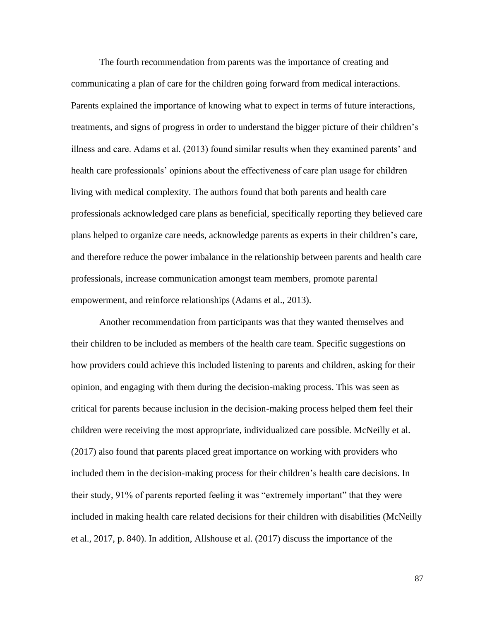The fourth recommendation from parents was the importance of creating and communicating a plan of care for the children going forward from medical interactions. Parents explained the importance of knowing what to expect in terms of future interactions, treatments, and signs of progress in order to understand the bigger picture of their children's illness and care. Adams et al. (2013) found similar results when they examined parents' and health care professionals' opinions about the effectiveness of care plan usage for children living with medical complexity. The authors found that both parents and health care professionals acknowledged care plans as beneficial, specifically reporting they believed care plans helped to organize care needs, acknowledge parents as experts in their children's care, and therefore reduce the power imbalance in the relationship between parents and health care professionals, increase communication amongst team members, promote parental empowerment, and reinforce relationships (Adams et al., 2013).

Another recommendation from participants was that they wanted themselves and their children to be included as members of the health care team. Specific suggestions on how providers could achieve this included listening to parents and children, asking for their opinion, and engaging with them during the decision-making process. This was seen as critical for parents because inclusion in the decision-making process helped them feel their children were receiving the most appropriate, individualized care possible. McNeilly et al. (2017) also found that parents placed great importance on working with providers who included them in the decision-making process for their children's health care decisions. In their study, 91% of parents reported feeling it was "extremely important" that they were included in making health care related decisions for their children with disabilities (McNeilly et al., 2017, p. 840). In addition, Allshouse et al. (2017) discuss the importance of the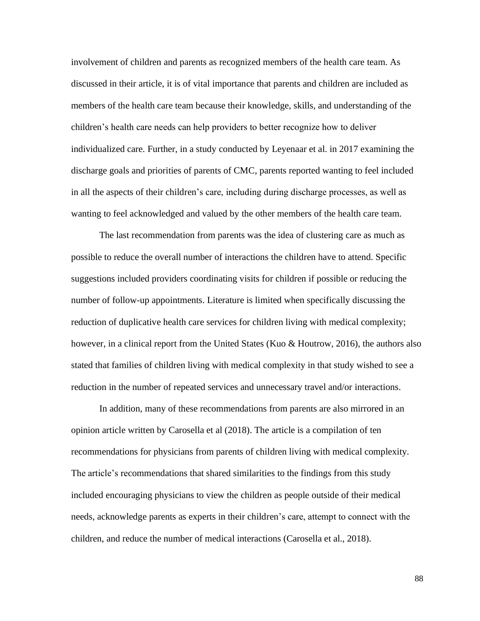involvement of children and parents as recognized members of the health care team. As discussed in their article, it is of vital importance that parents and children are included as members of the health care team because their knowledge, skills, and understanding of the children's health care needs can help providers to better recognize how to deliver individualized care. Further, in a study conducted by Leyenaar et al. in 2017 examining the discharge goals and priorities of parents of CMC, parents reported wanting to feel included in all the aspects of their children's care, including during discharge processes, as well as wanting to feel acknowledged and valued by the other members of the health care team.

The last recommendation from parents was the idea of clustering care as much as possible to reduce the overall number of interactions the children have to attend. Specific suggestions included providers coordinating visits for children if possible or reducing the number of follow-up appointments. Literature is limited when specifically discussing the reduction of duplicative health care services for children living with medical complexity; however, in a clinical report from the United States (Kuo & Houtrow, 2016), the authors also stated that families of children living with medical complexity in that study wished to see a reduction in the number of repeated services and unnecessary travel and/or interactions.

In addition, many of these recommendations from parents are also mirrored in an opinion article written by Carosella et al (2018). The article is a compilation of ten recommendations for physicians from parents of children living with medical complexity. The article's recommendations that shared similarities to the findings from this study included encouraging physicians to view the children as people outside of their medical needs, acknowledge parents as experts in their children's care, attempt to connect with the children, and reduce the number of medical interactions (Carosella et al., 2018).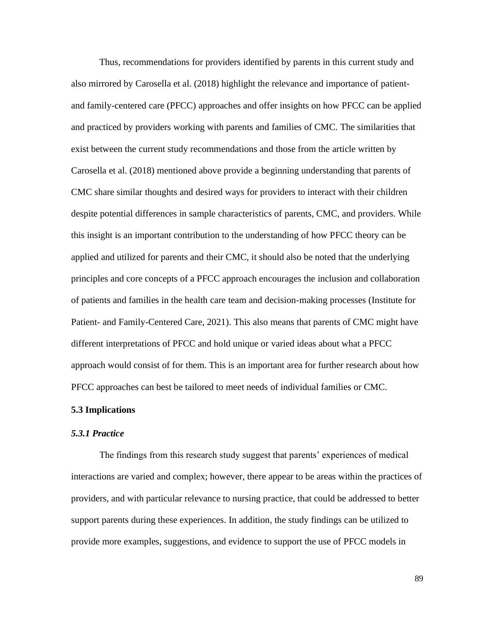Thus, recommendations for providers identified by parents in this current study and also mirrored by Carosella et al. (2018) highlight the relevance and importance of patientand family-centered care (PFCC) approaches and offer insights on how PFCC can be applied and practiced by providers working with parents and families of CMC. The similarities that exist between the current study recommendations and those from the article written by Carosella et al. (2018) mentioned above provide a beginning understanding that parents of CMC share similar thoughts and desired ways for providers to interact with their children despite potential differences in sample characteristics of parents, CMC, and providers. While this insight is an important contribution to the understanding of how PFCC theory can be applied and utilized for parents and their CMC, it should also be noted that the underlying principles and core concepts of a PFCC approach encourages the inclusion and collaboration of patients and families in the health care team and decision-making processes (Institute for Patient- and Family-Centered Care, 2021). This also means that parents of CMC might have different interpretations of PFCC and hold unique or varied ideas about what a PFCC approach would consist of for them. This is an important area for further research about how PFCC approaches can best be tailored to meet needs of individual families or CMC.

# **5.3 Implications**

#### *5.3.1 Practice*

The findings from this research study suggest that parents' experiences of medical interactions are varied and complex; however, there appear to be areas within the practices of providers, and with particular relevance to nursing practice, that could be addressed to better support parents during these experiences. In addition, the study findings can be utilized to provide more examples, suggestions, and evidence to support the use of PFCC models in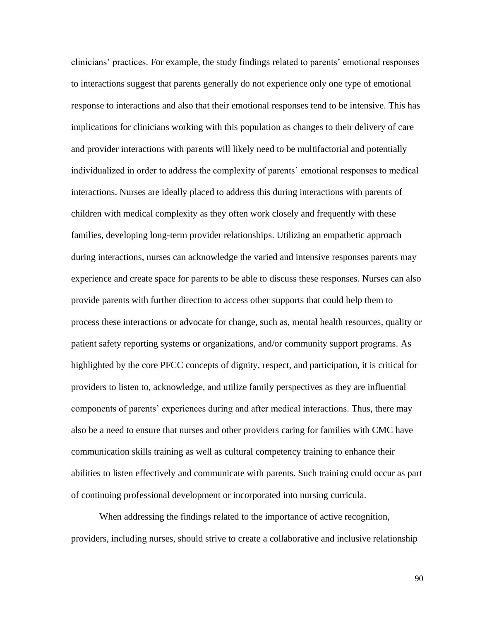clinicians' practices. For example, the study findings related to parents' emotional responses to interactions suggest that parents generally do not experience only one type of emotional response to interactions and also that their emotional responses tend to be intensive. This has implications for clinicians working with this population as changes to their delivery of care and provider interactions with parents will likely need to be multifactorial and potentially individualized in order to address the complexity of parents' emotional responses to medical interactions. Nurses are ideally placed to address this during interactions with parents of children with medical complexity as they often work closely and frequently with these families, developing long-term provider relationships. Utilizing an empathetic approach during interactions, nurses can acknowledge the varied and intensive responses parents may experience and create space for parents to be able to discuss these responses. Nurses can also provide parents with further direction to access other supports that could help them to process these interactions or advocate for change, such as, mental health resources, quality or patient safety reporting systems or organizations, and/or community support programs. As highlighted by the core PFCC concepts of dignity, respect, and participation, it is critical for providers to listen to, acknowledge, and utilize family perspectives as they are influential components of parents' experiences during and after medical interactions. Thus, there may also be a need to ensure that nurses and other providers caring for families with CMC have communication skills training as well as cultural competency training to enhance their abilities to listen effectively and communicate with parents. Such training could occur as part of continuing professional development or incorporated into nursing curricula.

When addressing the findings related to the importance of active recognition, providers, including nurses, should strive to create a collaborative and inclusive relationship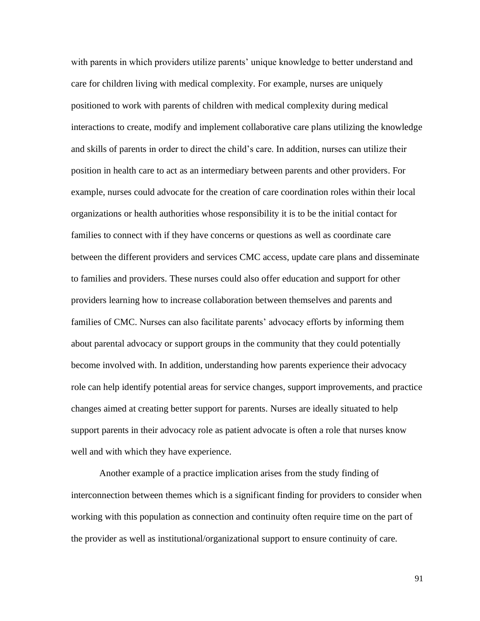with parents in which providers utilize parents' unique knowledge to better understand and care for children living with medical complexity. For example, nurses are uniquely positioned to work with parents of children with medical complexity during medical interactions to create, modify and implement collaborative care plans utilizing the knowledge and skills of parents in order to direct the child's care. In addition, nurses can utilize their position in health care to act as an intermediary between parents and other providers. For example, nurses could advocate for the creation of care coordination roles within their local organizations or health authorities whose responsibility it is to be the initial contact for families to connect with if they have concerns or questions as well as coordinate care between the different providers and services CMC access, update care plans and disseminate to families and providers. These nurses could also offer education and support for other providers learning how to increase collaboration between themselves and parents and families of CMC. Nurses can also facilitate parents' advocacy efforts by informing them about parental advocacy or support groups in the community that they could potentially become involved with. In addition, understanding how parents experience their advocacy role can help identify potential areas for service changes, support improvements, and practice changes aimed at creating better support for parents. Nurses are ideally situated to help support parents in their advocacy role as patient advocate is often a role that nurses know well and with which they have experience.

Another example of a practice implication arises from the study finding of interconnection between themes which is a significant finding for providers to consider when working with this population as connection and continuity often require time on the part of the provider as well as institutional/organizational support to ensure continuity of care.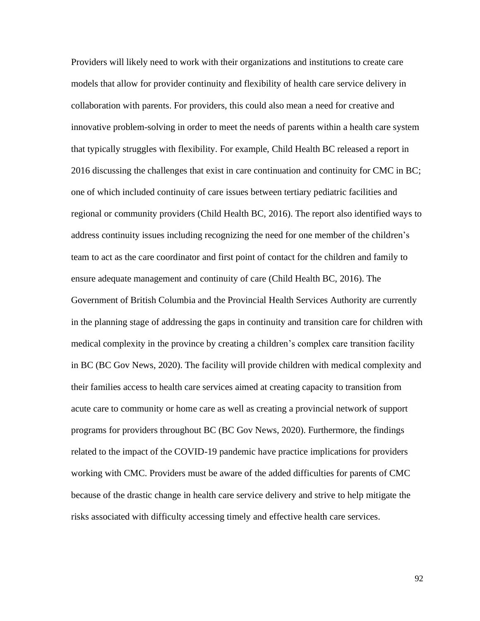Providers will likely need to work with their organizations and institutions to create care models that allow for provider continuity and flexibility of health care service delivery in collaboration with parents. For providers, this could also mean a need for creative and innovative problem-solving in order to meet the needs of parents within a health care system that typically struggles with flexibility. For example, Child Health BC released a report in 2016 discussing the challenges that exist in care continuation and continuity for CMC in BC; one of which included continuity of care issues between tertiary pediatric facilities and regional or community providers (Child Health BC, 2016). The report also identified ways to address continuity issues including recognizing the need for one member of the children's team to act as the care coordinator and first point of contact for the children and family to ensure adequate management and continuity of care (Child Health BC, 2016). The Government of British Columbia and the Provincial Health Services Authority are currently in the planning stage of addressing the gaps in continuity and transition care for children with medical complexity in the province by creating a children's complex care transition facility in BC (BC Gov News, 2020). The facility will provide children with medical complexity and their families access to health care services aimed at creating capacity to transition from acute care to community or home care as well as creating a provincial network of support programs for providers throughout BC (BC Gov News, 2020). Furthermore, the findings related to the impact of the COVID-19 pandemic have practice implications for providers working with CMC. Providers must be aware of the added difficulties for parents of CMC because of the drastic change in health care service delivery and strive to help mitigate the risks associated with difficulty accessing timely and effective health care services.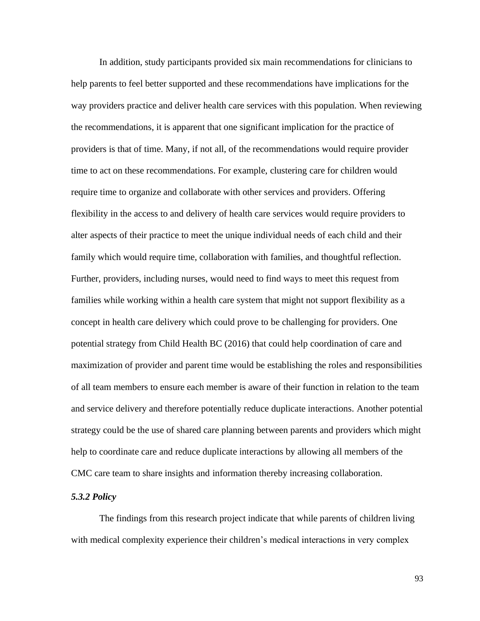In addition, study participants provided six main recommendations for clinicians to help parents to feel better supported and these recommendations have implications for the way providers practice and deliver health care services with this population. When reviewing the recommendations, it is apparent that one significant implication for the practice of providers is that of time. Many, if not all, of the recommendations would require provider time to act on these recommendations. For example, clustering care for children would require time to organize and collaborate with other services and providers. Offering flexibility in the access to and delivery of health care services would require providers to alter aspects of their practice to meet the unique individual needs of each child and their family which would require time, collaboration with families, and thoughtful reflection. Further, providers, including nurses, would need to find ways to meet this request from families while working within a health care system that might not support flexibility as a concept in health care delivery which could prove to be challenging for providers. One potential strategy from Child Health BC (2016) that could help coordination of care and maximization of provider and parent time would be establishing the roles and responsibilities of all team members to ensure each member is aware of their function in relation to the team and service delivery and therefore potentially reduce duplicate interactions. Another potential strategy could be the use of shared care planning between parents and providers which might help to coordinate care and reduce duplicate interactions by allowing all members of the CMC care team to share insights and information thereby increasing collaboration.

## *5.3.2 Policy*

The findings from this research project indicate that while parents of children living with medical complexity experience their children's medical interactions in very complex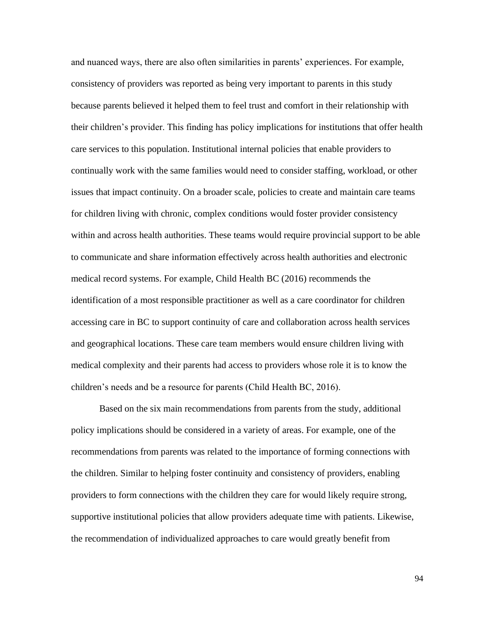and nuanced ways, there are also often similarities in parents' experiences. For example, consistency of providers was reported as being very important to parents in this study because parents believed it helped them to feel trust and comfort in their relationship with their children's provider. This finding has policy implications for institutions that offer health care services to this population. Institutional internal policies that enable providers to continually work with the same families would need to consider staffing, workload, or other issues that impact continuity. On a broader scale, policies to create and maintain care teams for children living with chronic, complex conditions would foster provider consistency within and across health authorities. These teams would require provincial support to be able to communicate and share information effectively across health authorities and electronic medical record systems. For example, Child Health BC (2016) recommends the identification of a most responsible practitioner as well as a care coordinator for children accessing care in BC to support continuity of care and collaboration across health services and geographical locations. These care team members would ensure children living with medical complexity and their parents had access to providers whose role it is to know the children's needs and be a resource for parents (Child Health BC, 2016).

Based on the six main recommendations from parents from the study, additional policy implications should be considered in a variety of areas. For example, one of the recommendations from parents was related to the importance of forming connections with the children. Similar to helping foster continuity and consistency of providers, enabling providers to form connections with the children they care for would likely require strong, supportive institutional policies that allow providers adequate time with patients. Likewise, the recommendation of individualized approaches to care would greatly benefit from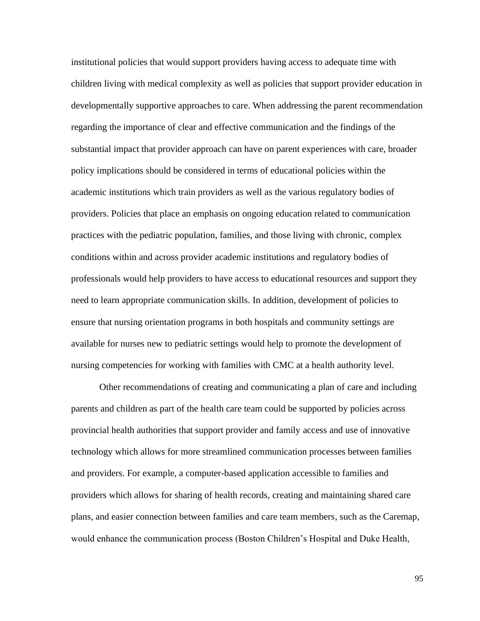institutional policies that would support providers having access to adequate time with children living with medical complexity as well as policies that support provider education in developmentally supportive approaches to care. When addressing the parent recommendation regarding the importance of clear and effective communication and the findings of the substantial impact that provider approach can have on parent experiences with care, broader policy implications should be considered in terms of educational policies within the academic institutions which train providers as well as the various regulatory bodies of providers. Policies that place an emphasis on ongoing education related to communication practices with the pediatric population, families, and those living with chronic, complex conditions within and across provider academic institutions and regulatory bodies of professionals would help providers to have access to educational resources and support they need to learn appropriate communication skills. In addition, development of policies to ensure that nursing orientation programs in both hospitals and community settings are available for nurses new to pediatric settings would help to promote the development of nursing competencies for working with families with CMC at a health authority level.

Other recommendations of creating and communicating a plan of care and including parents and children as part of the health care team could be supported by policies across provincial health authorities that support provider and family access and use of innovative technology which allows for more streamlined communication processes between families and providers. For example, a computer-based application accessible to families and providers which allows for sharing of health records, creating and maintaining shared care plans, and easier connection between families and care team members, such as the Caremap, would enhance the communication process (Boston Children's Hospital and Duke Health,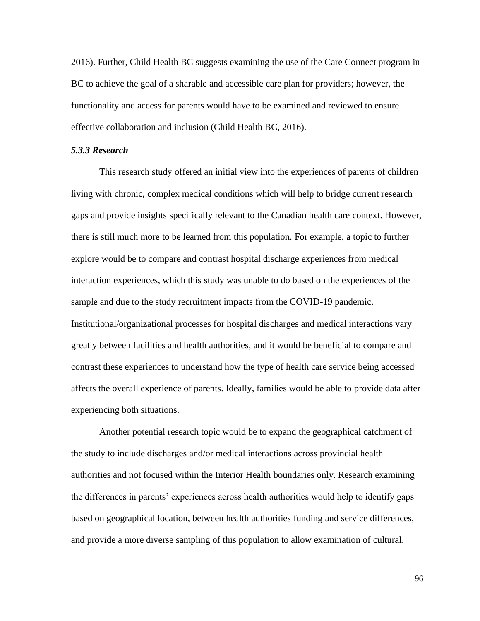2016). Further, Child Health BC suggests examining the use of the Care Connect program in BC to achieve the goal of a sharable and accessible care plan for providers; however, the functionality and access for parents would have to be examined and reviewed to ensure effective collaboration and inclusion (Child Health BC, 2016).

#### *5.3.3 Research*

This research study offered an initial view into the experiences of parents of children living with chronic, complex medical conditions which will help to bridge current research gaps and provide insights specifically relevant to the Canadian health care context. However, there is still much more to be learned from this population. For example, a topic to further explore would be to compare and contrast hospital discharge experiences from medical interaction experiences, which this study was unable to do based on the experiences of the sample and due to the study recruitment impacts from the COVID-19 pandemic. Institutional/organizational processes for hospital discharges and medical interactions vary greatly between facilities and health authorities, and it would be beneficial to compare and contrast these experiences to understand how the type of health care service being accessed affects the overall experience of parents. Ideally, families would be able to provide data after experiencing both situations.

Another potential research topic would be to expand the geographical catchment of the study to include discharges and/or medical interactions across provincial health authorities and not focused within the Interior Health boundaries only. Research examining the differences in parents' experiences across health authorities would help to identify gaps based on geographical location, between health authorities funding and service differences, and provide a more diverse sampling of this population to allow examination of cultural,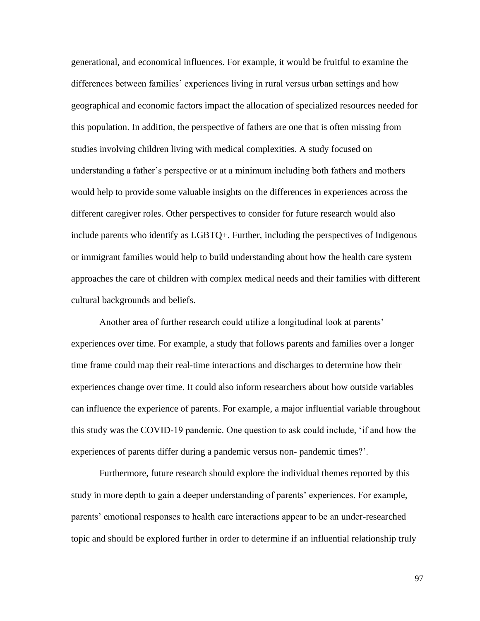generational, and economical influences. For example, it would be fruitful to examine the differences between families' experiences living in rural versus urban settings and how geographical and economic factors impact the allocation of specialized resources needed for this population. In addition, the perspective of fathers are one that is often missing from studies involving children living with medical complexities. A study focused on understanding a father's perspective or at a minimum including both fathers and mothers would help to provide some valuable insights on the differences in experiences across the different caregiver roles. Other perspectives to consider for future research would also include parents who identify as LGBTQ+. Further, including the perspectives of Indigenous or immigrant families would help to build understanding about how the health care system approaches the care of children with complex medical needs and their families with different cultural backgrounds and beliefs.

Another area of further research could utilize a longitudinal look at parents' experiences over time. For example, a study that follows parents and families over a longer time frame could map their real-time interactions and discharges to determine how their experiences change over time. It could also inform researchers about how outside variables can influence the experience of parents. For example, a major influential variable throughout this study was the COVID-19 pandemic. One question to ask could include, 'if and how the experiences of parents differ during a pandemic versus non- pandemic times?'.

Furthermore, future research should explore the individual themes reported by this study in more depth to gain a deeper understanding of parents' experiences. For example, parents' emotional responses to health care interactions appear to be an under-researched topic and should be explored further in order to determine if an influential relationship truly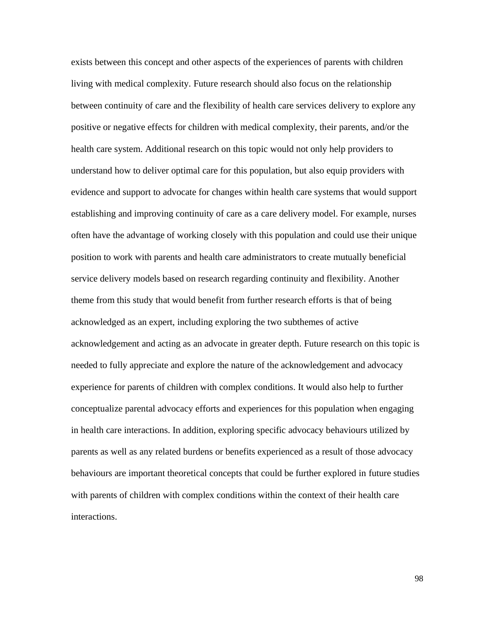exists between this concept and other aspects of the experiences of parents with children living with medical complexity. Future research should also focus on the relationship between continuity of care and the flexibility of health care services delivery to explore any positive or negative effects for children with medical complexity, their parents, and/or the health care system. Additional research on this topic would not only help providers to understand how to deliver optimal care for this population, but also equip providers with evidence and support to advocate for changes within health care systems that would support establishing and improving continuity of care as a care delivery model. For example, nurses often have the advantage of working closely with this population and could use their unique position to work with parents and health care administrators to create mutually beneficial service delivery models based on research regarding continuity and flexibility. Another theme from this study that would benefit from further research efforts is that of being acknowledged as an expert, including exploring the two subthemes of active acknowledgement and acting as an advocate in greater depth. Future research on this topic is needed to fully appreciate and explore the nature of the acknowledgement and advocacy experience for parents of children with complex conditions. It would also help to further conceptualize parental advocacy efforts and experiences for this population when engaging in health care interactions. In addition, exploring specific advocacy behaviours utilized by parents as well as any related burdens or benefits experienced as a result of those advocacy behaviours are important theoretical concepts that could be further explored in future studies with parents of children with complex conditions within the context of their health care interactions.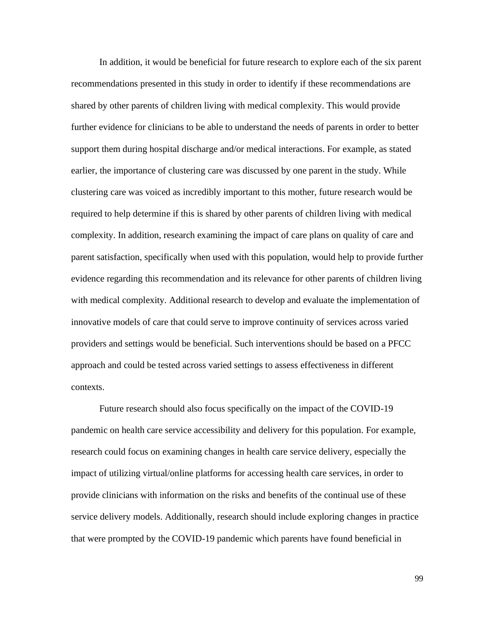In addition, it would be beneficial for future research to explore each of the six parent recommendations presented in this study in order to identify if these recommendations are shared by other parents of children living with medical complexity. This would provide further evidence for clinicians to be able to understand the needs of parents in order to better support them during hospital discharge and/or medical interactions. For example, as stated earlier, the importance of clustering care was discussed by one parent in the study. While clustering care was voiced as incredibly important to this mother, future research would be required to help determine if this is shared by other parents of children living with medical complexity. In addition, research examining the impact of care plans on quality of care and parent satisfaction, specifically when used with this population, would help to provide further evidence regarding this recommendation and its relevance for other parents of children living with medical complexity. Additional research to develop and evaluate the implementation of innovative models of care that could serve to improve continuity of services across varied providers and settings would be beneficial. Such interventions should be based on a PFCC approach and could be tested across varied settings to assess effectiveness in different contexts.

Future research should also focus specifically on the impact of the COVID-19 pandemic on health care service accessibility and delivery for this population. For example, research could focus on examining changes in health care service delivery, especially the impact of utilizing virtual/online platforms for accessing health care services, in order to provide clinicians with information on the risks and benefits of the continual use of these service delivery models. Additionally, research should include exploring changes in practice that were prompted by the COVID-19 pandemic which parents have found beneficial in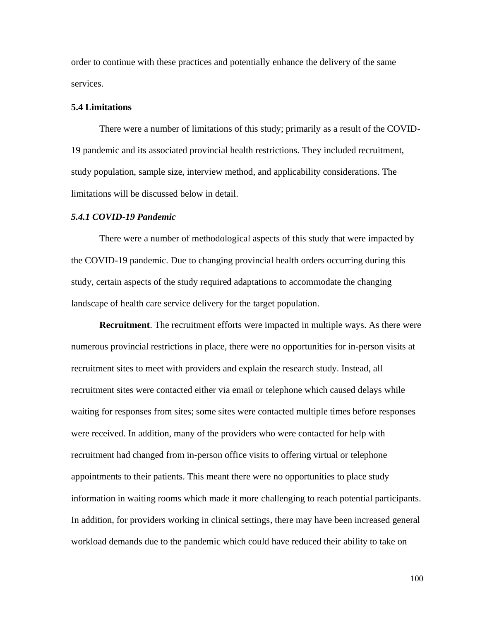order to continue with these practices and potentially enhance the delivery of the same services.

#### **5.4 Limitations**

There were a number of limitations of this study; primarily as a result of the COVID-19 pandemic and its associated provincial health restrictions. They included recruitment, study population, sample size, interview method, and applicability considerations. The limitations will be discussed below in detail.

#### *5.4.1 COVID-19 Pandemic*

There were a number of methodological aspects of this study that were impacted by the COVID-19 pandemic. Due to changing provincial health orders occurring during this study, certain aspects of the study required adaptations to accommodate the changing landscape of health care service delivery for the target population.

**Recruitment**. The recruitment efforts were impacted in multiple ways. As there were numerous provincial restrictions in place, there were no opportunities for in-person visits at recruitment sites to meet with providers and explain the research study. Instead, all recruitment sites were contacted either via email or telephone which caused delays while waiting for responses from sites; some sites were contacted multiple times before responses were received. In addition, many of the providers who were contacted for help with recruitment had changed from in-person office visits to offering virtual or telephone appointments to their patients. This meant there were no opportunities to place study information in waiting rooms which made it more challenging to reach potential participants. In addition, for providers working in clinical settings, there may have been increased general workload demands due to the pandemic which could have reduced their ability to take on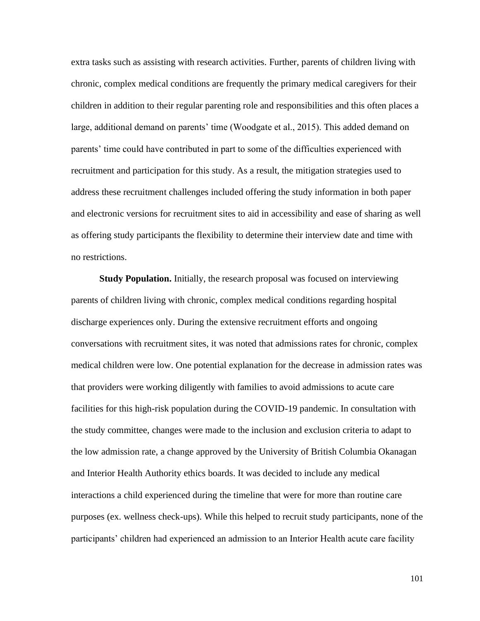extra tasks such as assisting with research activities. Further, parents of children living with chronic, complex medical conditions are frequently the primary medical caregivers for their children in addition to their regular parenting role and responsibilities and this often places a large, additional demand on parents' time (Woodgate et al., 2015). This added demand on parents' time could have contributed in part to some of the difficulties experienced with recruitment and participation for this study. As a result, the mitigation strategies used to address these recruitment challenges included offering the study information in both paper and electronic versions for recruitment sites to aid in accessibility and ease of sharing as well as offering study participants the flexibility to determine their interview date and time with no restrictions.

**Study Population.** Initially, the research proposal was focused on interviewing parents of children living with chronic, complex medical conditions regarding hospital discharge experiences only. During the extensive recruitment efforts and ongoing conversations with recruitment sites, it was noted that admissions rates for chronic, complex medical children were low. One potential explanation for the decrease in admission rates was that providers were working diligently with families to avoid admissions to acute care facilities for this high-risk population during the COVID-19 pandemic. In consultation with the study committee, changes were made to the inclusion and exclusion criteria to adapt to the low admission rate, a change approved by the University of British Columbia Okanagan and Interior Health Authority ethics boards. It was decided to include any medical interactions a child experienced during the timeline that were for more than routine care purposes (ex. wellness check-ups). While this helped to recruit study participants, none of the participants' children had experienced an admission to an Interior Health acute care facility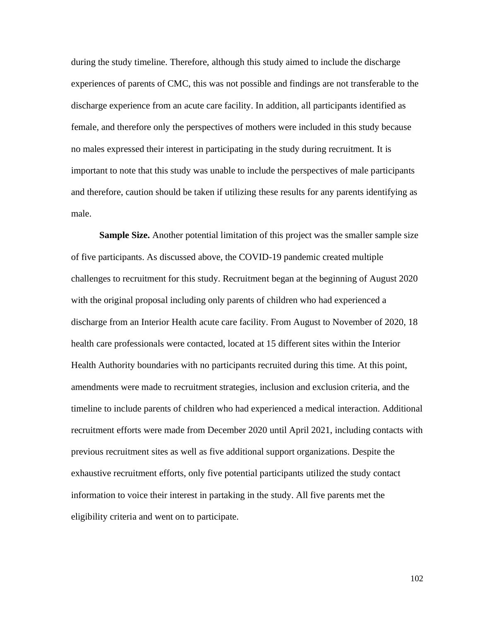during the study timeline. Therefore, although this study aimed to include the discharge experiences of parents of CMC, this was not possible and findings are not transferable to the discharge experience from an acute care facility. In addition, all participants identified as female, and therefore only the perspectives of mothers were included in this study because no males expressed their interest in participating in the study during recruitment. It is important to note that this study was unable to include the perspectives of male participants and therefore, caution should be taken if utilizing these results for any parents identifying as male.

**Sample Size.** Another potential limitation of this project was the smaller sample size of five participants. As discussed above, the COVID-19 pandemic created multiple challenges to recruitment for this study. Recruitment began at the beginning of August 2020 with the original proposal including only parents of children who had experienced a discharge from an Interior Health acute care facility. From August to November of 2020, 18 health care professionals were contacted, located at 15 different sites within the Interior Health Authority boundaries with no participants recruited during this time. At this point, amendments were made to recruitment strategies, inclusion and exclusion criteria, and the timeline to include parents of children who had experienced a medical interaction. Additional recruitment efforts were made from December 2020 until April 2021, including contacts with previous recruitment sites as well as five additional support organizations. Despite the exhaustive recruitment efforts, only five potential participants utilized the study contact information to voice their interest in partaking in the study. All five parents met the eligibility criteria and went on to participate.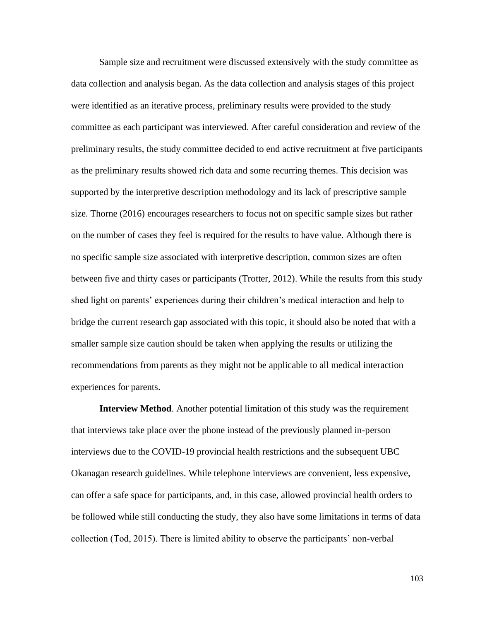Sample size and recruitment were discussed extensively with the study committee as data collection and analysis began. As the data collection and analysis stages of this project were identified as an iterative process, preliminary results were provided to the study committee as each participant was interviewed. After careful consideration and review of the preliminary results, the study committee decided to end active recruitment at five participants as the preliminary results showed rich data and some recurring themes. This decision was supported by the interpretive description methodology and its lack of prescriptive sample size. Thorne (2016) encourages researchers to focus not on specific sample sizes but rather on the number of cases they feel is required for the results to have value. Although there is no specific sample size associated with interpretive description, common sizes are often between five and thirty cases or participants (Trotter, 2012). While the results from this study shed light on parents' experiences during their children's medical interaction and help to bridge the current research gap associated with this topic, it should also be noted that with a smaller sample size caution should be taken when applying the results or utilizing the recommendations from parents as they might not be applicable to all medical interaction experiences for parents.

**Interview Method**. Another potential limitation of this study was the requirement that interviews take place over the phone instead of the previously planned in-person interviews due to the COVID-19 provincial health restrictions and the subsequent UBC Okanagan research guidelines. While telephone interviews are convenient, less expensive, can offer a safe space for participants, and, in this case, allowed provincial health orders to be followed while still conducting the study, they also have some limitations in terms of data collection (Tod, 2015). There is limited ability to observe the participants' non-verbal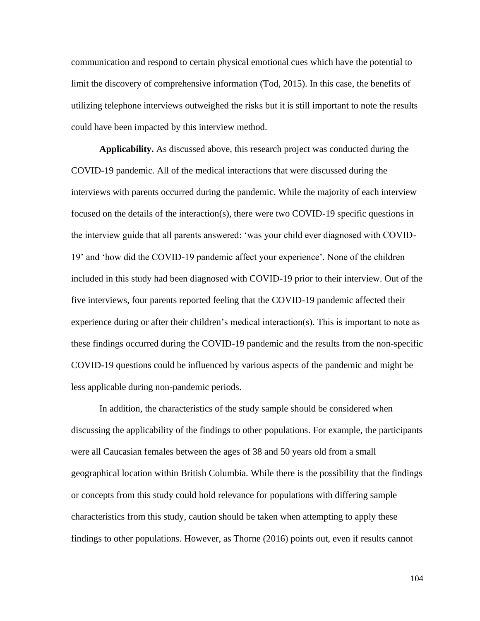communication and respond to certain physical emotional cues which have the potential to limit the discovery of comprehensive information (Tod, 2015). In this case, the benefits of utilizing telephone interviews outweighed the risks but it is still important to note the results could have been impacted by this interview method.

**Applicability.** As discussed above, this research project was conducted during the COVID-19 pandemic. All of the medical interactions that were discussed during the interviews with parents occurred during the pandemic. While the majority of each interview focused on the details of the interaction(s), there were two COVID-19 specific questions in the interview guide that all parents answered: 'was your child ever diagnosed with COVID-19' and 'how did the COVID-19 pandemic affect your experience'. None of the children included in this study had been diagnosed with COVID-19 prior to their interview. Out of the five interviews, four parents reported feeling that the COVID-19 pandemic affected their experience during or after their children's medical interaction(s). This is important to note as these findings occurred during the COVID-19 pandemic and the results from the non-specific COVID-19 questions could be influenced by various aspects of the pandemic and might be less applicable during non-pandemic periods.

In addition, the characteristics of the study sample should be considered when discussing the applicability of the findings to other populations. For example, the participants were all Caucasian females between the ages of 38 and 50 years old from a small geographical location within British Columbia. While there is the possibility that the findings or concepts from this study could hold relevance for populations with differing sample characteristics from this study, caution should be taken when attempting to apply these findings to other populations. However, as Thorne (2016) points out, even if results cannot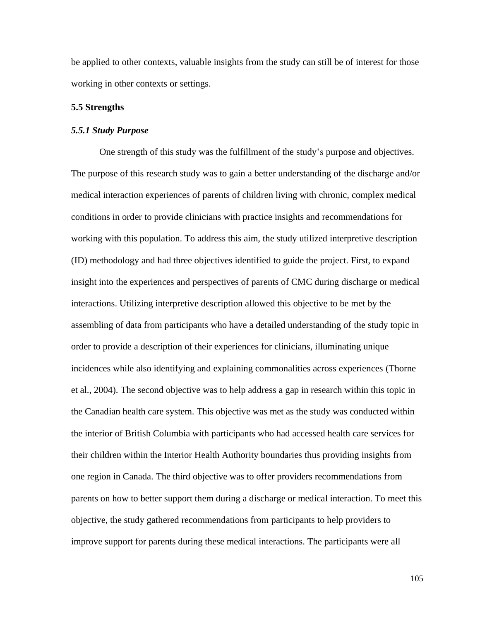be applied to other contexts, valuable insights from the study can still be of interest for those working in other contexts or settings.

#### **5.5 Strengths**

#### *5.5.1 Study Purpose*

One strength of this study was the fulfillment of the study's purpose and objectives. The purpose of this research study was to gain a better understanding of the discharge and/or medical interaction experiences of parents of children living with chronic, complex medical conditions in order to provide clinicians with practice insights and recommendations for working with this population. To address this aim, the study utilized interpretive description (ID) methodology and had three objectives identified to guide the project. First, to expand insight into the experiences and perspectives of parents of CMC during discharge or medical interactions. Utilizing interpretive description allowed this objective to be met by the assembling of data from participants who have a detailed understanding of the study topic in order to provide a description of their experiences for clinicians, illuminating unique incidences while also identifying and explaining commonalities across experiences (Thorne et al., 2004). The second objective was to help address a gap in research within this topic in the Canadian health care system. This objective was met as the study was conducted within the interior of British Columbia with participants who had accessed health care services for their children within the Interior Health Authority boundaries thus providing insights from one region in Canada. The third objective was to offer providers recommendations from parents on how to better support them during a discharge or medical interaction. To meet this objective, the study gathered recommendations from participants to help providers to improve support for parents during these medical interactions. The participants were all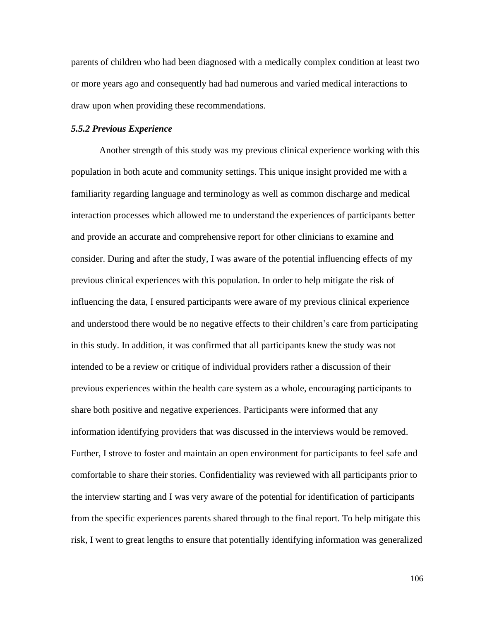parents of children who had been diagnosed with a medically complex condition at least two or more years ago and consequently had had numerous and varied medical interactions to draw upon when providing these recommendations.

#### *5.5.2 Previous Experience*

Another strength of this study was my previous clinical experience working with this population in both acute and community settings. This unique insight provided me with a familiarity regarding language and terminology as well as common discharge and medical interaction processes which allowed me to understand the experiences of participants better and provide an accurate and comprehensive report for other clinicians to examine and consider. During and after the study, I was aware of the potential influencing effects of my previous clinical experiences with this population. In order to help mitigate the risk of influencing the data, I ensured participants were aware of my previous clinical experience and understood there would be no negative effects to their children's care from participating in this study. In addition, it was confirmed that all participants knew the study was not intended to be a review or critique of individual providers rather a discussion of their previous experiences within the health care system as a whole, encouraging participants to share both positive and negative experiences. Participants were informed that any information identifying providers that was discussed in the interviews would be removed. Further, I strove to foster and maintain an open environment for participants to feel safe and comfortable to share their stories. Confidentiality was reviewed with all participants prior to the interview starting and I was very aware of the potential for identification of participants from the specific experiences parents shared through to the final report. To help mitigate this risk, I went to great lengths to ensure that potentially identifying information was generalized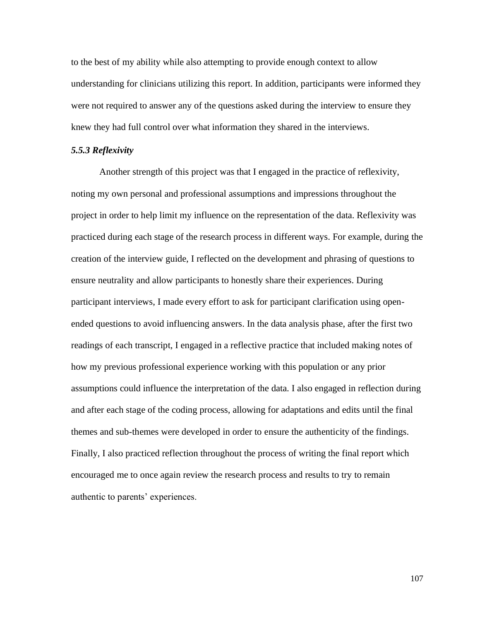to the best of my ability while also attempting to provide enough context to allow understanding for clinicians utilizing this report. In addition, participants were informed they were not required to answer any of the questions asked during the interview to ensure they knew they had full control over what information they shared in the interviews.

#### *5.5.3 Reflexivity*

Another strength of this project was that I engaged in the practice of reflexivity, noting my own personal and professional assumptions and impressions throughout the project in order to help limit my influence on the representation of the data. Reflexivity was practiced during each stage of the research process in different ways. For example, during the creation of the interview guide, I reflected on the development and phrasing of questions to ensure neutrality and allow participants to honestly share their experiences. During participant interviews, I made every effort to ask for participant clarification using openended questions to avoid influencing answers. In the data analysis phase, after the first two readings of each transcript, I engaged in a reflective practice that included making notes of how my previous professional experience working with this population or any prior assumptions could influence the interpretation of the data. I also engaged in reflection during and after each stage of the coding process, allowing for adaptations and edits until the final themes and sub-themes were developed in order to ensure the authenticity of the findings. Finally, I also practiced reflection throughout the process of writing the final report which encouraged me to once again review the research process and results to try to remain authentic to parents' experiences.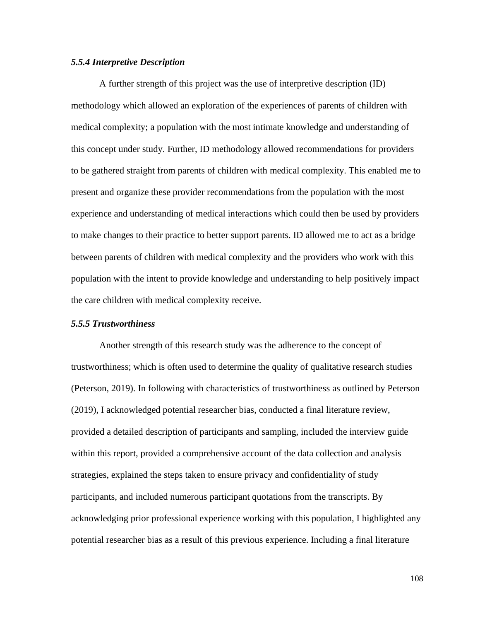#### *5.5.4 Interpretive Description*

A further strength of this project was the use of interpretive description (ID) methodology which allowed an exploration of the experiences of parents of children with medical complexity; a population with the most intimate knowledge and understanding of this concept under study. Further, ID methodology allowed recommendations for providers to be gathered straight from parents of children with medical complexity. This enabled me to present and organize these provider recommendations from the population with the most experience and understanding of medical interactions which could then be used by providers to make changes to their practice to better support parents. ID allowed me to act as a bridge between parents of children with medical complexity and the providers who work with this population with the intent to provide knowledge and understanding to help positively impact the care children with medical complexity receive.

#### *5.5.5 Trustworthiness*

Another strength of this research study was the adherence to the concept of trustworthiness; which is often used to determine the quality of qualitative research studies (Peterson, 2019). In following with characteristics of trustworthiness as outlined by Peterson (2019), I acknowledged potential researcher bias, conducted a final literature review, provided a detailed description of participants and sampling, included the interview guide within this report, provided a comprehensive account of the data collection and analysis strategies, explained the steps taken to ensure privacy and confidentiality of study participants, and included numerous participant quotations from the transcripts. By acknowledging prior professional experience working with this population, I highlighted any potential researcher bias as a result of this previous experience. Including a final literature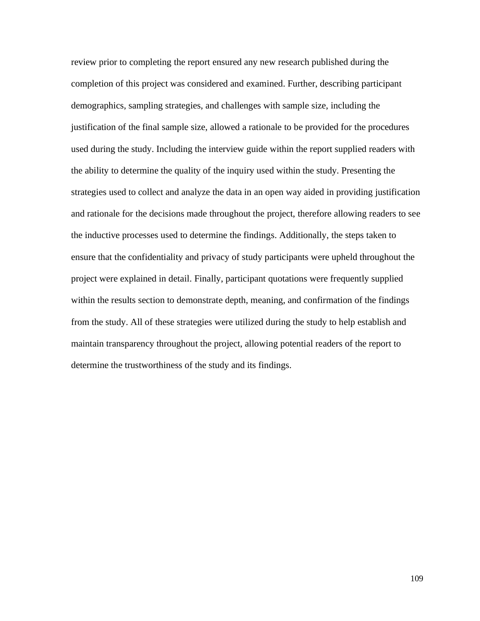review prior to completing the report ensured any new research published during the completion of this project was considered and examined. Further, describing participant demographics, sampling strategies, and challenges with sample size, including the justification of the final sample size, allowed a rationale to be provided for the procedures used during the study. Including the interview guide within the report supplied readers with the ability to determine the quality of the inquiry used within the study. Presenting the strategies used to collect and analyze the data in an open way aided in providing justification and rationale for the decisions made throughout the project, therefore allowing readers to see the inductive processes used to determine the findings. Additionally, the steps taken to ensure that the confidentiality and privacy of study participants were upheld throughout the project were explained in detail. Finally, participant quotations were frequently supplied within the results section to demonstrate depth, meaning, and confirmation of the findings from the study. All of these strategies were utilized during the study to help establish and maintain transparency throughout the project, allowing potential readers of the report to determine the trustworthiness of the study and its findings.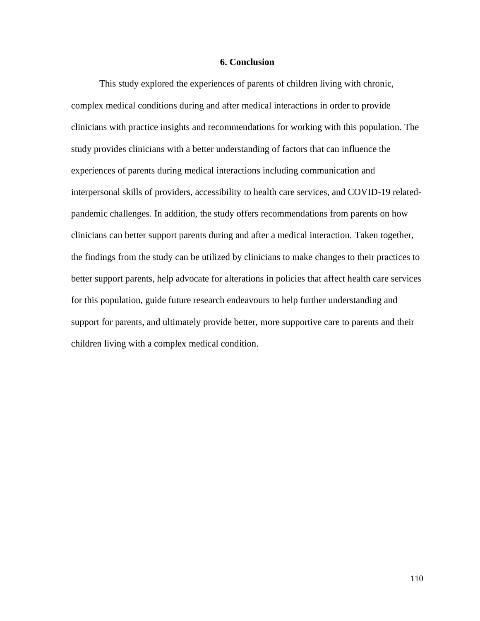#### **6. Conclusion**

This study explored the experiences of parents of children living with chronic, complex medical conditions during and after medical interactions in order to provide clinicians with practice insights and recommendations for working with this population. The study provides clinicians with a better understanding of factors that can influence the experiences of parents during medical interactions including communication and interpersonal skills of providers, accessibility to health care services, and COVID-19 relatedpandemic challenges. In addition, the study offers recommendations from parents on how clinicians can better support parents during and after a medical interaction. Taken together, the findings from the study can be utilized by clinicians to make changes to their practices to better support parents, help advocate for alterations in policies that affect health care services for this population, guide future research endeavours to help further understanding and support for parents, and ultimately provide better, more supportive care to parents and their children living with a complex medical condition.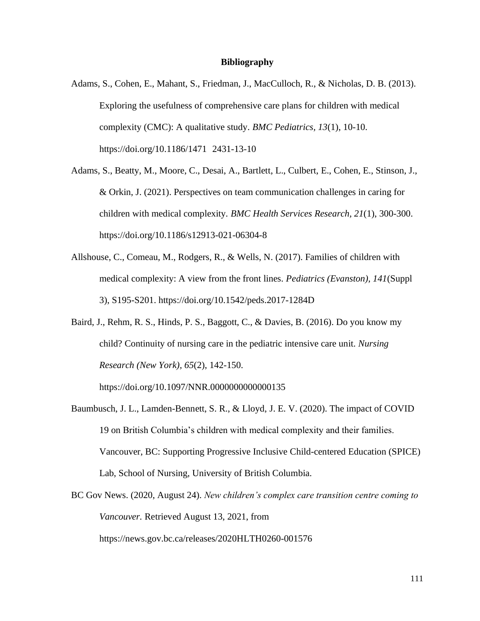#### **Bibliography**

- Adams, S., Cohen, E., Mahant, S., Friedman, J., MacCulloch, R., & Nicholas, D. B. (2013). Exploring the usefulness of comprehensive care plans for children with medical complexity (CMC): A qualitative study. *BMC Pediatrics, 13*(1), 10-10. https://doi.org/10.1186/1471 2431-13-10
- Adams, S., Beatty, M., Moore, C., Desai, A., Bartlett, L., Culbert, E., Cohen, E., Stinson, J., & Orkin, J. (2021). Perspectives on team communication challenges in caring for children with medical complexity. *BMC Health Services Research, 21*(1), 300-300. https://doi.org/10.1186/s12913-021-06304-8
- Allshouse, C., Comeau, M., Rodgers, R., & Wells, N. (2017). Families of children with medical complexity: A view from the front lines. *Pediatrics (Evanston), 141*(Suppl 3), S195-S201. https://doi.org/10.1542/peds.2017-1284D
- Baird, J., Rehm, R. S., Hinds, P. S., Baggott, C., & Davies, B. (2016). Do you know my child? Continuity of nursing care in the pediatric intensive care unit. *Nursing Research (New York), 65*(2), 142-150.

https://doi.org/10.1097/NNR.0000000000000135

- Baumbusch, J. L., Lamden-Bennett, S. R., & Lloyd, J. E. V. (2020). The impact of COVID 19 on British Columbia's children with medical complexity and their families. Vancouver, BC: Supporting Progressive Inclusive Child-centered Education (SPICE) Lab, School of Nursing, University of British Columbia.
- BC Gov News. (2020, August 24). *New children's complex care transition centre coming to Vancouver.* Retrieved August 13, 2021, from https://news.gov.bc.ca/releases/2020HLTH0260-001576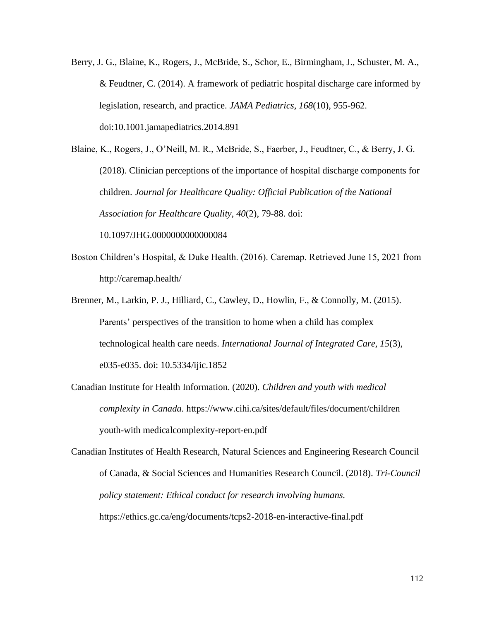Berry, J. G., Blaine, K., Rogers, J., McBride, S., Schor, E., Birmingham, J., Schuster, M. A., & Feudtner, C. (2014). A framework of pediatric hospital discharge care informed by legislation, research, and practice. *JAMA Pediatrics, 168*(10), 955-962. doi:10.1001.jamapediatrics.2014.891

Blaine, K., Rogers, J., O'Neill, M. R., McBride, S., Faerber, J., Feudtner, C., & Berry, J. G. (2018). Clinician perceptions of the importance of hospital discharge components for children. *Journal for Healthcare Quality: Official Publication of the National Association for Healthcare Quality, 40*(2), 79-88. doi: 10.1097/JHG.0000000000000084

- Boston Children's Hospital, & Duke Health. (2016). Caremap. Retrieved June 15, 2021 from http://caremap.health/
- Brenner, M., Larkin, P. J., Hilliard, C., Cawley, D., Howlin, F., & Connolly, M. (2015). Parents' perspectives of the transition to home when a child has complex technological health care needs. *International Journal of Integrated Care, 15*(3), e035-e035. doi: 10.5334/ijic.1852
- Canadian Institute for Health Information. (2020). *Children and youth with medical complexity in Canada.* https://www.cihi.ca/sites/default/files/document/children youth-with medicalcomplexity-report-en.pdf

Canadian Institutes of Health Research, Natural Sciences and Engineering Research Council of Canada, & Social Sciences and Humanities Research Council. (2018). *Tri-Council policy statement: Ethical conduct for research involving humans.* https://ethics.gc.ca/eng/documents/tcps2-2018-en-interactive-final.pdf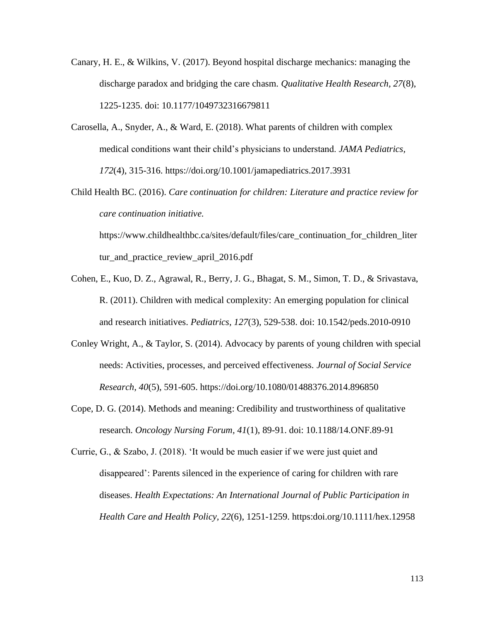- Canary, H. E., & Wilkins, V. (2017). Beyond hospital discharge mechanics: managing the discharge paradox and bridging the care chasm. *Qualitative Health Research, 27*(8), 1225-1235. doi: 10.1177/1049732316679811
- Carosella, A., Snyder, A., & Ward, E. (2018). What parents of children with complex medical conditions want their child's physicians to understand. *JAMA Pediatrics, 172*(4), 315-316. https://doi.org/10.1001/jamapediatrics.2017.3931
- Child Health BC. (2016). *Care continuation for children: Literature and practice review for care continuation initiative.* https://www.childhealthbc.ca/sites/default/files/care\_continuation\_for\_children\_liter

tur\_and\_practice\_review\_april\_2016.pdf

- Cohen, E., Kuo, D. Z., Agrawal, R., Berry, J. G., Bhagat, S. M., Simon, T. D., & Srivastava, R. (2011). Children with medical complexity: An emerging population for clinical and research initiatives. *Pediatrics, 127*(3), 529-538. doi: 10.1542/peds.2010-0910
- Conley Wright, A., & Taylor, S. (2014). Advocacy by parents of young children with special needs: Activities, processes, and perceived effectiveness. *Journal of Social Service Research, 40*(5), 591-605. https://doi.org/10.1080/01488376.2014.896850
- Cope, D. G. (2014). Methods and meaning: Credibility and trustworthiness of qualitative research. *Oncology Nursing Forum, 41*(1), 89-91. doi: 10.1188/14.ONF.89-91

Currie, G., & Szabo, J. (2018). 'It would be much easier if we were just quiet and disappeared': Parents silenced in the experience of caring for children with rare diseases. *Health Expectations: An International Journal of Public Participation in Health Care and Health Policy, 22*(6), 1251-1259. https:doi.org/10.1111/hex.12958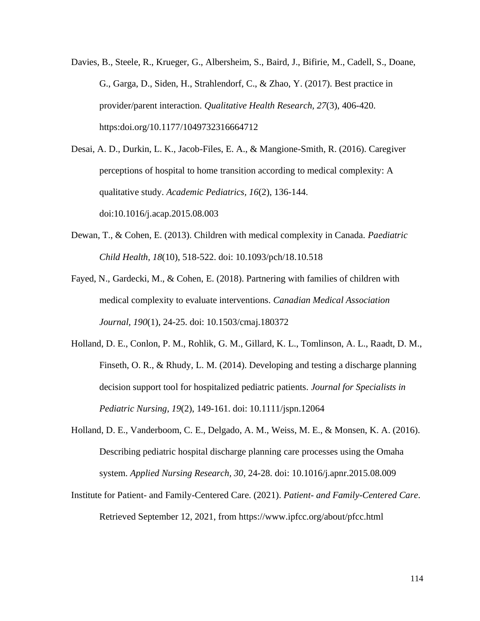Davies, B., Steele, R., Krueger, G., Albersheim, S., Baird, J., Bifirie, M., Cadell, S., Doane, G., Garga, D., Siden, H., Strahlendorf, C., & Zhao, Y. (2017). Best practice in provider/parent interaction. *Qualitative Health Research, 27*(3), 406-420. https:doi.org/10.1177/1049732316664712

Desai, A. D., Durkin, L. K., Jacob-Files, E. A., & Mangione-Smith, R. (2016). Caregiver perceptions of hospital to home transition according to medical complexity: A qualitative study. *Academic Pediatrics, 16*(2), 136-144. doi:10.1016/j.acap.2015.08.003

- Dewan, T., & Cohen, E. (2013). Children with medical complexity in Canada. *Paediatric Child Health, 18*(10), 518-522. doi: 10.1093/pch/18.10.518
- Fayed, N., Gardecki, M., & Cohen, E. (2018). Partnering with families of children with medical complexity to evaluate interventions. *Canadian Medical Association Journal, 190*(1), 24-25. doi: 10.1503/cmaj.180372
- Holland, D. E., Conlon, P. M., Rohlik, G. M., Gillard, K. L., Tomlinson, A. L., Raadt, D. M., Finseth, O. R., & Rhudy, L. M. (2014). Developing and testing a discharge planning decision support tool for hospitalized pediatric patients. *Journal for Specialists in Pediatric Nursing, 19*(2), 149-161. doi: 10.1111/jspn.12064
- Holland, D. E., Vanderboom, C. E., Delgado, A. M., Weiss, M. E., & Monsen, K. A. (2016). Describing pediatric hospital discharge planning care processes using the Omaha system. *Applied Nursing Research, 30*, 24-28. doi: 10.1016/j.apnr.2015.08.009
- Institute for Patient- and Family-Centered Care. (2021). *Patient- and Family-Centered Care*. Retrieved September 12, 2021, from https://www.ipfcc.org/about/pfcc.html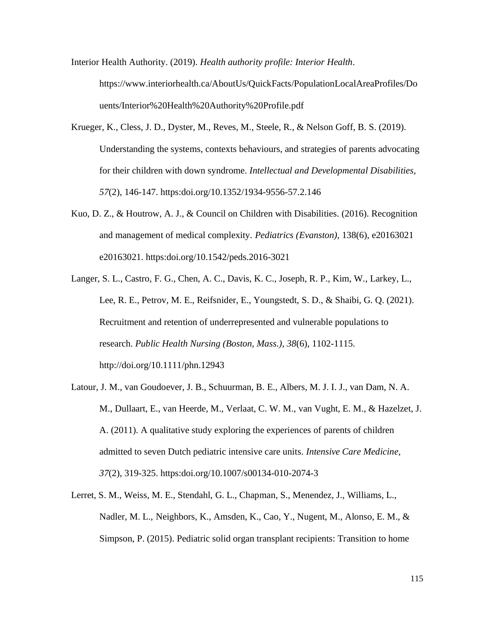Interior Health Authority. (2019). *Health authority profile: Interior Health*. https://www.interiorhealth.ca/AboutUs/QuickFacts/PopulationLocalAreaProfiles/Do uents/Interior%20Health%20Authority%20Profile.pdf

- Krueger, K., Cless, J. D., Dyster, M., Reves, M., Steele, R., & Nelson Goff, B. S. (2019). Understanding the systems, contexts behaviours, and strategies of parents advocating for their children with down syndrome. *Intellectual and Developmental Disabilities, 57*(2), 146-147. https:doi.org/10.1352/1934-9556-57.2.146
- Kuo, D. Z., & Houtrow, A. J., & Council on Children with Disabilities. (2016). Recognition and management of medical complexity. *Pediatrics (Evanston),* 138(6), e20163021 e20163021. https:doi.org/10.1542/peds.2016-3021
- Langer, S. L., Castro, F. G., Chen, A. C., Davis, K. C., Joseph, R. P., Kim, W., Larkey, L., Lee, R. E., Petrov, M. E., Reifsnider, E., Youngstedt, S. D., & Shaibi, G. Q. (2021). Recruitment and retention of underrepresented and vulnerable populations to research. *Public Health Nursing (Boston, Mass.), 38*(6), 1102-1115. http://doi.org/10.1111/phn.12943
- Latour, J. M., van Goudoever, J. B., Schuurman, B. E., Albers, M. J. I. J., van Dam, N. A. M., Dullaart, E., van Heerde, M., Verlaat, C. W. M., van Vught, E. M., & Hazelzet, J. A. (2011). A qualitative study exploring the experiences of parents of children admitted to seven Dutch pediatric intensive care units. *Intensive Care Medicine, 37*(2), 319-325. https:doi.org/10.1007/s00134-010-2074-3
- Lerret, S. M., Weiss, M. E., Stendahl, G. L., Chapman, S., Menendez, J., Williams, L., Nadler, M. L., Neighbors, K., Amsden, K., Cao, Y., Nugent, M., Alonso, E. M., & Simpson, P. (2015). Pediatric solid organ transplant recipients: Transition to home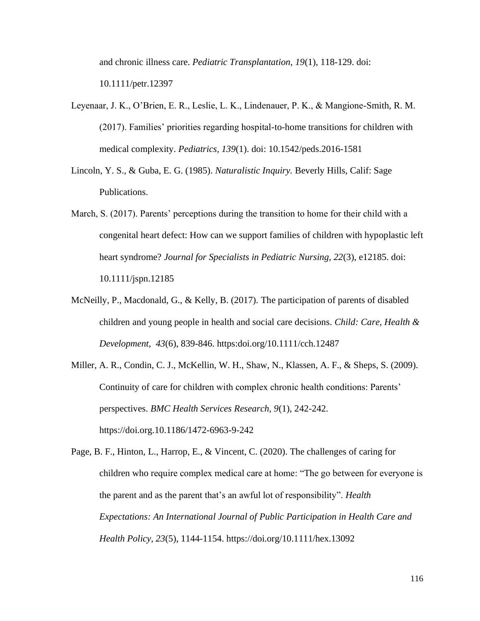and chronic illness care. *Pediatric Transplantation, 19*(1), 118-129. doi: 10.1111/petr.12397

- Leyenaar, J. K., O'Brien, E. R., Leslie, L. K., Lindenauer, P. K., & Mangione-Smith, R. M. (2017). Families' priorities regarding hospital-to-home transitions for children with medical complexity. *Pediatrics, 139*(1). doi: 10.1542/peds.2016-1581
- Lincoln, Y. S., & Guba, E. G. (1985). *Naturalistic Inquiry.* Beverly Hills, Calif: Sage Publications.
- March, S. (2017). Parents' perceptions during the transition to home for their child with a congenital heart defect: How can we support families of children with hypoplastic left heart syndrome? *Journal for Specialists in Pediatric Nursing, 22*(3), e12185. doi: 10.1111/jspn.12185
- McNeilly, P., Macdonald, G., & Kelly, B. (2017). The participation of parents of disabled children and young people in health and social care decisions. *Child: Care, Health & Development, 43*(6), 839-846. https:doi.org/10.1111/cch.12487
- Miller, A. R., Condin, C. J., McKellin, W. H., Shaw, N., Klassen, A. F., & Sheps, S. (2009). Continuity of care for children with complex chronic health conditions: Parents' perspectives. *BMC Health Services Research, 9*(1), 242-242. https://doi.org.10.1186/1472-6963-9-242

Page, B. F., Hinton, L., Harrop, E., & Vincent, C. (2020). The challenges of caring for children who require complex medical care at home: "The go between for everyone is the parent and as the parent that's an awful lot of responsibility". *Health Expectations: An International Journal of Public Participation in Health Care and Health Policy, 23*(5), 1144-1154. https://doi.org/10.1111/hex.13092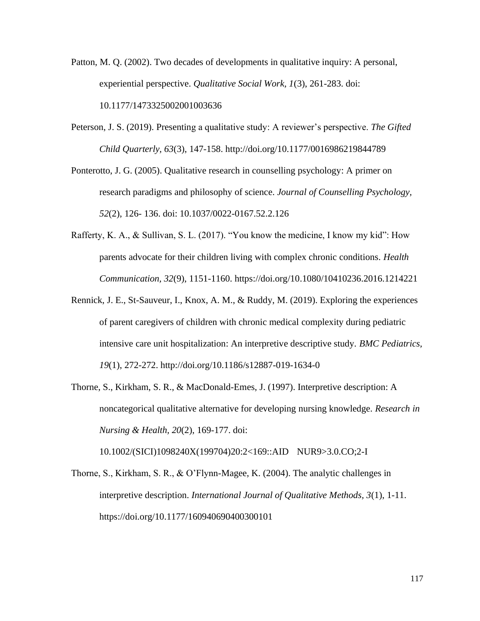- Patton, M. Q. (2002). Two decades of developments in qualitative inquiry: A personal, experiential perspective. *Qualitative Social Work, 1*(3), 261-283. doi: 10.1177/1473325002001003636
- Peterson, J. S. (2019). Presenting a qualitative study: A reviewer's perspective. *The Gifted Child Quarterly, 63*(3), 147-158. http://doi.org/10.1177/0016986219844789
- Ponterotto, J. G. (2005). Qualitative research in counselling psychology: A primer on research paradigms and philosophy of science. *Journal of Counselling Psychology, 52*(2), 126- 136. doi: 10.1037/0022-0167.52.2.126
- Rafferty, K. A., & Sullivan, S. L. (2017). "You know the medicine, I know my kid": How parents advocate for their children living with complex chronic conditions. *Health Communication, 32*(9), 1151-1160. https://doi.org/10.1080/10410236.2016.1214221
- Rennick, J. E., St-Sauveur, I., Knox, A. M., & Ruddy, M. (2019). Exploring the experiences of parent caregivers of children with chronic medical complexity during pediatric intensive care unit hospitalization: An interpretive descriptive study. *BMC Pediatrics, 19*(1), 272-272. http://doi.org/10.1186/s12887-019-1634-0
- Thorne, S., Kirkham, S. R., & MacDonald-Emes, J. (1997). Interpretive description: A noncategorical qualitative alternative for developing nursing knowledge. *Research in Nursing & Health, 20*(2), 169-177. doi:

10.1002/(SICI)1098240X(199704)20:2<169::AID NUR9>3.0.CO;2-I

Thorne, S., Kirkham, S. R., & O'Flynn-Magee, K. (2004). The analytic challenges in interpretive description. *International Journal of Qualitative Methods, 3*(1), 1-11. https://doi.org/10.1177/160940690400300101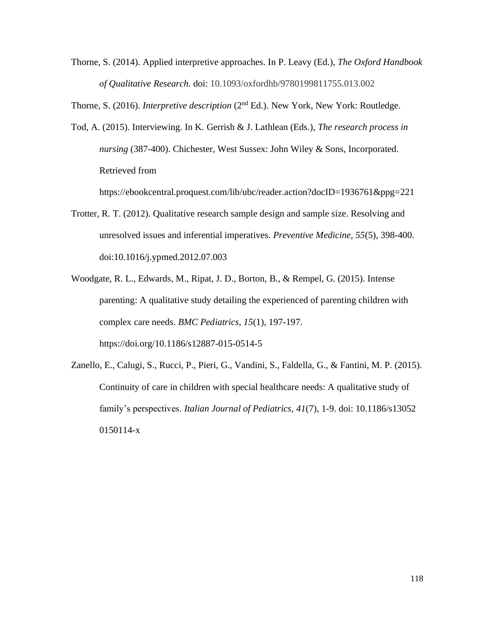Thorne, S. (2014). Applied interpretive approaches. In P. Leavy (Ed.), *The Oxford Handbook of Qualitative Research.* doi: 10.1093/oxfordhb/9780199811755.013.002

Thorne, S. (2016). *Interpretive description* (2nd Ed.). New York, New York: Routledge.

Tod, A. (2015). Interviewing. In K. Gerrish & J. Lathlean (Eds.), *The research process in nursing* (387-400). Chichester, West Sussex: John Wiley & Sons, Incorporated. Retrieved from

https://ebookcentral.proquest.com/lib/ubc/reader.action?docID=1936761&ppg=221

- Trotter, R. T. (2012). Qualitative research sample design and sample size. Resolving and unresolved issues and inferential imperatives. *Preventive Medicine, 55*(5), 398-400. doi:10.1016/j.ypmed.2012.07.003
- Woodgate, R. L., Edwards, M., Ripat, J. D., Borton, B., & Rempel, G. (2015). Intense parenting: A qualitative study detailing the experienced of parenting children with complex care needs. *BMC Pediatrics, 15*(1), 197-197. https://doi.org/10.1186/s12887-015-0514-5
- Zanello, E., Calugi, S., Rucci, P., Pieri, G., Vandini, S., Faldella, G., & Fantini, M. P. (2015). Continuity of care in children with special healthcare needs: A qualitative study of family's perspectives. *Italian Journal of Pediatrics, 41*(7), 1-9. doi: 10.1186/s13052 0150114-x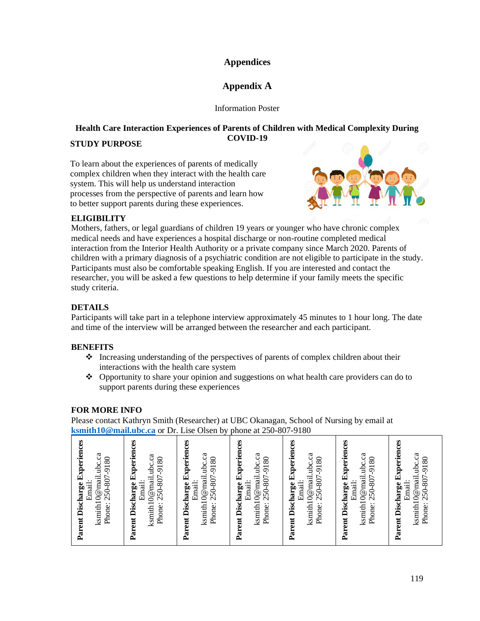## **Appendices**

# **Appendix A**

Information Poster

# **Health Care Interaction Experiences of Parents of Children with Medical Complexity During COVID-19**

## **STUDY PURPOSE**

To learn about the experiences of parents of medically complex children when they interact with the health care system. This will help us understand interaction processes from the perspective of parents and learn how to better support parents during these experiences.



# **ELIGIBILITY**

Mothers, fathers, or legal guardians of children 19 years or younger who have chronic complex medical needs and have experiences a hospital discharge or non-routine completed medical interaction from the Interior Health Authority or a private company since March 2020. Parents of children with a primary diagnosis of a psychiatric condition are not eligible to participate in the study. Participants must also be comfortable speaking English. If you are interested and contact the researcher, you will be asked a few questions to help determine if your family meets the specific study criteria.

# **DETAILS**

Participants will take part in a telephone interview approximately 45 minutes to 1 hour long. The date and time of the interview will be arranged between the researcher and each participant.

## **BENEFITS**

- ❖ Increasing understanding of the perspectives of parents of complex children about their interactions with the health care system
- ❖ Opportunity to share your opinion and suggestions on what health care providers can do to support parents during these experiences

# **FOR MORE INFO**

Please contact Kathryn Smith (Researcher) at UBC Okanagan, School of Nursing by email at **[ksmith10@mail.ubc.ca](mailto:ksmith10@mail.ubc.ca)** or Dr. Lise Olsen by phone at 250-807-9180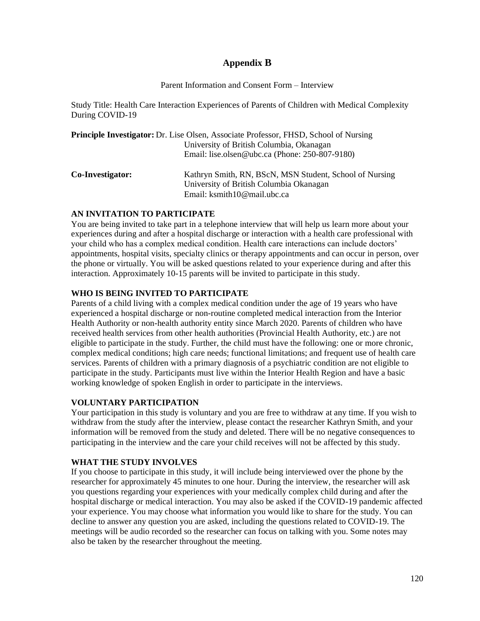## **Appendix B**

#### Parent Information and Consent Form – Interview

Study Title: Health Care Interaction Experiences of Parents of Children with Medical Complexity During COVID-19

|                  | <b>Principle Investigator:</b> Dr. Lise Olsen, Associate Professor, FHSD, School of Nursing        |
|------------------|----------------------------------------------------------------------------------------------------|
|                  | University of British Columbia, Okanagan                                                           |
|                  | Email: lise.olsen@ubc.ca (Phone: 250-807-9180)                                                     |
| Co-Investigator: | Kathryn Smith, RN, BScN, MSN Student, School of Nursing<br>University of British Columbia Okanagan |
|                  | Email: ksmith10@mail.ubc.ca                                                                        |

#### **AN INVITATION TO PARTICIPATE**

You are being invited to take part in a telephone interview that will help us learn more about your experiences during and after a hospital discharge or interaction with a health care professional with your child who has a complex medical condition. Health care interactions can include doctors' appointments, hospital visits, specialty clinics or therapy appointments and can occur in person, over the phone or virtually. You will be asked questions related to your experience during and after this interaction. Approximately 10-15 parents will be invited to participate in this study.

## **WHO IS BEING INVITED TO PARTICIPATE**

Parents of a child living with a complex medical condition under the age of 19 years who have experienced a hospital discharge or non-routine completed medical interaction from the Interior Health Authority or non-health authority entity since March 2020. Parents of children who have received health services from other health authorities (Provincial Health Authority, etc.) are not eligible to participate in the study. Further, the child must have the following: one or more chronic, complex medical conditions; high care needs; functional limitations; and frequent use of health care services. Parents of children with a primary diagnosis of a psychiatric condition are not eligible to participate in the study. Participants must live within the Interior Health Region and have a basic working knowledge of spoken English in order to participate in the interviews.

#### **VOLUNTARY PARTICIPATION**

Your participation in this study is voluntary and you are free to withdraw at any time. If you wish to withdraw from the study after the interview, please contact the researcher Kathryn Smith, and your information will be removed from the study and deleted. There will be no negative consequences to participating in the interview and the care your child receives will not be affected by this study.

## **WHAT THE STUDY INVOLVES**

If you choose to participate in this study, it will include being interviewed over the phone by the researcher for approximately 45 minutes to one hour. During the interview, the researcher will ask you questions regarding your experiences with your medically complex child during and after the hospital discharge or medical interaction. You may also be asked if the COVID-19 pandemic affected your experience. You may choose what information you would like to share for the study. You can decline to answer any question you are asked, including the questions related to COVID-19. The meetings will be audio recorded so the researcher can focus on talking with you. Some notes may also be taken by the researcher throughout the meeting.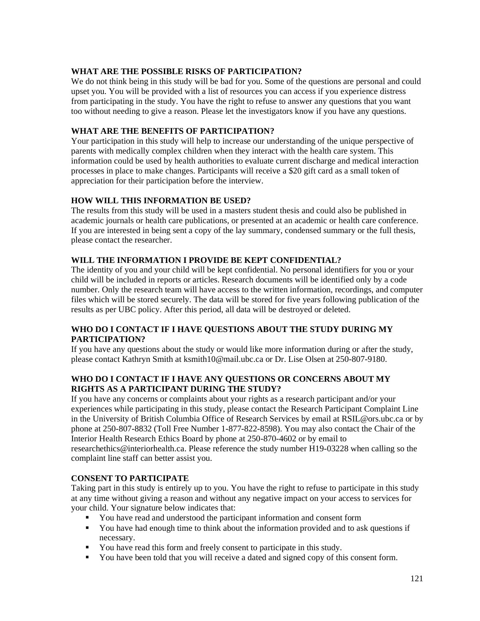## **WHAT ARE THE POSSIBLE RISKS OF PARTICIPATION?**

We do not think being in this study will be bad for you. Some of the questions are personal and could upset you. You will be provided with a list of resources you can access if you experience distress from participating in the study. You have the right to refuse to answer any questions that you want too without needing to give a reason. Please let the investigators know if you have any questions.

## **WHAT ARE THE BENEFITS OF PARTICIPATION?**

Your participation in this study will help to increase our understanding of the unique perspective of parents with medically complex children when they interact with the health care system. This information could be used by health authorities to evaluate current discharge and medical interaction processes in place to make changes. Participants will receive a \$20 gift card as a small token of appreciation for their participation before the interview.

#### **HOW WILL THIS INFORMATION BE USED?**

The results from this study will be used in a masters student thesis and could also be published in academic journals or health care publications, or presented at an academic or health care conference. If you are interested in being sent a copy of the lay summary, condensed summary or the full thesis, please contact the researcher.

#### **WILL THE INFORMATION I PROVIDE BE KEPT CONFIDENTIAL?**

The identity of you and your child will be kept confidential. No personal identifiers for you or your child will be included in reports or articles. Research documents will be identified only by a code number. Only the research team will have access to the written information, recordings, and computer files which will be stored securely. The data will be stored for five years following publication of the results as per UBC policy. After this period, all data will be destroyed or deleted.

#### **WHO DO I CONTACT IF I HAVE QUESTIONS ABOUT THE STUDY DURING MY PARTICIPATION?**

If you have any questions about the study or would like more information during or after the study, please contact Kathryn Smith at ksmith10@mail.ubc.ca or Dr. Lise Olsen at 250-807-9180.

#### **WHO DO I CONTACT IF I HAVE ANY QUESTIONS OR CONCERNS ABOUT MY RIGHTS AS A PARTICIPANT DURING THE STUDY?**

If you have any concerns or complaints about your rights as a research participant and/or your experiences while participating in this study, please contact the Research Participant Complaint Line in the University of British Columbia Office of Research Services by email at RSIL@ors.ubc.ca or by phone at 250-807-8832 (Toll Free Number 1-877-822-8598). You may also contact the Chair of the Interior Health Research Ethics Board by phone at 250-870-4602 or by email to researchethics@interiorhealth.ca. Please reference the study number H19-03228 when calling so the complaint line staff can better assist you.

#### **CONSENT TO PARTICIPATE**

Taking part in this study is entirely up to you. You have the right to refuse to participate in this study at any time without giving a reason and without any negative impact on your access to services for your child. Your signature below indicates that:

- You have read and understood the participant information and consent form
- You have had enough time to think about the information provided and to ask questions if necessary.
- You have read this form and freely consent to participate in this study.
- You have been told that you will receive a dated and signed copy of this consent form.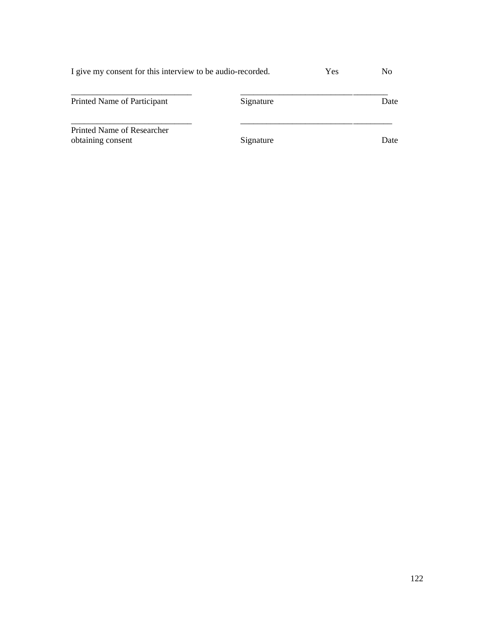| I give my consent for this interview to be audio-recorded. | Yes |  |
|------------------------------------------------------------|-----|--|
|                                                            |     |  |
|                                                            |     |  |

| Printed Name of Participant                     | Signature | Date |
|-------------------------------------------------|-----------|------|
| Printed Name of Researcher<br>obtaining consent | Signature | Date |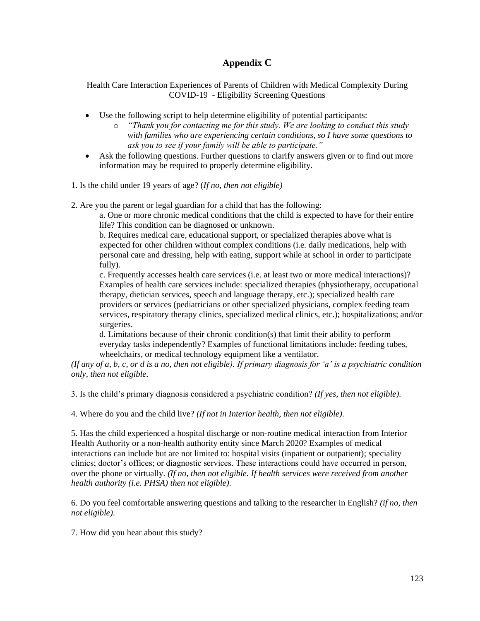# **Appendix C**

Health Care Interaction Experiences of Parents of Children with Medical Complexity During COVID-19 - Eligibility Screening Questions

- Use the following script to help determine eligibility of potential participants:
	- o *"Thank you for contacting me for this study. We are looking to conduct this study with families who are experiencing certain conditions, so I have some questions to ask you to see if your family will be able to participate."*
- Ask the following questions. Further questions to clarify answers given or to find out more information may be required to properly determine eligibility.
- 1. Is the child under 19 years of age? (*If no, then not eligible)*
- 2. Are you the parent or legal guardian for a child that has the following:

a. One or more chronic medical conditions that the child is expected to have for their entire life? This condition can be diagnosed or unknown.

b. Requires medical care, educational support, or specialized therapies above what is expected for other children without complex conditions (i.e. daily medications, help with personal care and dressing, help with eating, support while at school in order to participate fully).

c. Frequently accesses health care services (i.e. at least two or more medical interactions)? Examples of health care services include: specialized therapies (physiotherapy, occupational therapy, dietician services, speech and language therapy, etc.); specialized health care providers or services (pediatricians or other specialized physicians, complex feeding team services, respiratory therapy clinics, specialized medical clinics, etc.); hospitalizations; and/or surgeries.

d. Limitations because of their chronic condition(s) that limit their ability to perform everyday tasks independently? Examples of functional limitations include: feeding tubes, wheelchairs, or medical technology equipment like a ventilator.

*(If any of a, b, c, or d is a no, then not eligible). If primary diagnosis for 'a' is a psychiatric condition only, then not eligible.*

3. Is the child's primary diagnosis considered a psychiatric condition? *(If yes, then not eligible).*

4. Where do you and the child live? *(If not in Interior health, then not eligible).*

5. Has the child experienced a hospital discharge or non-routine medical interaction from Interior Health Authority or a non-health authority entity since March 2020? Examples of medical interactions can include but are not limited to: hospital visits (inpatient or outpatient); speciality clinics; doctor's offices; or diagnostic services. These interactions could have occurred in person, over the phone or virtually. *(If no, then not eligible. If health services were received from another health authority (i.e. PHSA) then not eligible).*

6. Do you feel comfortable answering questions and talking to the researcher in English? *(if no, then not eligible).*

7. How did you hear about this study?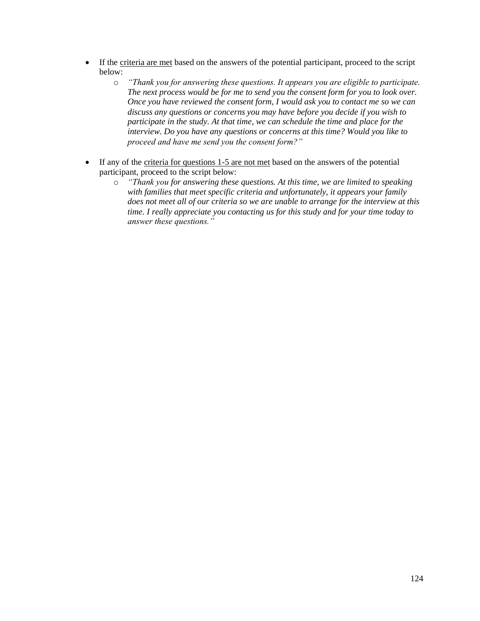- If the criteria are met based on the answers of the potential participant, proceed to the script below:
	- o *"Thank you for answering these questions. It appears you are eligible to participate. The next process would be for me to send you the consent form for you to look over. Once you have reviewed the consent form, I would ask you to contact me so we can discuss any questions or concerns you may have before you decide if you wish to participate in the study. At that time, we can schedule the time and place for the interview. Do you have any questions or concerns at this time? Would you like to proceed and have me send you the consent form?"*
- If any of the criteria for questions 1-5 are not met based on the answers of the potential participant, proceed to the script below:
	- o *"Thank you for answering these questions. At this time, we are limited to speaking with families that meet specific criteria and unfortunately, it appears your family does not meet all of our criteria so we are unable to arrange for the interview at this time. I really appreciate you contacting us for this study and for your time today to answer these questions."*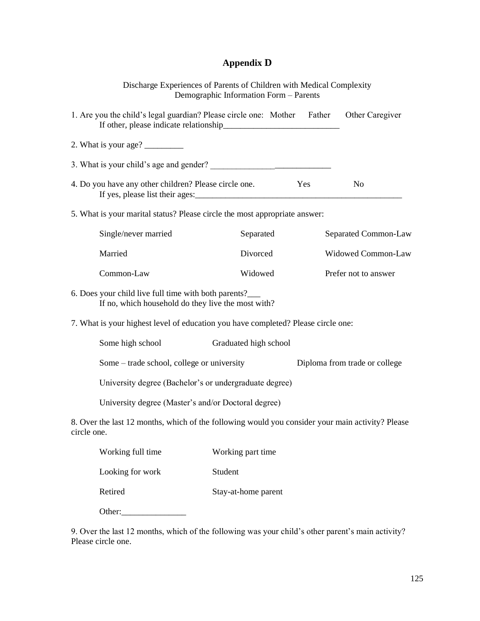# **Appendix D**

|                                                                                                                 | Discharge Experiences of Parents of Children with Medical Complexity<br>Demographic Information Form - Parents |                               |
|-----------------------------------------------------------------------------------------------------------------|----------------------------------------------------------------------------------------------------------------|-------------------------------|
| 1. Are you the child's legal guardian? Please circle one: Mother Father                                         |                                                                                                                | Other Caregiver               |
| 2. What is your age? $\frac{\ }{\ }$                                                                            |                                                                                                                |                               |
|                                                                                                                 |                                                                                                                |                               |
| 4. Do you have any other children? Please circle one.                                                           | Yes                                                                                                            | N <sub>0</sub>                |
| 5. What is your marital status? Please circle the most appropriate answer:                                      |                                                                                                                |                               |
| Single/never married                                                                                            | Separated                                                                                                      | Separated Common-Law          |
| Married                                                                                                         | Divorced                                                                                                       | Widowed Common-Law            |
| Common-Law                                                                                                      | Widowed                                                                                                        | Prefer not to answer          |
| 6. Does your child live full time with both parents?<br>If no, which household do they live the most with?      |                                                                                                                |                               |
| 7. What is your highest level of education you have completed? Please circle one:                               |                                                                                                                |                               |
| Some high school                                                                                                | Graduated high school                                                                                          |                               |
| Some – trade school, college or university                                                                      |                                                                                                                | Diploma from trade or college |
| University degree (Bachelor's or undergraduate degree)                                                          |                                                                                                                |                               |
| University degree (Master's and/or Doctoral degree)                                                             |                                                                                                                |                               |
| 8. Over the last 12 months, which of the following would you consider your main activity? Please<br>circle one. |                                                                                                                |                               |
| Working full time                                                                                               | Working part time                                                                                              |                               |
| Looking for work                                                                                                | Student                                                                                                        |                               |
| Retired                                                                                                         | Stay-at-home parent                                                                                            |                               |
| Other:                                                                                                          |                                                                                                                |                               |

9. Over the last 12 months, which of the following was your child's other parent's main activity? Please circle one.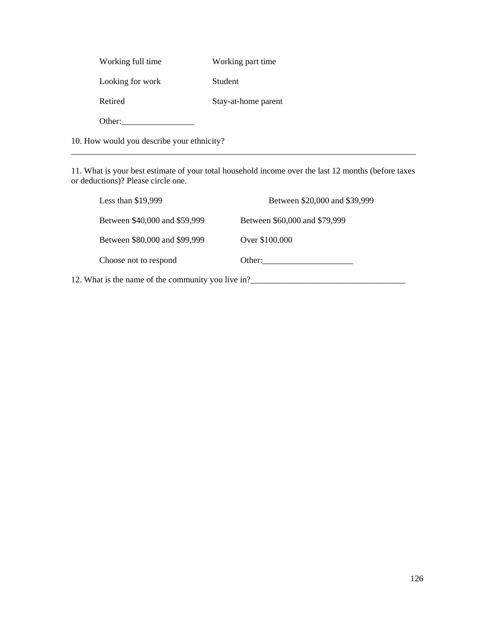| Working full time | Working part time   |
|-------------------|---------------------|
| Looking for work  | Student             |
| Retired           | Stay-at-home parent |
| Other:            |                     |

10. How would you describe your ethnicity?

11. What is your best estimate of your total household income over the last 12 months (before taxes or deductions)? Please circle one.

\_\_\_\_\_\_\_\_\_\_\_\_\_\_\_\_\_\_\_\_\_\_\_\_\_\_\_\_\_\_\_\_\_\_\_\_\_\_\_\_\_\_\_\_\_\_\_\_\_\_\_\_\_\_\_\_\_\_\_\_\_\_\_\_\_\_\_\_\_\_\_\_\_\_\_\_\_\_\_\_

| Less than \$19,999                                 | Between \$20,000 and \$39,999 |
|----------------------------------------------------|-------------------------------|
| Between \$40,000 and \$59,999                      | Between \$60,000 and \$79,999 |
| Between \$80,000 and \$99,999                      | Over \$100,000                |
| Choose not to respond                              | Other:                        |
| 12. What is the name of the community you live in? |                               |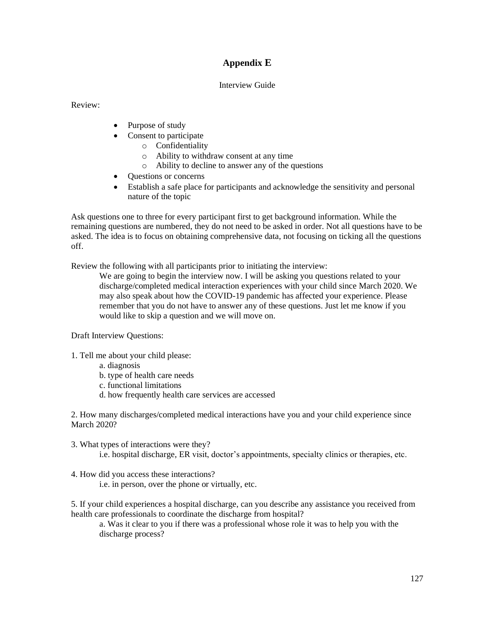# **Appendix E**

#### Interview Guide

Review:

- Purpose of study
- Consent to participate
	- o Confidentiality
	- o Ability to withdraw consent at any time
	- o Ability to decline to answer any of the questions
- Questions or concerns
- Establish a safe place for participants and acknowledge the sensitivity and personal nature of the topic

Ask questions one to three for every participant first to get background information. While the remaining questions are numbered, they do not need to be asked in order. Not all questions have to be asked. The idea is to focus on obtaining comprehensive data, not focusing on ticking all the questions off.

Review the following with all participants prior to initiating the interview:

We are going to begin the interview now. I will be asking you questions related to your discharge/completed medical interaction experiences with your child since March 2020. We may also speak about how the COVID-19 pandemic has affected your experience. Please remember that you do not have to answer any of these questions. Just let me know if you would like to skip a question and we will move on.

Draft Interview Questions:

- 1. Tell me about your child please:
	- a. diagnosis
	- b. type of health care needs
	- c. functional limitations
	- d. how frequently health care services are accessed

2. How many discharges/completed medical interactions have you and your child experience since March 2020?

- 3. What types of interactions were they? i.e. hospital discharge, ER visit, doctor's appointments, specialty clinics or therapies, etc.
- 4. How did you access these interactions?

i.e. in person, over the phone or virtually, etc.

5. If your child experiences a hospital discharge, can you describe any assistance you received from health care professionals to coordinate the discharge from hospital?

a. Was it clear to you if there was a professional whose role it was to help you with the discharge process?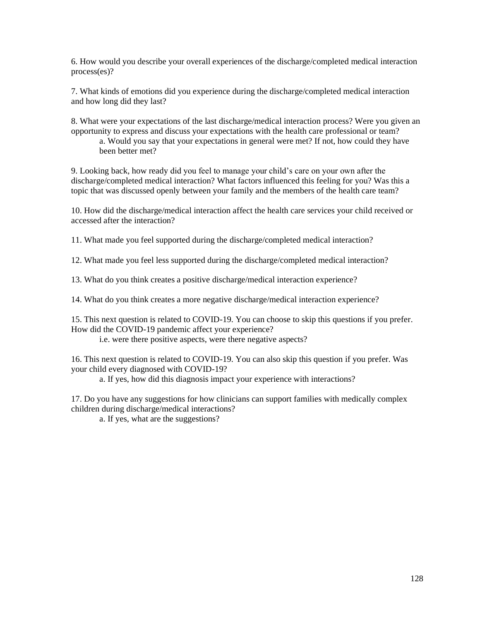6. How would you describe your overall experiences of the discharge/completed medical interaction process(es)?

7. What kinds of emotions did you experience during the discharge/completed medical interaction and how long did they last?

8. What were your expectations of the last discharge/medical interaction process? Were you given an opportunity to express and discuss your expectations with the health care professional or team? a. Would you say that your expectations in general were met? If not, how could they have been better met?

9. Looking back, how ready did you feel to manage your child's care on your own after the discharge/completed medical interaction? What factors influenced this feeling for you? Was this a topic that was discussed openly between your family and the members of the health care team?

10. How did the discharge/medical interaction affect the health care services your child received or accessed after the interaction?

11. What made you feel supported during the discharge/completed medical interaction?

12. What made you feel less supported during the discharge/completed medical interaction?

13. What do you think creates a positive discharge/medical interaction experience?

14. What do you think creates a more negative discharge/medical interaction experience?

15. This next question is related to COVID-19. You can choose to skip this questions if you prefer. How did the COVID-19 pandemic affect your experience?

i.e. were there positive aspects, were there negative aspects?

16. This next question is related to COVID-19. You can also skip this question if you prefer. Was your child every diagnosed with COVID-19?

a. If yes, how did this diagnosis impact your experience with interactions?

17. Do you have any suggestions for how clinicians can support families with medically complex children during discharge/medical interactions?

a. If yes, what are the suggestions?